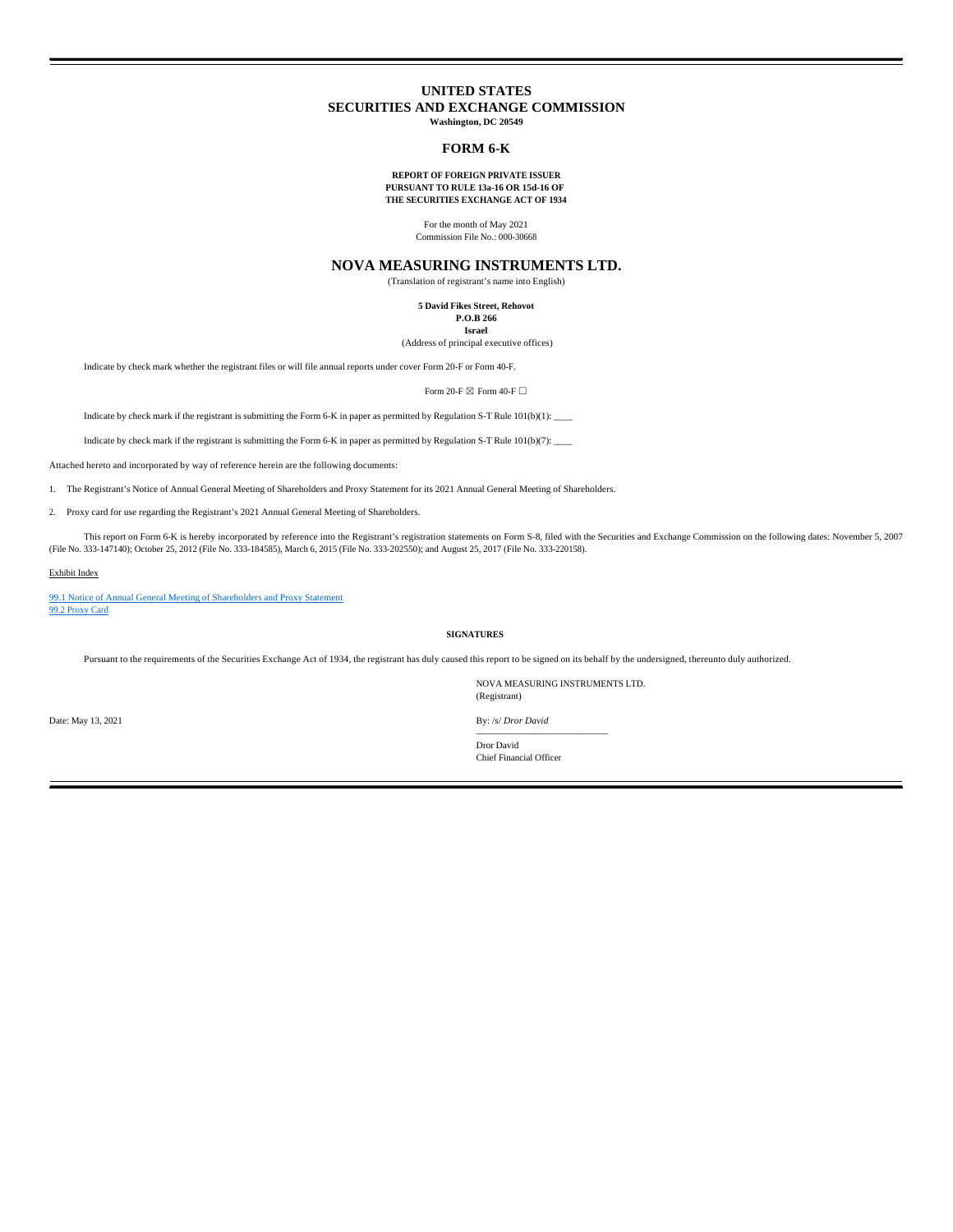# **UNITED STATES SECURITIES AND EXCHANGE COMMISSION Washington, DC 20549**

# **FORM 6-K**

#### **REPORT OF FOREIGN PRIVATE ISSUER PURSUANT TO RULE 13a-16 OR 15d-16 OF THE SECURITIES EXCHANGE ACT OF 1934**

For the month of May 2021 Commission File No.: 000-30668

# **NOVA MEASURING INSTRUMENTS LTD.**

(Translation of registrant's name into English)

**5 David Fikes Street, Rehovot P.O.B 266 Israel**

(Address of principal executive offices)

Indicate by check mark whether the registrant files or will file annual reports under cover Form 20-F or Form 40-F.

Form 20-F  $\boxtimes$  Form 40-F  $\Box$ 

Indicate by check mark if the registrant is submitting the Form 6-K in paper as permitted by Regulation S-T Rule 101(b)(1):

Indicate by check mark if the registrant is submitting the Form 6-K in paper as permitted by Regulation S-T Rule 101(b)(7):

Attached hereto and incorporated by way of reference herein are the following documents:

1. The Registrant's Notice of Annual General Meeting of Shareholders and Proxy Statement for its 2021 Annual General Meeting of Shareholders.

2. Proxy card for use regarding the Registrant's 2021 Annual General Meeting of Shareholders.

This report on Form 6-K is hereby incorporated by reference into the Registrant's registration statements on Form S-8, filed with the Securities and Exchange Commission on the following dates: November 5, 2007 (File No. 333-147140); October 25, 2012 (File No. 333-184585), March 6, 2015 (File No. 333-202550); and August 25, 2017 (File No. 333-220158).

# Exhibit Index

99.1 Notice of Annual General Meeting of Shareholders and Proxy Statement 99.2 Proxy Card

**SIGNATURES**

Pursuant to the requirements of the Securities Exchange Act of 1934, the registrant has duly caused this report to be signed on its behalf by the undersigned, thereunto duly authorized.

NOVA MEASURING INSTRUMENTS LTD. (Registrant)

By: /s/ *Dror David*

Chief Financial Officer

Date: May 13, 2021

—————————————— Dror David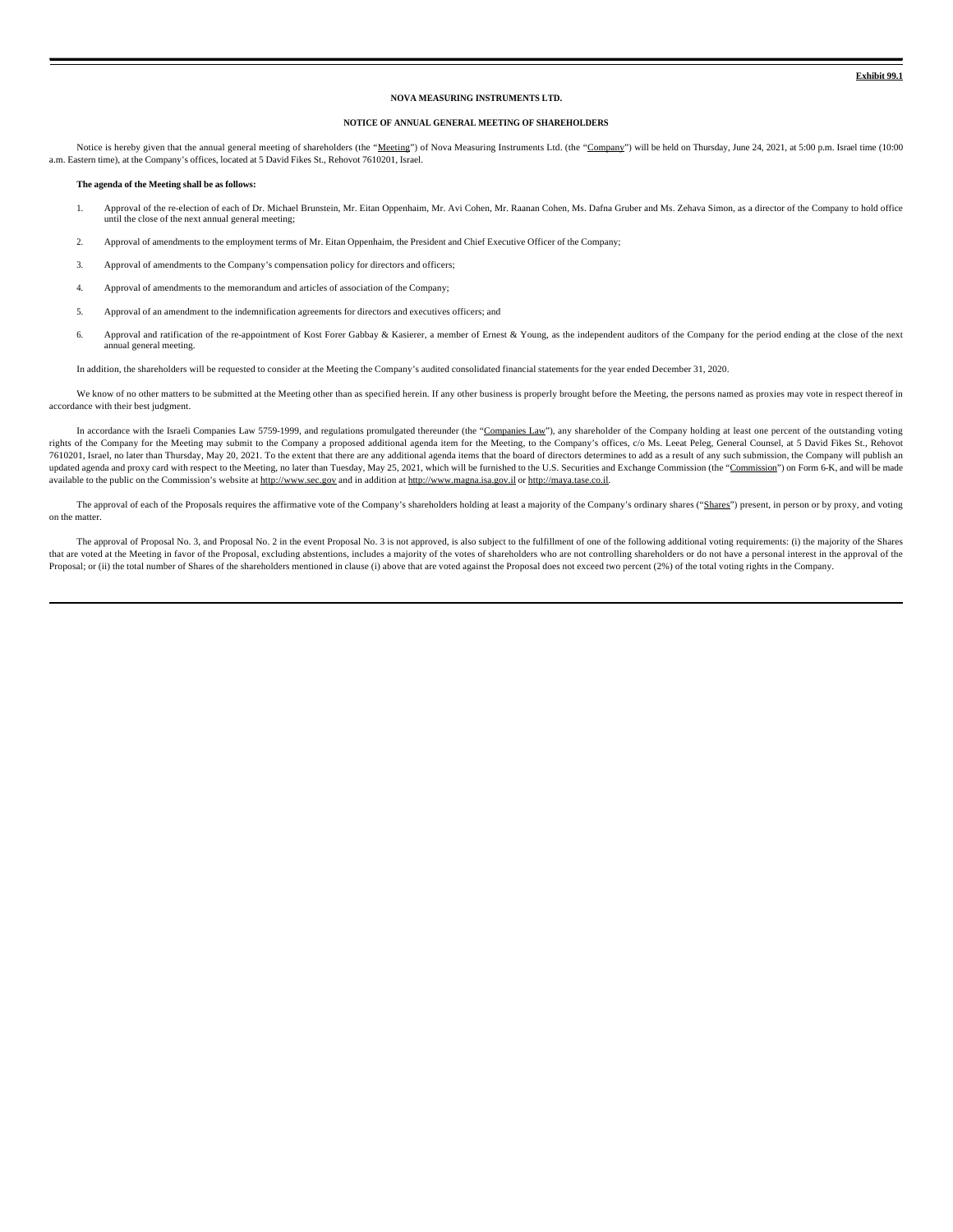**Exhibit 99.1**

#### **NOVA MEASURING INSTRUMENTS LTD.**

### **NOTICE OF ANNUAL GENERAL MEETING OF SHAREHOLDERS**

Notice is hereby given that the annual general meeting of shareholders (the "Meeting") of Nova Measuring Instruments Ltd. (the "Company") will be held on Thursday, June 24, 2021, at 5:00 p.m. Israel time (10:00 a.m. Eastern time), at the Company's offices, located at 5 David Fikes St., Rehovot 7610201, Israel.

#### **The agenda of the Meeting shall be as follows:**

- 1. Approval of the re-election of each of Dr. Michael Brunstein, Mr. Eitan Oppenhaim, Mr. Avi Cohen, Mr. Raanan Cohen, Ms. Dafna Gruber and Ms. Zehava Simon, as a director of the Company to hold office until the close of the next annual general meeting;
- 2. Approval of amendments to the employment terms of Mr. Eitan Oppenhaim, the President and Chief Executive Officer of the Company;
- 3. Approval of amendments to the Company's compensation policy for directors and officers;
- 4. Approval of amendments to the memorandum and articles of association of the Company;
- 5. Approval of an amendment to the indemnification agreements for directors and executives officers; and
- 6. Approval and ratification of the re-appointment of Kost Forer Gabbay & Kasierer, a member of Ernest & Young, as the independent auditors of the Company for the period ending at the close of the next annual general meeting.

In addition, the shareholders will be requested to consider at the Meeting the Company's audited consolidated financial statements for the year ended December 31, 2020.

We know of no other matters to be submitted at the Meeting other than as specified herein. If any other business is properly brought before the Meeting, the persons named as proxies may vote in respect thereof in accordance with their best judgment.

In accordance with the Israeli Companies Law 5759-1999, and regulations promulgated thereunder (the "Companies Law"), any shareholder of the Company holding at least one percent of the outstanding voting rights of the Company for the Meeting may submit to the Company a proposed additional agenda item for the Meeting, to the Company's offices, c/o Ms. Leeat Peleg, General Counsel, at 5 David Fikes St., Rehovot 7610201, Israel, no later than Thursday, May 20, 2021. To the extent that there are any additional agenda items that the board of directors determines to add as a result of any such submission, the Company will publish an updated agenda and proxy card with respect to the Meeting, no later than Tuesday, May 25, 2021, which will be furnished to the U.S. Securities and Exchange Commission (the "Commission") on Form 6-K, and will be made available to the public on the Commission's website at http://www.sec.gov and in addition at http://www.magna.isa.gov.il or http://maya.tase.co.il.

The approval of each of the Proposals requires the affirmative vote of the Company's shareholders holding at least a majority of the Company's ordinary shares ("Shares") present, in person or by proxy, and voting on the matter.

The approval of Proposal No. 3, and Proposal No. 2 in the event Proposal No. 3 is not approved, is also subject to the fulfillment of one of the following additional voting requirements: (i) the majority of the Shares that are voted at the Meeting in favor of the Proposal, excluding abstentions, includes a majority of the votes of shareholders who are not controlling shareholders or do not have a personal interest in the approval of the Proposal; or (ii) the total number of Shares of the shareholders mentioned in clause (i) above that are voted against the Proposal does not exceed two percent (2%) of the total voting rights in the Company.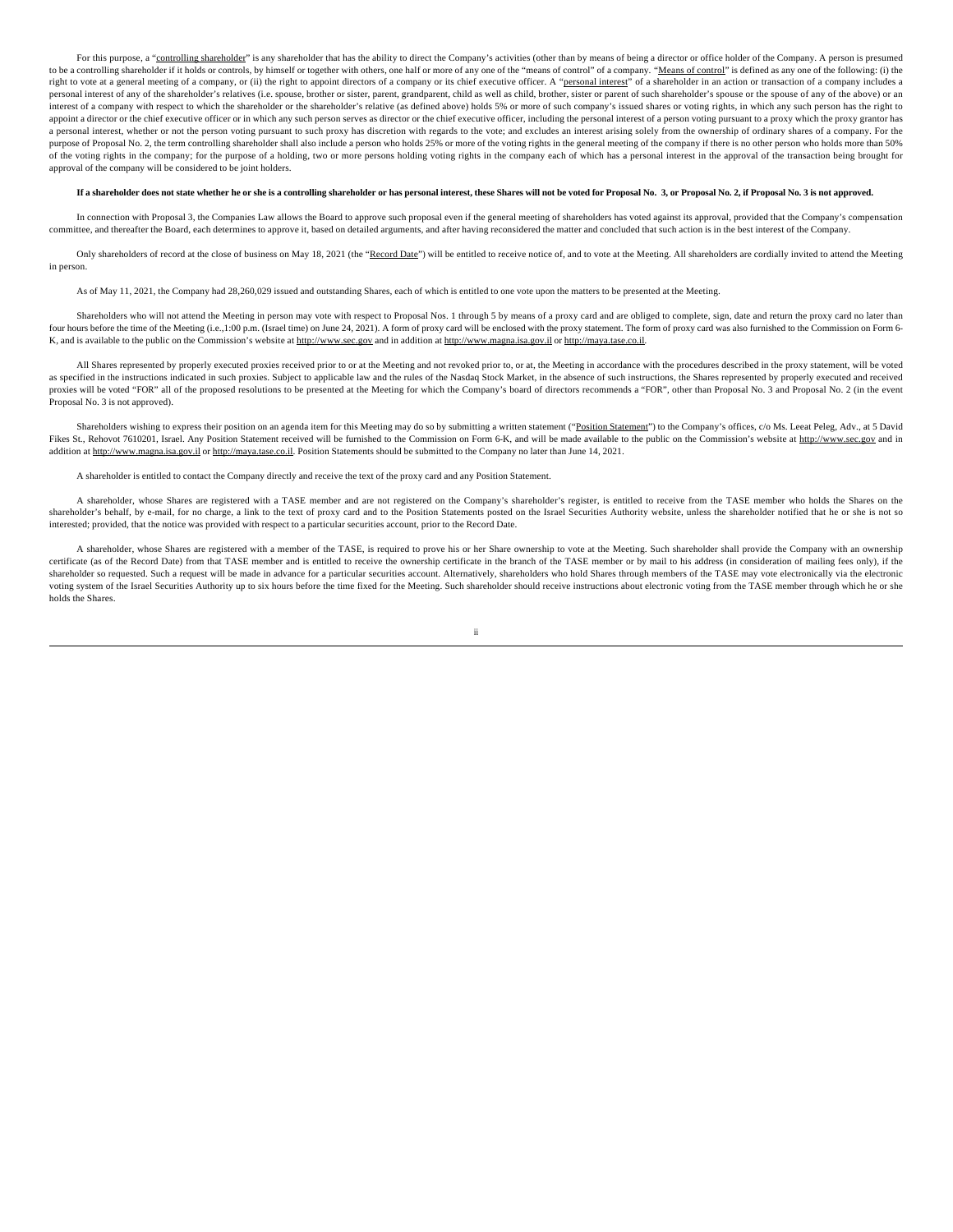For this purpose, a "controlling shareholder" is any shareholder that has the ability to direct the Company's activities (other than by means of being a director or office holder of the Company. A person is presumed to be a controlling shareholder if it holds or controls, by himself or together with others, one half or more of any one of the "means of control" of a company. "Means of control" is defined as any one of the following: (i right to vote at a general meeting of a company, or (ii) the right to appoint directors of a company or its chief executive officer. A "personal interest" of a shareholder in an action or transaction of a company includes personal interest of any of the shareholder's relatives (i.e. spouse, brother or sister, parent, grandparent, child as well as child, brother, sister or parent of such shareholder's spouse or the spouse of any of the above interest of a company with respect to which the shareholder or the shareholder's relative (as defined above) holds 5% or more of such company's issued shares or voting rights, in which any such person has the right to appoint a director or the chief executive officer or in which any such person serves as director or the chief executive officer, including the personal interest of a person voting pursuant to a proxy which the proxy granto a personal interest, whether or not the person voting pursuant to such proxy has discretion with regards to the vote; and excludes an interest arising solely from the ownership of ordinary shares of a company. For the purpose of Proposal No. 2, the term controlling shareholder shall also include a person who holds 25% or more of the voting rights in the general meeting of the company if there is no other person who holds more than 50% of the voting rights in the company; for the purpose of a holding, two or more persons holding voting rights in the company each of which has a personal interest in the approval of the transaction being brought for approval of the company will be considered to be joint holders.

#### If a shareholder does not state whether he or she is a controlling shareholder or has personal interest, these Shares will not be voted for Proposal No. 3, or Proposal No. 2, if Proposal No. 3 is not approved.

In connection with Proposal 3, the Companies Law allows the Board to approve such proposal even if the general meeting of shareholders has voted against its approval, provided that the Company's compensation committee, and thereafter the Board, each determines to approve it, based on detailed arguments, and after having reconsidered the matter and concluded that such action is in the best interest of the Company.

Only shareholders of record at the close of business on May 18, 2021 (the "Record Date") will be entitled to receive notice of, and to vote at the Meeting. All shareholders are cordially invited to attend the Meeting in person.

As of May 11, 2021, the Company had 28,260,029 issued and outstanding Shares, each of which is entitled to one vote upon the matters to be presented at the Meeting.

Shareholders who will not attend the Meeting in person may vote with respect to Proposal Nos. 1 through 5 by means of a proxy card and are obliged to complete, sign, date and return the proxy card no later than four hours before the time of the Meeting (i.e., 1:00 p.m. (Israel time) on June 24, 2021). A form of proxy card will be enclosed with the proxy statement. The form of proxy card was also furnished to the Commission on For K, and is available to the public on the Commission's website at http://www.sec.gov and in addition at http://www.magna.isa.gov.il or http://maya.tase.co.il.

All Shares represented by properly executed proxies received prior to or at the Meeting and not revoked prior to, or at, the Meeting in accordance with the procedures described in the proxy statement, will be voted as specified in the instructions indicated in such proxies. Subject to applicable law and the rules of the Nasdaq Stock Market, in the absence of such instructions, the Shares represented by properly executed and received proxies will be voted "FOR" all of the proposed resolutions to be presented at the Meeting for which the Company's board of directors recommends a "FOR", other than Proposal No. 3 and Proposal No. 2 (in the event Proposal No. 3 is not approved).

Shareholders wishing to express their position on an agenda item for this Meeting may do so by submitting a written statement ("Position Statement") to the Company's offices, c/o Ms. Leeat Peleg, Adv., at 5 David Fikes St., Rehovot 7610201, Israel. Any Position Statement received will be furnished to the Commission on Form 6-K, and will be made available to the public on the Commission's website at http://www.sec.gov and in addition at http://www.magna.isa.gov.il or http://maya.tase.co.il. Position Statements should be submitted to the Company no later than June 14, 2021.

A shareholder is entitled to contact the Company directly and receive the text of the proxy card and any Position Statement.

A shareholder, whose Shares are registered with a TASE member and are not registered on the Company's shareholder's register, is entitled to receive from the TASE member who holds the Shares on the shareholder's behalf, by e-mail, for no charge, a link to the text of proxy card and to the Position Statements posted on the Israel Securities Authority website, unless the shareholder notified that he or she is not so interested; provided, that the notice was provided with respect to a particular securities account, prior to the Record Date.

A shareholder, whose Shares are registered with a member of the TASE, is required to prove his or her Share ownership to vote at the Meeting. Such shareholder shall provide the Company with an ownership certificate (as of the Record Date) from that TASE member and is entitled to receive the ownership certificate in the branch of the TASE member or by mail to his address (in consideration of mailing fees only), if the shareholder so requested. Such a request will be made in advance for a particular securities account. Alternatively, shareholders who hold Shares through members of the TASE may vote electronically via the electronic voting system of the Israel Securities Authority up to six hours before the time fixed for the Meeting. Such shareholder should receive instructions about electronic voting from the TASE member through which he or she holds the Shares.

ii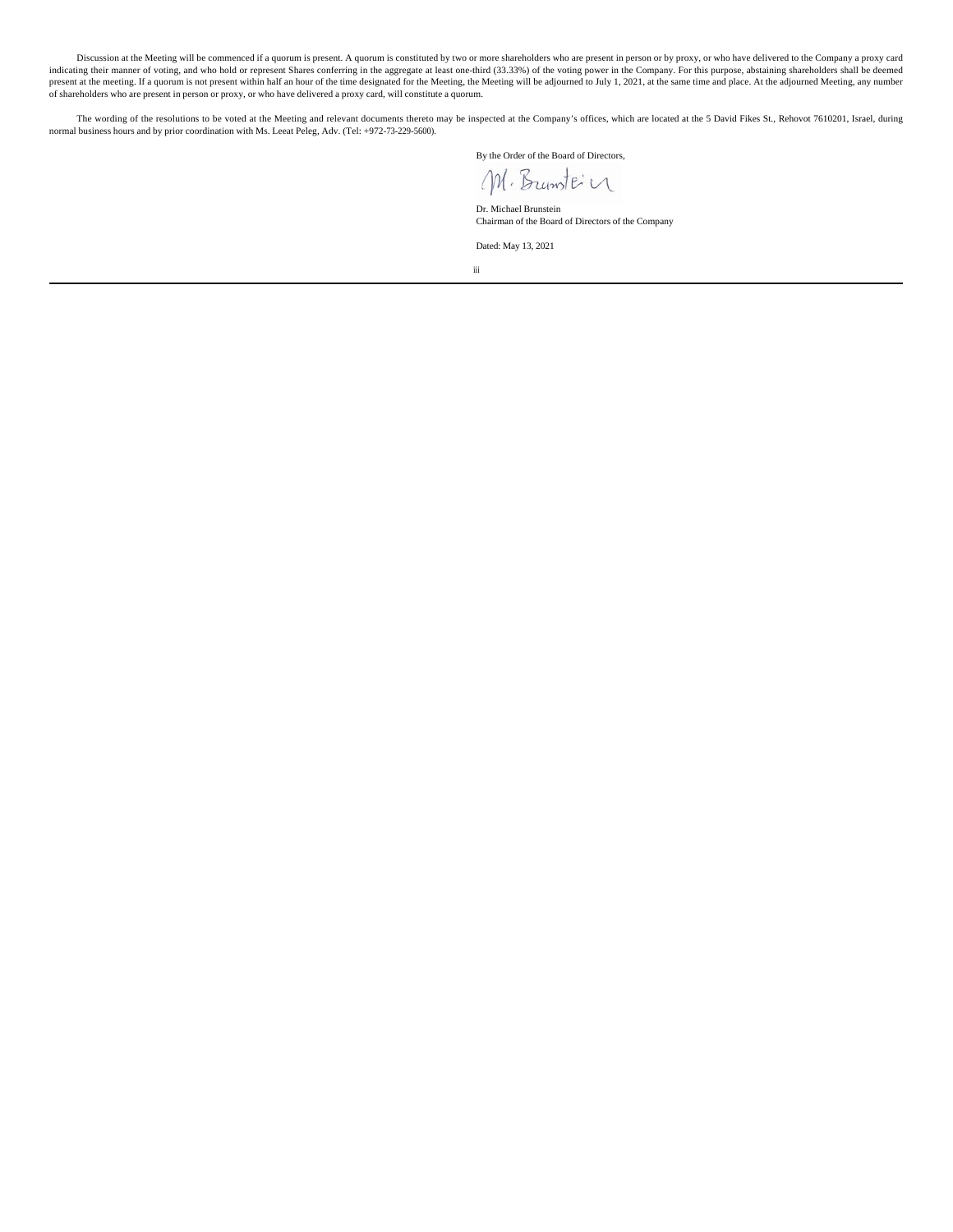Discussion at the Meeting will be commenced if a quorum is present. A quorum is constituted by two or more shareholders who are present in person or by proxy, or who have delivered to the Company a proxy card indicating their manner of voting, and who hold or represent Shares conferring in the aggregate at least one-third (33.33%) of the voting power in the Company. For this purpose, abstaining shareholders shall be deemed present at the meeting. If a quorum is not present within half an hour of the time designated for the Meeting, the Meeting will be adjourned to July 1, 2021, at the same time and place. At the adjourned Meeting, any number of shareholders who are present in person or proxy, or who have delivered a proxy card, will constitute a quorum.

The wording of the resolutions to be voted at the Meeting and relevant documents thereto may be inspected at the Company's offices, which are located at the 5 David Fikes St., Rehovot 7610201, Israel, during normal business hours and by prior coordination with Ms. Leeat Peleg, Adv. (Tel: +972-73-229-5600).

By the Order of the Board of Directors,

M. Brunte'n

Dr. Michael Brunstein Chairman of the Board of Directors of the Company

Dated: May 13, 2021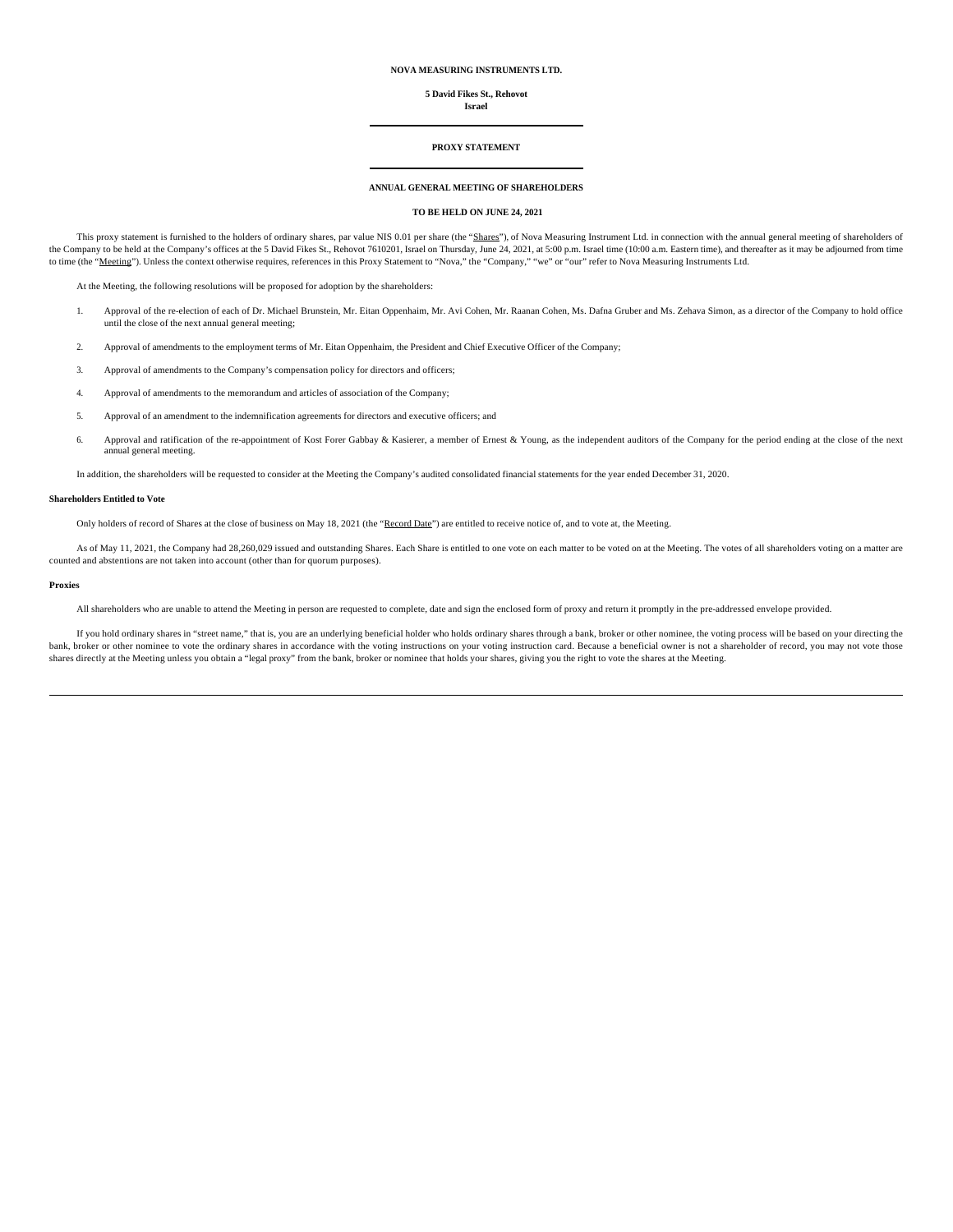# **NOVA MEASURING INSTRUMENTS LTD.**

# **5 David Fikes St., Rehovot**

# **Israel**

#### **PROXY STATEMENT**

# **ANNUAL GENERAL MEETING OF SHAREHOLDERS**

# **TO BE HELD ON JUNE 24, 2021**

This proxy statement is furnished to the holders of ordinary shares, par value NIS 0.01 per share (the "Shares"), of Nova Measuring Instrument Ltd. in connection with the annual general meeting of shareholders of the Company to be held at the Company's offices at the 5 David Fikes St., Rehovot 7610201, Israel on Thursday, June 24, 2021, at 5:00 p.m. Israel time (10:00 a.m. Eastern time), and thereafter as it may be adjourned from t to time (the "Meeting"). Unless the context otherwise requires, references in this Proxy Statement to "Nova," the "Company," "we" or "our" refer to Nova Measuring Instruments Ltd.

At the Meeting, the following resolutions will be proposed for adoption by the shareholders:

- 1. Approval of the re-election of each of Dr. Michael Brunstein, Mr. Eitan Oppenhaim, Mr. Avi Cohen, Mr. Raanan Cohen, Ms. Dafna Gruber and Ms. Zehava Simon, as a director of the Company to hold office until the close of the next annual general meeting;
- 2. Approval of amendments to the employment terms of Mr. Eitan Oppenhaim, the President and Chief Executive Officer of the Company;
- 3. Approval of amendments to the Company's compensation policy for directors and officers;
- 4. Approval of amendments to the memorandum and articles of association of the Company;
- 5. Approval of an amendment to the indemnification agreements for directors and executive officers; and
- 6. Approval and ratification of the re-appointment of Kost Forer Gabbay & Kasierer, a member of Ernest & Young, as the independent auditors of the Company for the period ending at the close of the next annual general meeting.

In addition, the shareholders will be requested to consider at the Meeting the Company's audited consolidated financial statements for the year ended December 31, 2020.

#### **Shareholders Entitled to Vote**

Only holders of record of Shares at the close of business on May 18, 2021 (the "Record Date") are entitled to receive notice of, and to vote at, the Meeting.

As of May 11, 2021, the Company had 28,260,029 issued and outstanding Shares. Each Share is entitled to one vote on each matter to be voted on at the Meeting. The votes of all shareholders voting on a matter are counted and abstentions are not taken into account (other than for quorum purposes).

#### **Proxies**

All shareholders who are unable to attend the Meeting in person are requested to complete, date and sign the enclosed form of proxy and return it promptly in the pre-addressed envelope provided.

If you hold ordinary shares in "street name," that is, you are an underlying beneficial holder who holds ordinary shares through a bank, broker or other nominee, the voting process will be based on your directing the bank, broker or other nominee to vote the ordinary shares in accordance with the voting instructions on your voting instruction card. Because a beneficial owner is not a shareholder of record, you may not vote those shares directly at the Meeting unless you obtain a "legal proxy" from the bank, broker or nominee that holds your shares, giving you the right to vote the shares at the Meeting.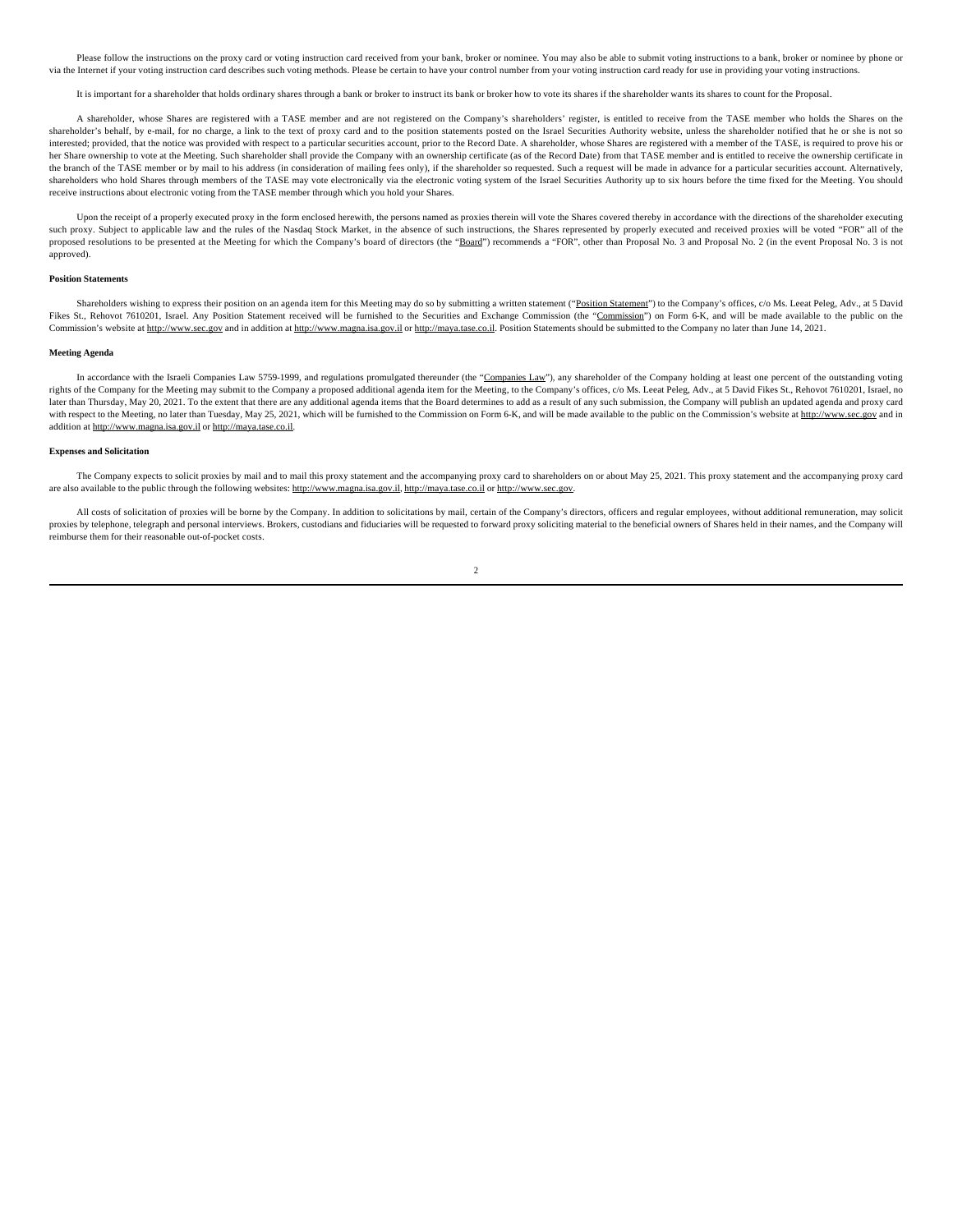Please follow the instructions on the proxy card or voting instruction card received from your bank, broker or nominee. You may also be able to submit voting instructions to a bank, broker or nominee by phone or via the Internet if your voting instruction card describes such voting methods. Please be certain to have your control number from your voting instruction card ready for use in providing your voting instructions.

It is important for a shareholder that holds ordinary shares through a bank or broker to instruct its bank or broker how to vote its shares if the shareholder wants its shares to count for the Proposal.

A shareholder, whose Shares are registered with a TASE member and are not registered on the Company's shareholders' register, is entitled to receive from the TASE member who holds the Shares on the shareholder's behalf, by e-mail, for no charge, a link to the text of proxy card and to the position statements posted on the Israel Securities Authority website, unless the shareholder notified that he or she is not so interested; provided, that the notice was provided with respect to a particular securities account, prior to the Record Date. A shareholder, whose Shares are registered with a member of the TASE, is required to prove his or her Share ownership to vote at the Meeting. Such shareholder shall provide the Company with an ownership certificate (as of the Record Date) from that TASE member and is entitled to receive the ownership certificate in the branch of the TASE member or by mail to his address (in consideration of mailing fees only), if the shareholder so requested. Such a request will be made in advance for a particular securities account. Alternatively, shareholders who hold Shares through members of the TASE may vote electronically via the electronic voting system of the Israel Securities Authority up to six hours before the time fixed for the Meeting. You should receive instructions about electronic voting from the TASE member through which you hold your Shares.

Upon the receipt of a properly executed proxy in the form enclosed herewith, the persons named as proxies therein will vote the Shares covered thereby in accordance with the directions of the shareholder executing such proxy. Subject to applicable law and the rules of the Nasdaq Stock Market, in the absence of such instructions, the Shares represented by properly executed and received proxies will be voted "FOR" all of the proposed resolutions to be presented at the Meeting for which the Company's board of directors (the "Board") recommends a "FOR", other than Proposal No. 3 and Proposal No. 3 and Proposal No. 2 (in the event Proposal No. 3 approved).

#### **Position Statements**

Shareholders wishing to express their position on an agenda item for this Meeting may do so by submitting a written statement ("Position Statement") to the Company's offices, c/o Ms. Leeat Peleg, Adv., at 5 David Fikes St., Rehovot 7610201, Israel. Any Position Statement received will be furnished to the Securities and Exchange Commission (the "Commission") on Form 6-K, and will be made available to the public on the Commission's website at http://www.sec.gov and in addition at http://www.magna.isa.gov.il or http://maya.tase.co.il. Position Statements should be submitted to the Company no later than June 14, 2021.

#### **Meeting Agenda**

In accordance with the Israeli Companies Law 5759-1999, and regulations promulgated thereunder (the "Companies Law"), any shareholder of the Company holding at least one percent of the outstanding voting rights of the Company for the Meeting may submit to the Company a proposed additional agenda item for the Meeting, to the Company's offices, c/o Ms. Leeat Peleg, Adv., at 5 David Fikes St., Rehovot 7610201, Israel, no later than Thursday, May 20, 2021. To the extent that there are any additional agenda items that the Board determines to add as a result of any such submission, the Company will publish an updated agenda and proxy card with respect to the Meeting, no later than Tuesday, May 25, 2021, which will be furnished to the Commission on Form 6-K, and will be made available to the public on the Commission's website at http://www.sec.gov and in addition at http://www.magna.isa.gov.il or http://maya.tase.co.il.

#### **Expenses and Solicitation**

The Company expects to solicit proxies by mail and to mail this proxy statement and the accompanying proxy card to shareholders on or about May 25, 2021. This proxy statement and the accompanying proxy card are also available to the public through the following websites: http://www.magna.isa.gov.il, http://maya.tase.co.il or http://www.sec.gov.

All costs of solicitation of proxies will be borne by the Company. In addition to solicitations by mail, certain of the Company's directors, officers and regular employees, without additional remuneration, may solicit proxies by telephone, telegraph and personal interviews. Brokers, custodians and fiduciaries will be requested to forward proxy soliciting material to the beneficial owners of Shares held in their names, and the Company wi reimburse them for their reasonable out-of-pocket costs.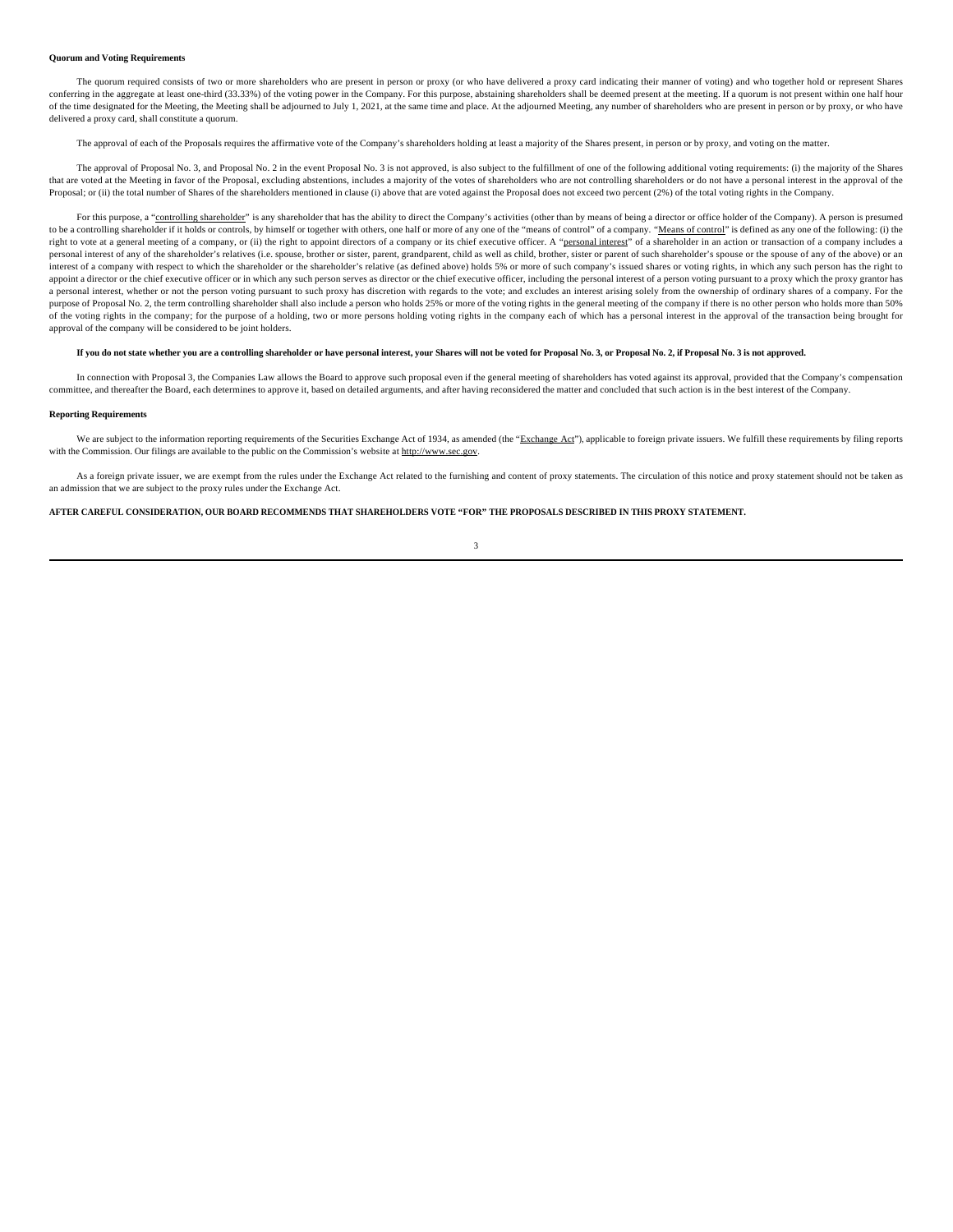#### **Quorum and Voting Requirements**

The quorum required consists of two or more shareholders who are present in person or proxy (or who have delivered a proxy card indicating their manner of voting) and who together hold or represent Shares conferring in the aggregate at least one-third (33.33%) of the voting power in the Company. For this purpose, abstaining shareholders shall be deemed present at the meeting. If a quorum is not present within one half hour of the time designated for the Meeting, the Meeting shall be adjourned to July 1, 2021, at the same time and place. At the adjourned Meeting, any number of shareholders who are present in person or by proxy, or who have delivered a proxy card, shall constitute a quorum.

The approval of each of the Proposals requires the affirmative vote of the Company's shareholders holding at least a majority of the Shares present, in person or by proxy, and voting on the matter.

The approval of Proposal No. 3, and Proposal No. 2 in the event Proposal No. 3 is not approved, is also subject to the fulfillment of one of the following additional voting requirements: (i) the majority of the Shares that are voted at the Meeting in favor of the Proposal, excluding abstentions, includes a majority of the votes of shareholders who are not controlling shareholders or do not have a personal interest in the approval of the Proposal; or (ii) the total number of Shares of the shareholders mentioned in clause (i) above that are voted against the Proposal does not exceed two percent (2%) of the total voting rights in the Company.

For this purpose, a "controlling shareholder" is any shareholder that has the ability to direct the Company's activities (other than by means of being a director or office holder of the Company). A person is presumed to be a controlling shareholder if it holds or controls, by himself or together with others, one half or more of any one of the "means of control" of a company. "Means of control" is defined as any one of the following: (i right to vote at a general meeting of a company, or (ii) the right to appoint directors of a company or its chief executive officer. A "personal interest" of a shareholder in an action or transaction of a company includes personal interest of any of the shareholder's relatives (i.e. spouse, brother or sister, parent, grandparent, child as well as child, brother, sister or parent of such shareholder's spouse or the spouse of any of the above interest of a company with respect to which the shareholder or the shareholder's relative (as defined above) holds 5% or more of such company's issued shares or voting rights, in which any such person has the right to appoint a director or the chief executive officer or in which any such person serves as director or the chief executive officer, including the personal interest of a person voting pursuant to a proxy which the proxy granto a personal interest, whether or not the person voting pursuant to such proxy has discretion with regards to the vote; and excludes an interest arising solely from the ownership of ordinary shares of a company. For the purpose of Proposal No. 2, the term controlling shareholder shall also include a person who holds 25% or more of the voting rights in the general meeting of the company if there is no other person who holds more than 50% of the voting rights in the company; for the purpose of a holding, two or more persons holding voting rights in the company each of which has a personal interest in the approval of the transaction being brought for approval of the company will be considered to be joint holders.

### **If you do not state whether you are a controlling shareholder or have personal interest, your Shares will not be voted for Proposal No. 3, or Proposal No. 2, if Proposal No. 3 is not approved.**

In connection with Proposal 3, the Companies Law allows the Board to approve such proposal even if the general meeting of shareholders has voted against its approval, provided that the Company's compensation committee, and thereafter the Board, each determines to approve it, based on detailed arguments, and after having reconsidered the matter and concluded that such action is in the best interest of the Company.

#### **Reporting Requirements**

We are subject to the information reporting requirements of the Securities Exchange Act of 1934, as amended (the "Exchange Act"), applicable to foreign private issuers. We fulfill these requirements by filing reports with the Commission. Our filings are available to the public on the Commission's website at http://www.sec.gov.

As a foreign private issuer, we are exempt from the rules under the Exchange Act related to the furnishing and content of proxy statements. The circulation of this notice and proxy statement should not be taken as an admission that we are subject to the proxy rules under the Exchange Act.

**AFTER CAREFUL CONSIDERATION, OUR BOARD RECOMMENDS THAT SHAREHOLDERS VOTE "FOR" THE PROPOSALS DESCRIBED IN THIS PROXY STATEMENT.**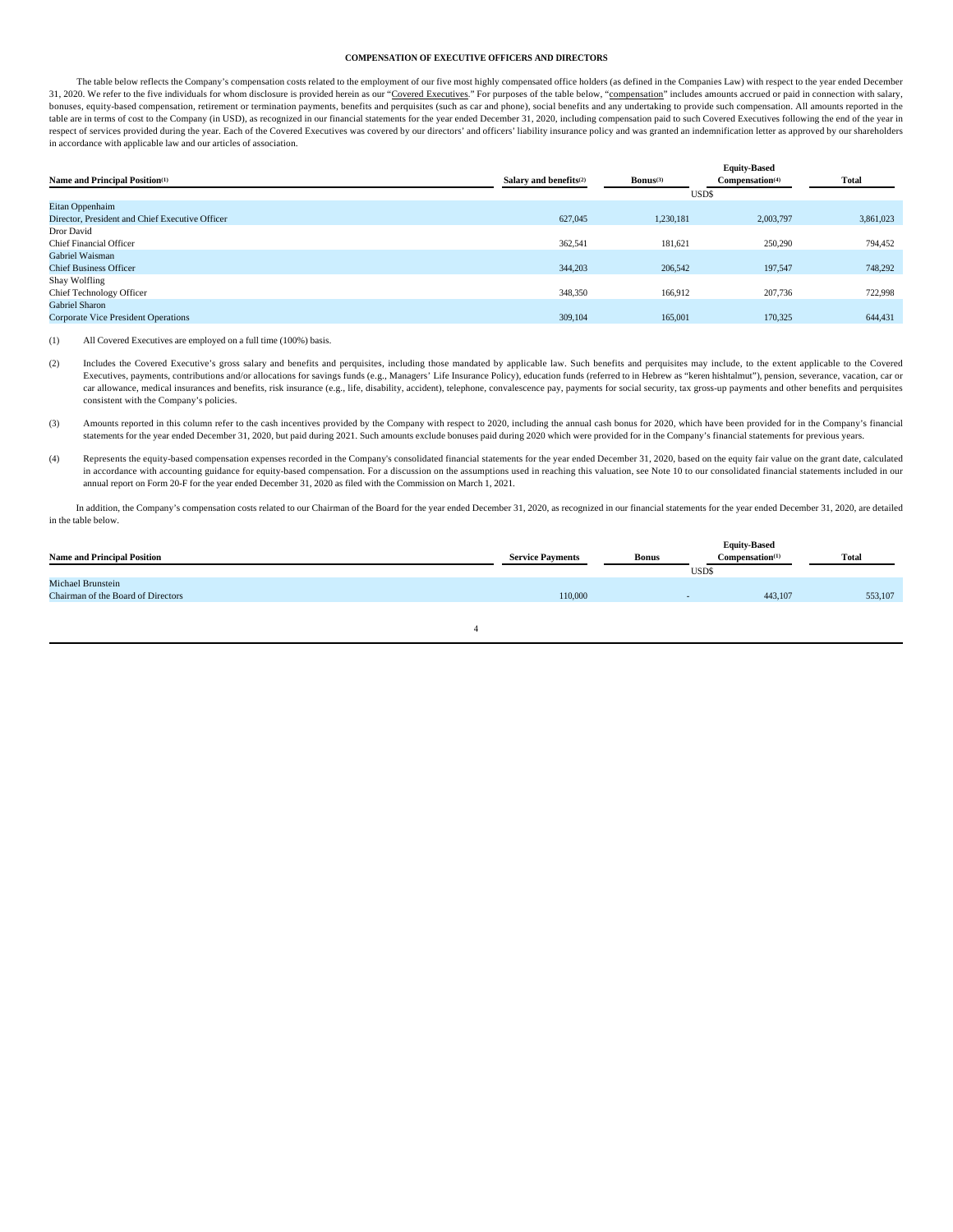#### **COMPENSATION OF EXECUTIVE OFFICERS AND DIRECTORS**

The table below reflects the Company's compensation costs related to the employment of our five most highly compensated office holders (as defined in the Companies Law) with respect to the year ended December 31, 2020. We refer to the five individuals for whom disclosure is provided herein as our "Covered Executives." For purposes of the table below, "compensation" includes amounts accrued or paid in connection with salary, bonuses, equity-based compensation, retirement or termination payments, benefits and perquisites (such as car and phone), social benefits and any undertaking to provide such compensation. All amounts reported in the table are in terms of cost to the Company (in USD), as recognized in our financial statements for the year ended December 31, 2020, including compensation paid to such Covered Executives following the end of the year in respect of services provided during the year. Each of the Covered Executives was covered by our directors' and officers' liability insurance policy and was granted an indemnification letter as approved by our shareholders in accordance with applicable law and our articles of association.

|                                                 |                                    |                        | <b>Equity-Based</b>         |              |
|-------------------------------------------------|------------------------------------|------------------------|-----------------------------|--------------|
| Name and Principal Position <sup>(1)</sup>      | Salary and benefits <sup>(2)</sup> | $\mathbf{Bonus}^{(3)}$ | Compensation <sup>(4)</sup> | <b>Total</b> |
|                                                 |                                    |                        | USD\$                       |              |
| Eitan Oppenhaim                                 |                                    |                        |                             |              |
| Director, President and Chief Executive Officer | 627,045                            | 1,230,181              | 2,003,797                   | 3,861,023    |
| Dror David                                      |                                    |                        |                             |              |
| <b>Chief Financial Officer</b>                  | 362,541                            | 181,621                | 250,290                     | 794,452      |
| Gabriel Waisman                                 |                                    |                        |                             |              |
| <b>Chief Business Officer</b>                   | 344,203                            | 206,542                | 197.547                     | 748,292      |
| Shay Wolfling                                   |                                    |                        |                             |              |
| <b>Chief Technology Officer</b>                 | 348,350                            | 166.912                | 207,736                     | 722,998      |
| Gabriel Sharon                                  |                                    |                        |                             |              |
| <b>Corporate Vice President Operations</b>      | 309,104                            | 165,001                | 170.325                     | 644,431      |
|                                                 |                                    |                        |                             |              |

(1) All Covered Executives are employed on a full time (100%) basis.

(2) Includes the Covered Executive's gross salary and benefits and perquisites, including those mandated by applicable law. Such benefits and perquisites may include, to the extent applicable to the Covered Executives, payments, contributions and/or allocations for savings funds (e.g., Managers' Life Insurance Policy), education funds (referred to in Hebrew as "keren hishtalmut"), pension, severance, vacation, car or car allowance, medical insurances and benefits, risk insurance (e.g., life, disability, accident), telephone, convalescence pay, payments for social security, tax gross-up payments and other benefits and perquisites are al consistent with the Company's policies.

(3) Amounts reported in this column refer to the cash incentives provided by the Company with respect to 2020, including the annual cash bonus for 2020, which have been provided for in the Company's financial statements for the year ended December 31, 2020, but paid during 2021. Such amounts exclude bonuses paid during 2020 which were provided for in the Company's financial statements for previous years.

(4) Represents the equity-based compensation expenses recorded in the Company's consolidated financial statements for the year ended December 31, 2020, based on the equity fair value on the grant date, calculated in accordance with accounting guidance for equity-based compensation. For a discussion on the assumptions used in reaching this valuation, see Note 10 to our consolidated financial statements included in our annual report on Form 20-F for the year ended December 31, 2020 as filed with the Commission on March 1, 2021.

In addition, the Company's compensation costs related to our Chairman of the Board for the year ended December 31, 2020, as recognized in our financial statements for the year ended December 31, 2020, are detailed in the table below.

| <b>Name and Principal Position</b>                      | <b>Service Payments</b> | <b>Bonus</b> | <b>Equity-Based</b><br>Compensation <sup>(1)</sup><br>USD\$ | <b>Total</b> |
|---------------------------------------------------------|-------------------------|--------------|-------------------------------------------------------------|--------------|
| Michael Brunstein<br>Chairman of the Board of Directors | 110,000                 |              | 443,107                                                     | 553,107      |
|                                                         |                         |              |                                                             |              |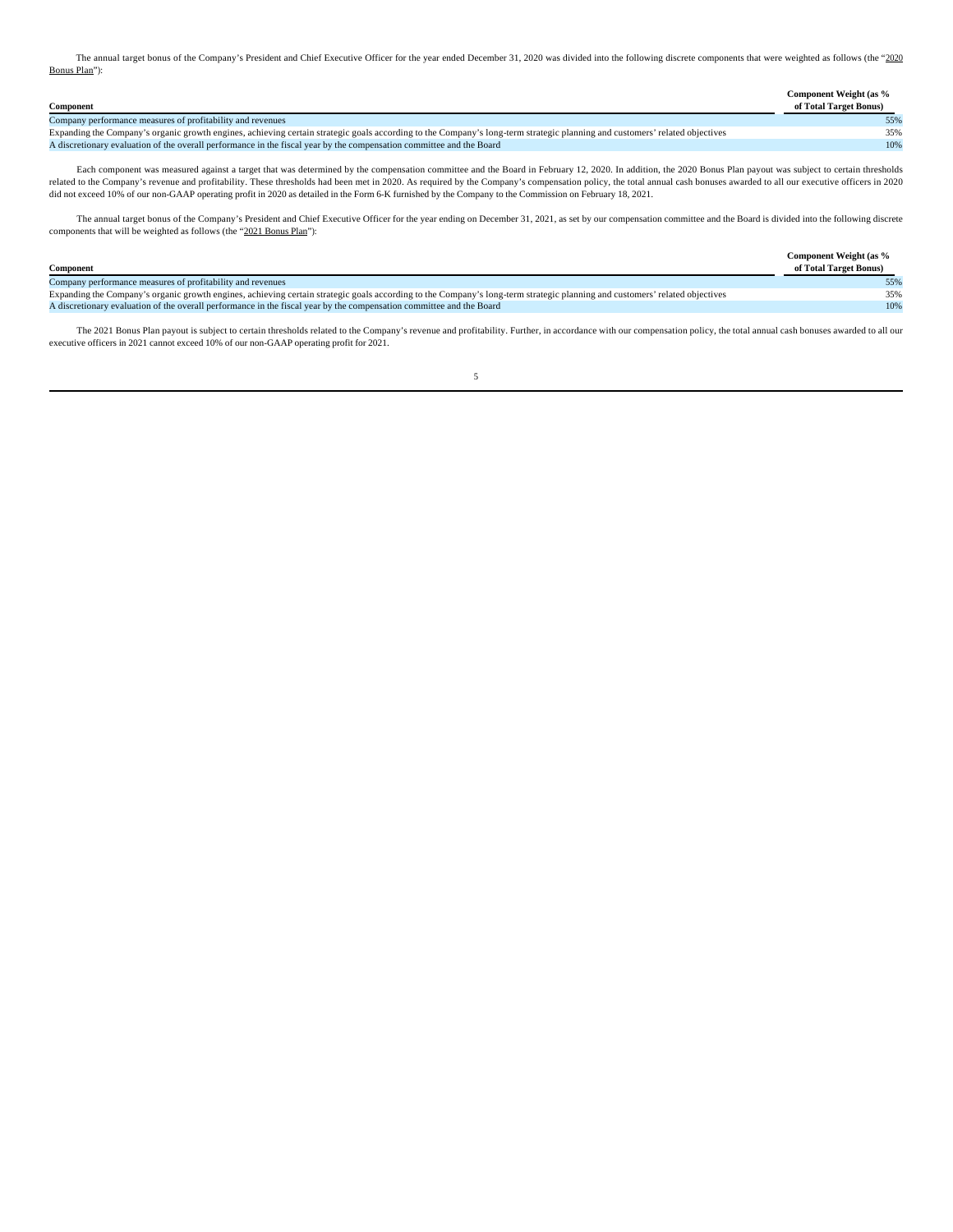The annual target bonus of the Company's President and Chief Executive Officer for the year ended December 31, 2020 was divided into the following discrete components that were weighted as follows (the "2020 Bonus Plan"):

|                                                                                                                                                                             | Component Weight (as % |
|-----------------------------------------------------------------------------------------------------------------------------------------------------------------------------|------------------------|
| Component                                                                                                                                                                   | of Total Target Bonus) |
| Company performance measures of profitability and revenues                                                                                                                  |                        |
| Expanding the Company's organic growth engines, achieving certain strategic goals according to the Company's long-term strategic planning and customers' related objectives | 35%                    |
| A discretionary evaluation of the overall performance in the fiscal year by the compensation committee and the Board                                                        | 10%                    |

Each component was measured against a target that was determined by the compensation committee and the Board in February 12, 2020. In addition, the 2020 Bonus Plan payout was subject to certain thresholds related to the Company's revenue and profitability. These thresholds had been met in 2020. As required by the Company's compensation policy, the total annual cash bonuses awarded to all our executive officers in 2020<br>did n

The annual target bonus of the Company's President and Chief Executive Officer for the year ending on December 31, 2021, as set by our compensation committee and the Board is divided into the following discrete components that will be weighted as follows (the "2021 Bonus Plan"):

|                                                                                                                                                                             | Component Weight (as % |
|-----------------------------------------------------------------------------------------------------------------------------------------------------------------------------|------------------------|
| Component                                                                                                                                                                   | of Total Target Bonus) |
| Company performance measures of profitability and revenues                                                                                                                  |                        |
| Expanding the Company's organic growth engines, achieving certain strategic goals according to the Company's long-term strategic planning and customers' related objectives |                        |
| A discretionary evaluation of the overall performance in the fiscal year by the compensation committee and the Board                                                        | 10%                    |

The 2021 Bonus Plan payout is subject to certain thresholds related to the Company's revenue and profitability. Further, in accordance with our compensation policy, the total annual cash bonuses awarded to all our executive officers in 2021 cannot exceed 10% of our non-GAAP operating profit for 2021.

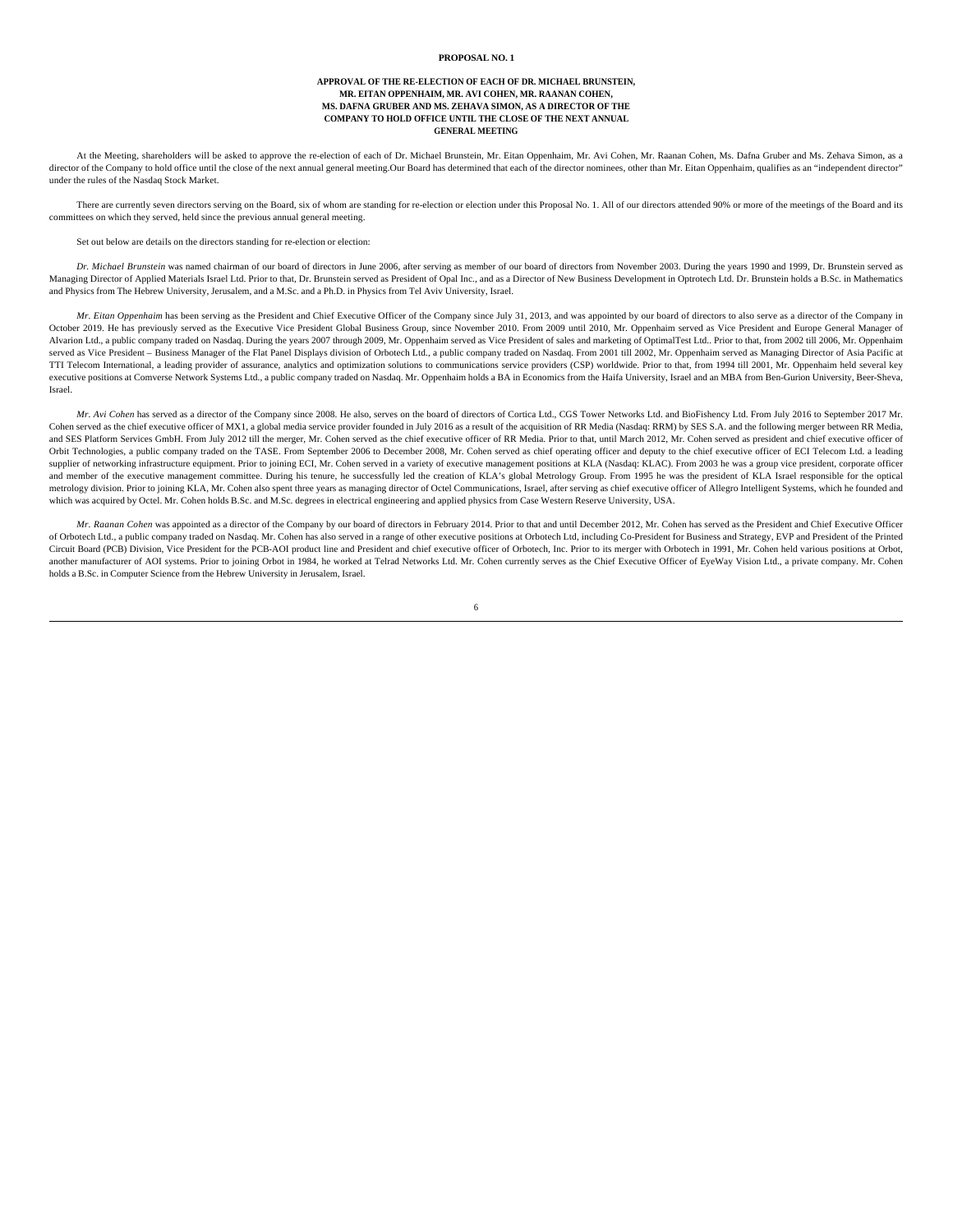### **PROPOSAL NO. 1**

# **APPROVAL OF THE RE-ELECTION OF EACH OF DR. MICHAEL BRUNSTEIN, MR. EITAN OPPENHAIM, MR. AVI COHEN, MR. RAANAN COHEN, MS. DAFNA GRUBER AND MS. ZEHAVA SIMON, AS A DIRECTOR OF THE COMPANY TO HOLD OFFICE UNTIL THE CLOSE OF THE NEXT ANNUAL GENERAL MEETING**

At the Meeting, shareholders will be asked to approve the re-election of each of Dr. Michael Brunstein, Mr. Eitan Oppenhaim, Mr. Avi Cohen, Mr. Raanan Cohen, Ms. Dafna Gruber and Ms. Zehava Simon, as a director of the Company to hold office until the close of the next annual general meeting.Our Board has determined that each of the director nominees, other than Mr. Eitan Oppenhaim, qualifies as an "independent director" under the rules of the Nasdaq Stock Market.

There are currently seven directors serving on the Board, six of whom are standing for re-election or election under this Proposal No. 1. All of our directors attended 90% or more of the meetings of the Board and its committees on which they served, held since the previous annual general meeting.

Set out below are details on the directors standing for re-election or election:

*Dr. Michael Brunstein* was named chairman of our board of directors in June 2006, after serving as member of our board of directors from November 2003. During the years 1990 and 1999, Dr. Brunstein served as Managing Director of Applied Materials Israel Ltd. Prior to that, Dr. Brunstein served as President of Opal Inc., and as a Director of New Business Development in Optrotech Ltd. Dr. Brunstein holds a B.Sc. in Mathematics and Physics from The Hebrew University, Jerusalem, and a M.Sc. and a Ph.D. in Physics from Tel Aviv University, Israel.

*Mr. Eitan Oppenhaim* has been serving as the President and Chief Executive Officer of the Company since July 31, 2013, and was appointed by our board of directors to also serve as a director of the Company in October 2019. He has previously served as the Executive Vice President Global Business Group, since November 2010. From 2009 until 2010, Mr. Oppenhaim served as Vice President and Europe General Manager of Alvarion Ltd., a public company traded on Nasdaq. During the years 2007 through 2009, Mr. Oppenhaim served as Vice President of sales and marketing of OptimalTest Ltd.. Prior to that, from 2002 till 2006, Mr. Oppenhaim served as Vice President – Business Manager of the Flat Panel Displays division of Orbotech Ltd., a public company traded on Nasdaq. From 2001 till 2002, Mr. Oppenhaim served as Managing Director of Asia Pacific at TTI Telecom International, a leading provider of assurance, analytics and optimization solutions to communications service providers (CSP) worldwide. Prior to that, from 1994 till 2001, Mr. Oppenhaim held several key executive positions at Comverse Network Systems Ltd., a public company traded on Nasdaq. Mr. Oppenhaim holds a BA in Economics from the Haifa University, Israel and an MBA from Ben-Gurion University, Beer-Sheva, Israel.

*Mr. Avi Cohen* has served as a director of the Company since 2008. He also, serves on the board of directors of Cortica Ltd., CGS Tower Networks Ltd. and BioFishency Ltd. From July 2016 to September 2017 Mr. Cohen served as the chief executive officer of MX1, a global media service provider founded in July 2016 as a result of the acquisition of RR Media (Nasdaq: RRM) by SES S.A. and the following merger between RR Media, and SES Platform Services GmbH. From July 2012 till the merger, Mr. Cohen served as the chief executive officer of RR Media. Prior to that, until March 2012, Mr. Cohen served as president and chief executive officer of Orbit Technologies, a public company traded on the TASE. From September 2006 to December 2008, Mr. Cohen served as chief operating officer and deputy to the chief executive officer of ECI Telecom Ltd. a leading supplier of networking infrastructure equipment. Prior to joining ECI, Mr. Cohen served in a variety of executive management positions at KLA (Nasdaq: KLAC). From 2003 he was a group vice president, corporate officer and member of the executive management committee. During his tenure, he successfully led the creation of KLA's global Metrology Group. From 1995 he was the president of KLA Israel responsible for the optical metrology division. Prior to joining KLA, Mr. Cohen also spent three years as managing director of Octel Communications, Israel, after serving as chief executive officer of Allegro Intelligent Systems, which he founded and which was acquired by Octel. Mr. Cohen holds B.Sc. and M.Sc. degrees in electrical engineering and applied physics from Case Western Reserve University, USA.

*Mr. Raanan Cohen* was appointed as a director of the Company by our board of directors in February 2014. Prior to that and until December 2012, Mr. Cohen has served as the President and Chief Executive Officer of Orbotech Ltd., a public company traded on Nasdaq. Mr. Cohen has also served in a range of other executive positions at Orbotech Ltd, including Co-President for Business and Strategy, EVP and President of the Printed Circuit Board (PCB) Division, Vice President for the PCB-AOI product line and President and chief executive officer of Orbotech, Inc. Prior to its merger with Orbotech in 1991, Mr. Cohen held various positions at Orbot, another manufacturer of AOI systems. Prior to joining Orbot in 1984, he worked at Telrad Networks Ltd. Mr. Cohen currently serves as the Chief Executive Officer of EyeWay Vision Ltd., a private company. Mr. Cohen holds a B.Sc. in Computer Science from the Hebrew University in Jerusalem, Israel.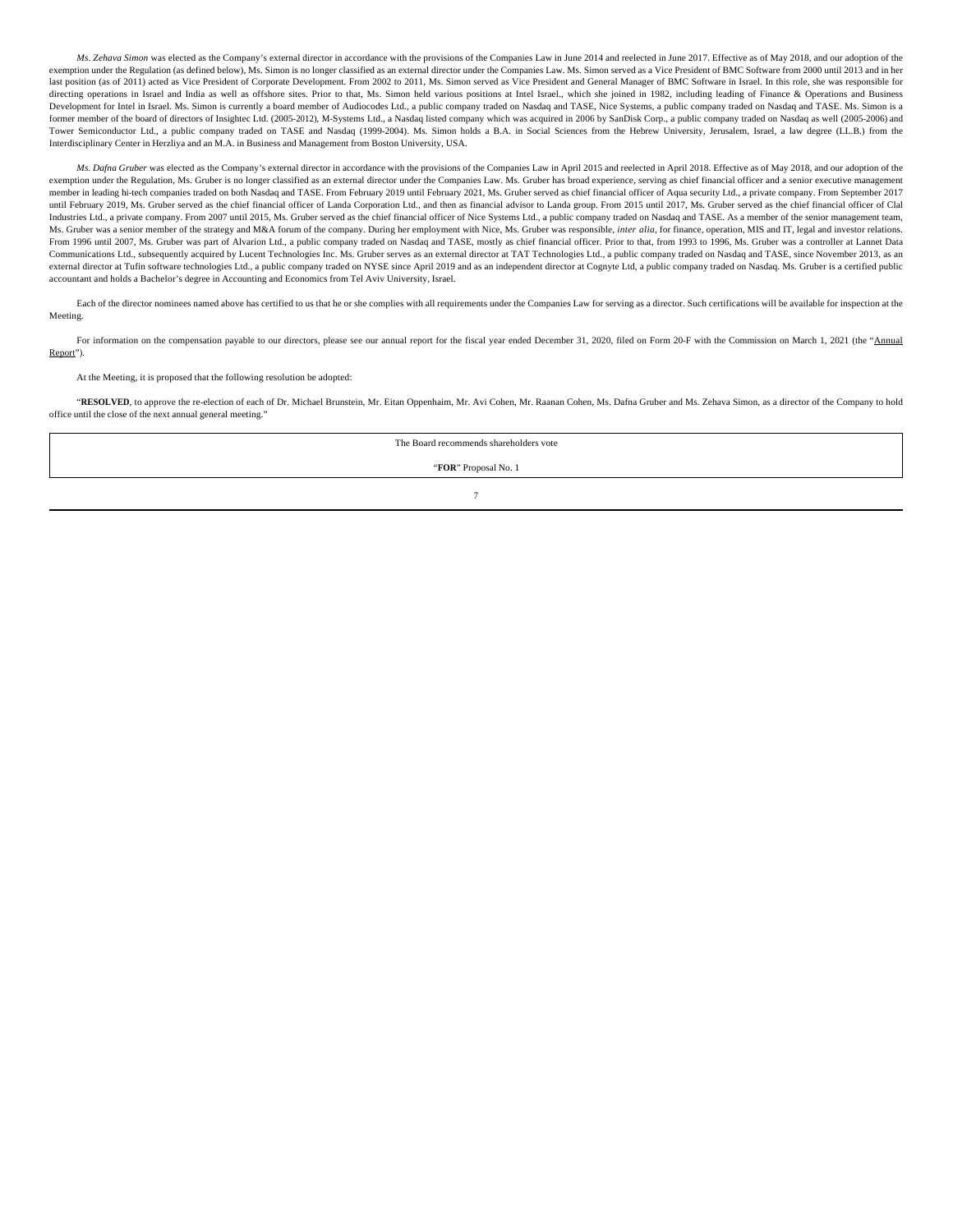*Ms. Zehava Simon* was elected as the Company's external director in accordance with the provisions of the Companies Law in June 2014 and reelected in June 2017. Effective as of May 2018, and our adoption of the exemption under the Regulation (as defined below), Ms. Simon is no longer classified as an external director under the Companies Law. Ms. Simon served as a Vice President of BMC Software from 2000 until 2013 and in her last position (as of 2011) acted as Vice President of Corporate Development. From 2002 to 2011, Ms. Simon served as Vice President and General Manager of BMC Software in Israel. In this role, she was responsible for directing operations in Israel and India as well as offshore sites. Prior to that, Ms. Simon held various positions at Intel Israel., which she joined in 1982, including leading of Finance & Operations and Business Development for Intel in Israel. Ms. Simon is currently a board member of Audiocodes Ltd., a public company traded on Nasdaq and TASE, Nice Systems, a public company traded on Nasdaq and TASE. Ms. Simon is a former member of the board of directors of Insightec Ltd. (2005-2012), M-Systems Ltd., a Nasdaq listed company which was acquired in 2006 by SanDisk Corp., a public company traded on Nasdaq as well (2005-2006) and Tower Semiconductor Ltd., a public company traded on TASE and Nasdaq (1999-2004). Ms. Simon holds a B.A. in Social Sciences from the Hebrew University, Jerusalem, Israel, a law degree (LL.B.) from the Interdisciplinary Center in Herzliya and an M.A. in Business and Management from Boston University, USA.

*Ms. Dafna Gruber* was elected as the Company's external director in accordance with the provisions of the Companies Law in April 2015 and reelected in April 2018. Effective as of May 2018, and our adoption of the exemption under the Regulation, Ms. Gruber is no longer classified as an external director under the Companies Law. Ms. Gruber has broad experience, serving as chief financial officer and a senior executive management member in leading hi-tech companies traded on both Nasdaq and TASE. From February 2019 until February 2021, Ms. Gruber served as chief financial officer of Aqua security Ltd., a private company. From September 2017 until February 2019, Ms. Gruber served as the chief financial officer of Landa Corporation Ltd., and then as financial advisor to Landa group. From 2015 until 2017, Ms. Gruber served as the chief financial officer of Clal Industries Ltd., a private company. From 2007 until 2015, Ms. Gruber served as the chief financial officer of Nice Systems Ltd., a public company traded on Nasdaq and TASE. As a member of the senior management team, Ms. Gruber was a senior member of the strategy and M&A forum of the company. During her employment with Nice, Ms. Gruber was responsible, *inter alia*, for finance, operation, MIS and IT, legal and investor relations. From 1996 until 2007, Ms. Gruber was part of Alvarion Ltd., a public company traded on Nasdaq and TASE, mostly as chief financial officer. Prior to that, from 1993 to 1996, Ms. Gruber was a controller at Lannet Data Communications Ltd., subsequently acquired by Lucent Technologies Inc. Ms. Gruber serves as an external director at TAT Technologies Ltd., a public company traded on Nasdaq and TASE, since November 2013, as an external director at Tufin software technologies Ltd., a public company traded on NYSE since April 2019 and as an independent director at Cognyte Ltd, a public company traded on Nasdaq. Ms. Gruber is a certified public accountant and holds a Bachelor's degree in Accounting and Economics from Tel Aviv University, Israel.

Each of the director nominees named above has certified to us that he or she complies with all requirements under the Companies Law for serving as a director. Such certifications will be available for inspection at the Meeting.

For information on the compensation payable to our directors, please see our annual report for the fiscal year ended December 31, 2020, filed on Form 20-F with the Commission on March 1, 2021 (the "Annual Report").

#### At the Meeting, it is proposed that the following resolution be adopted:

"**RESOLVED**, to approve the re-election of each of Dr. Michael Brunstein, Mr. Eitan Oppenhaim, Mr. Avi Cohen, Mr. Raanan Cohen, Ms. Dafna Gruber and Ms. Zehava Simon, as a director of the Company to hold office until the close of the next annual general meeting."

The Board recommends shareholders vote

"**FOR**" Proposal No. 1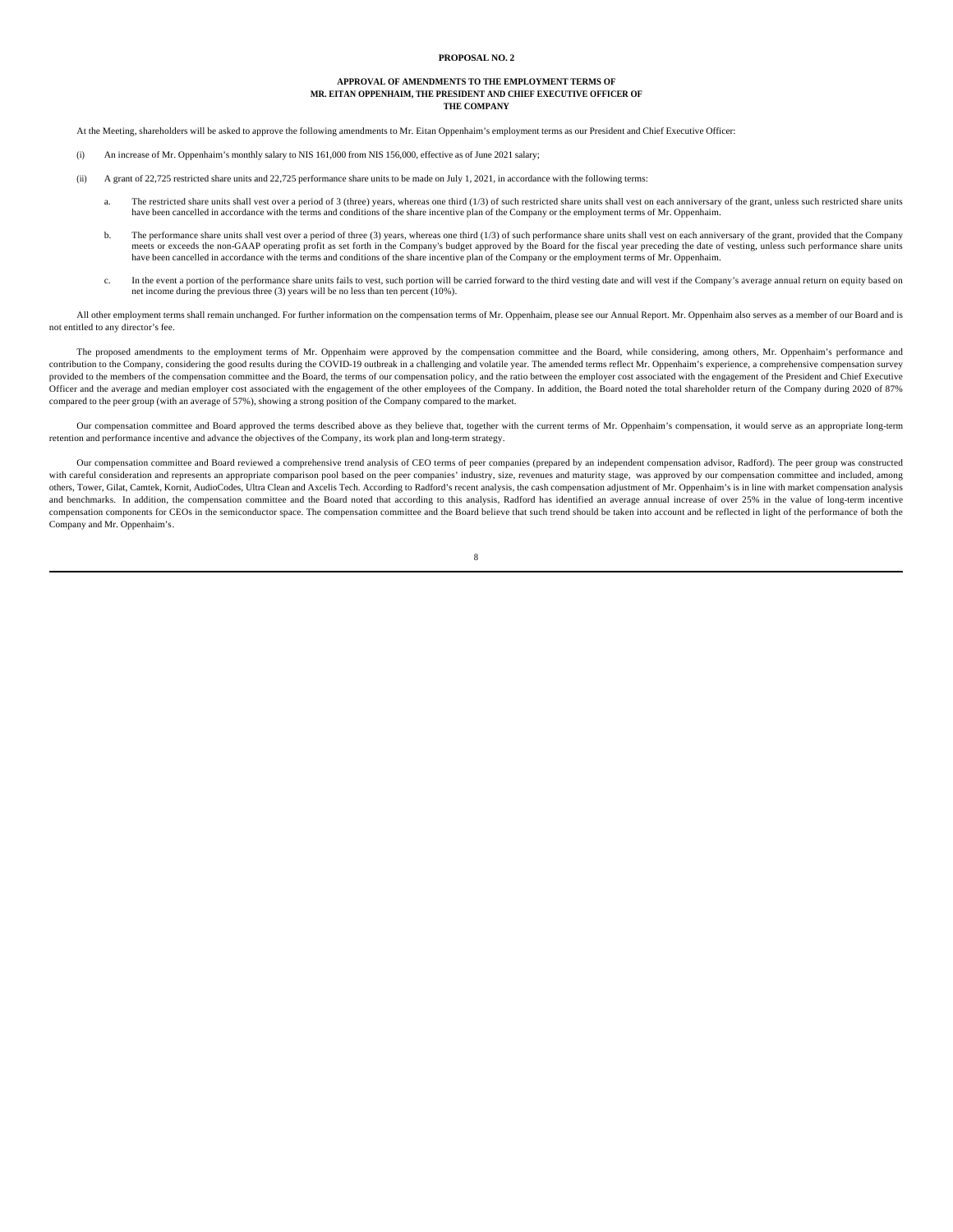#### **PROPOSAL NO. 2**

# **APPROVAL OF AMENDMENTS TO THE EMPLOYMENT TERMS OF MR. EITAN OPPENHAIM, THE PRESIDENT AND CHIEF EXECUTIVE OFFICER OF THE COMPANY**

At the Meeting, shareholders will be asked to approve the following amendments to Mr. Eitan Oppenhaim's employment terms as our President and Chief Executive Officer:

- (i) An increase of Mr. Oppenhaim's monthly salary to NIS 161,000 from NIS 156,000, effective as of June 2021 salary;
- (ii) A grant of 22,725 restricted share units and 22,725 performance share units to be made on July 1, 2021, in accordance with the following terms:
	- a. The restricted share units shall vest over a period of 3 (three) years, whereas one third (1/3) of such restricted share units shall vest on each anniversary of the grant, unless such restricted share units have been cancelled in accordance with the terms and conditions of the share incentive plan of the Company or the employment terms of Mr. Oppenhaim
	- b. The performance share units shall vest over a period of three (3) years, whereas one third (1/3) of such performance share units shall vest on each anniversary of the grant, provided that the Company meets or exceeds th have been cancelled in accordance with the terms and conditions of the share incentive plan of the Company or the employment terms of Mr. Oppenhaim.
	- c. In the event a portion of the performance share units fails to vest, such portion will be carried forward to the third vesting date and will vest if the Company's average annual return on equity based on net income during the previous three (3) years will be no less than ten percent (10%).

All other employment terms shall remain unchanged. For further information on the compensation terms of Mr. Oppenhaim, please see our Annual Report. Mr. Oppenhaim also serves as a member of our Board and is not entitled to any director's fee.

The proposed amendments to the employment terms of Mr. Oppenhaim were approved by the compensation committee and the Board, while considering, among others, Mr. Oppenhaim's performance and contribution to the Company, considering the good results during the COVID-19 outbreak in a challenging and volatile year. The amended terms reflect Mr. Oppenhaim's experience, a comprehensive compensation survey provided to the members of the compensation committee and the Board, the terms of our compensation policy, and the ratio between the employer cost associated with the engagement of the President and Chief Executive Officer and the average and median employer cost associated with the engagement of the other employees of the Company. In addition, the Board noted the total shareholder return of the Company during 2020 of 87% compared to the peer group (with an average of 57%), showing a strong position of the Company compared to the market.

Our compensation committee and Board approved the terms described above as they believe that, together with the current terms of Mr. Oppenhaim's compensation, it would serve as an appropriate long-term retention and performance incentive and advance the objectives of the Company, its work plan and long-term strategy.

Our compensation committee and Board reviewed a comprehensive trend analysis of CEO terms of peer companies (prepared by an independent compensation advisor, Radford). The peer group was constructed with careful consideration and represents an appropriate comparison pool based on the peer companies' industry, size, revenues and maturity stage, was approved by our compensation committee and included, among others, Tower, Gilat, Camtek, Kornit, AudioCodes, Ultra Clean and Axcelis Tech. According to Radford's recent analysis, the cash compensation adjustment of Mr. Oppenhaim's is in line with market compensation analysis and benchmarks. In addition, the compensation committee and the Board noted that according to this analysis, Radford has identified an average annual increase of over 25% in the value of long-term incentive compensation components for CEOs in the semiconductor space. The compensation committee and the Board believe that such trend should be taken into account and be reflected in light of the performance of both the Company and Mr. Oppenhaim's.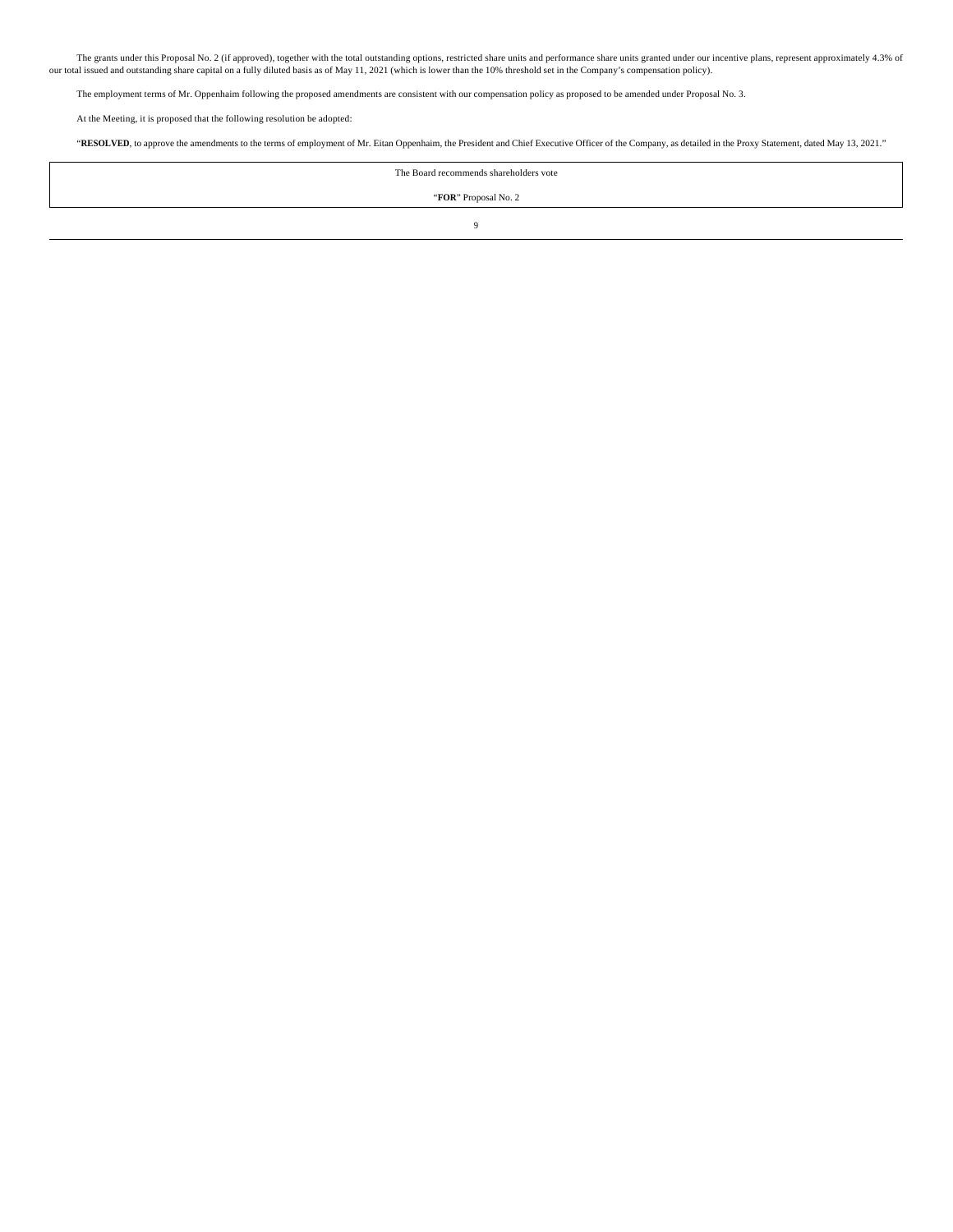The grants under this Proposal No. 2 (if approved), together with the total outstanding options, restricted share units and performance share units granted under our incentive plans, represent approximately 4.3% of our total issued and outstanding share capital on a fully diluted basis as of May 11, 2021 (which is lower than the 10% threshold set in the Company's compensation policy).

The employment terms of Mr. Oppenhaim following the proposed amendments are consistent with our compensation policy as proposed to be amended under Proposal No. 3.

At the Meeting, it is proposed that the following resolution be adopted:

"**RESOLVED**, to approve the amendments to the terms of employment of Mr. Eitan Oppenhaim, the President and Chief Executive Officer of the Company, as detailed in the Proxy Statement, dated May 13, 2021."

The Board recommends shareholders vote "**FOR**" Proposal No. 2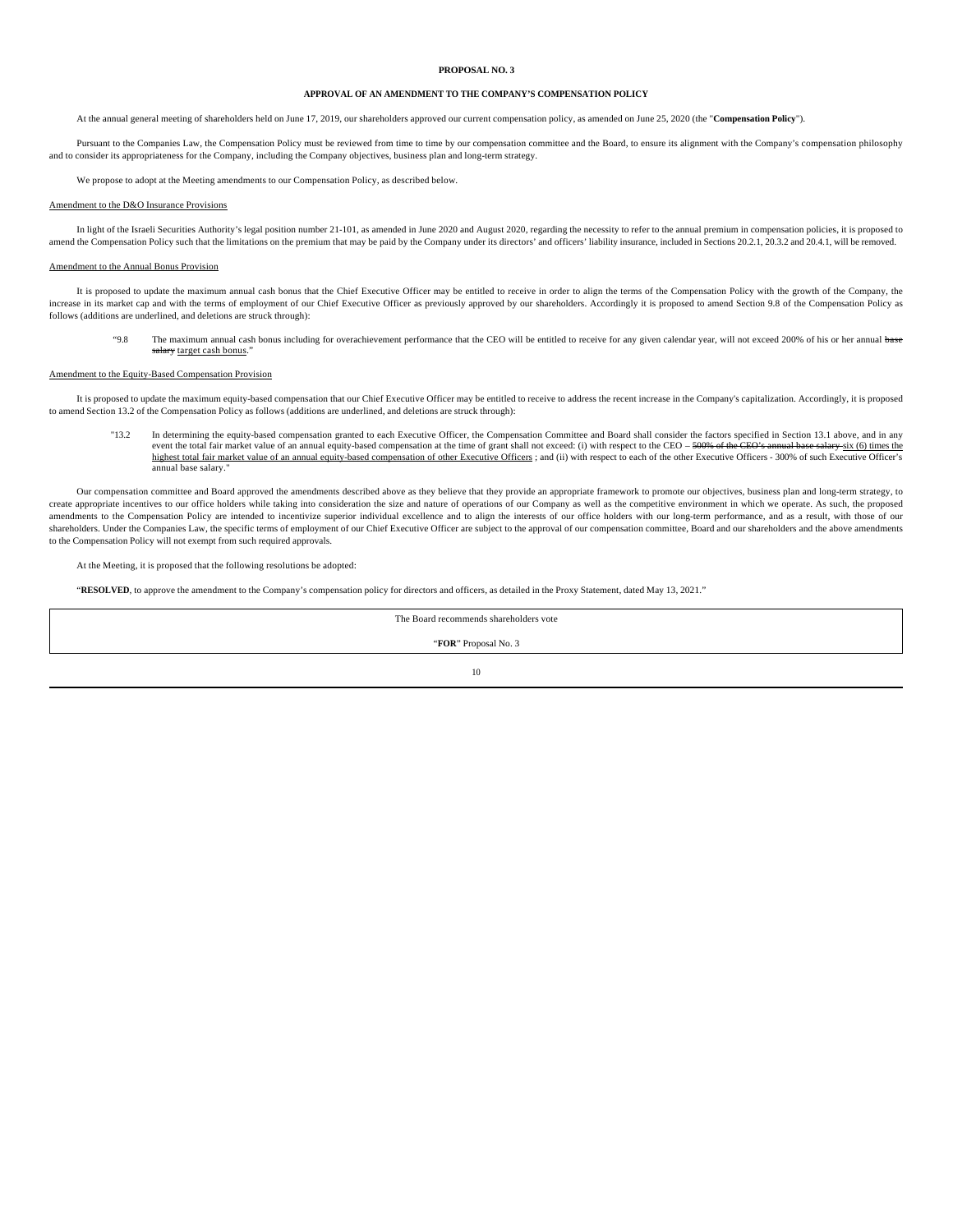## **PROPOSAL NO. 3**

## **APPROVAL OF AN AMENDMENT TO THE COMPANY'S COMPENSATION POLICY**

At the annual general meeting of shareholders held on June 17, 2019, our shareholders approved our current compensation policy, as amended on June 25, 2020 (the "**Compensation Policy**").

Pursuant to the Companies Law, the Compensation Policy must be reviewed from time to time by our compensation committee and the Board, to ensure its alignment with the Company's compensation philosophy and to consider its appropriateness for the Company, including the Company objectives, business plan and long-term strategy.

We propose to adopt at the Meeting amendments to our Compensation Policy, as described below.

#### Amendment to the D&O Insurance Provisions

In light of the Israeli Securities Authority's legal position number 21-101, as amended in June 2020 and August 2020, regarding the necessity to refer to the annual premium in compensation policies, it is proposed to amend the Compensation Policy such that the limitations on the premium that may be paid by the Company under its directors' and officers' liability insurance, included in Sections 20.2.1, 20.3.2 and 20.4.1, will be removed

### Amendment to the Annual Bonus Provision

It is proposed to update the maximum annual cash bonus that the Chief Executive Officer may be entitled to receive in order to align the terms of the Compensation Policy with the growth of the Company, the increase in its market cap and with the terms of employment of our Chief Executive Officer as previously approved by our shareholders. Accordingly it is proposed to amend Section 9.8 of the Compensation Policy as follows (additions are underlined, and deletions are struck through):

"9.8 The maximum annual cash bonus including for overachievement performance that the CEO will be entitled to receive for any given calendar year, will not exceed 200% of his or her annual base salary target cash bonus.

# Amendment to the Equity-Based Compensation Provision

It is proposed to update the maximum equity-based compensation that our Chief Executive Officer may be entitled to receive to address the recent increase in the Company's capitalization. Accordingly, it is proposed to amend Section 13.2 of the Compensation Policy as follows (additions are underlined, and deletions are struck through):

"13.2 In determining the equity-based compensation granted to each Executive Officer, the Compensation Committee and Board shall consider the factors specified in Section 13.1 above, and in any event the total fair market value of an annual equity-based compensation at the time of grant shall not exceed: (i) with respect to the CEO – <del>500% of the CEO's annual base salary</del> six (6) times the highest total fair mark annual base salary."

Our compensation committee and Board approved the amendments described above as they believe that they provide an appropriate framework to promote our objectives, business plan and long-term strategy, to create appropriate incentives to our office holders while taking into consideration the size and nature of operations of our Company as well as the competitive environment in which we operate. As such, the proposed amendments to the Compensation Policy are intended to incentivize superior individual excellence and to align the interests of our office holders with our long-term performance, and as a result, with those of our shareholders. Under the Companies Law, the specific terms of employment of our Chief Executive Officer are subject to the approval of our compensation committee, Board and our shareholders and the above amendments to the Compensation Policy will not exempt from such required approvals.

At the Meeting, it is proposed that the following resolutions be adopted:

"**RESOLVED**, to approve the amendment to the Company's compensation policy for directors and officers, as detailed in the Proxy Statement, dated May 13, 2021."

The Board recommends shareholders vote

"**FOR**" Proposal No. 3

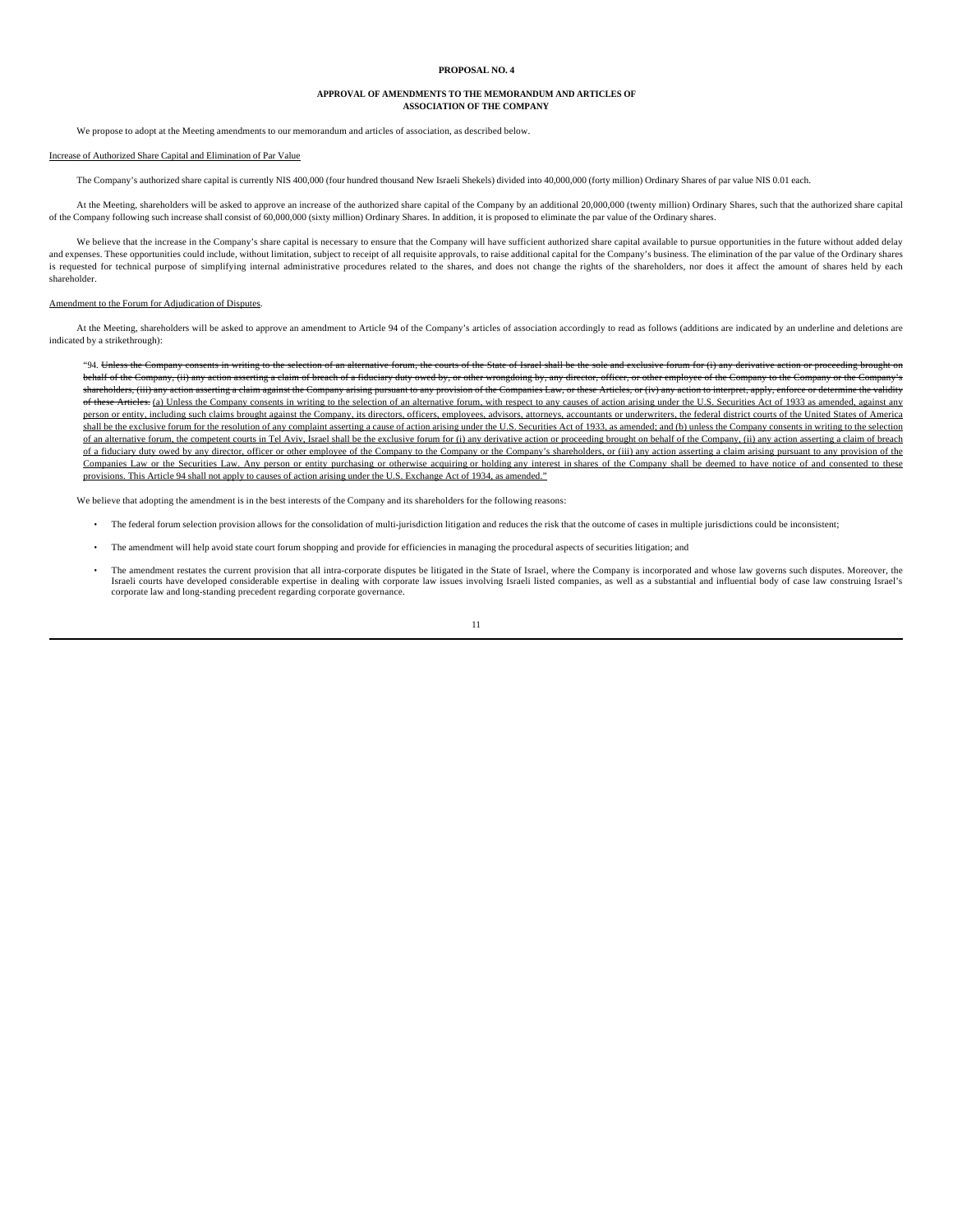#### **PROPOSAL NO. 4**

#### **APPROVAL OF AMENDMENTS TO THE MEMORANDUM AND ARTICLES OF ASSOCIATION OF THE COMPANY**

We propose to adopt at the Meeting amendments to our memorandum and articles of association, as described below

# Increase of Authorized Share Capital and Elimination of Par Value

The Company's authorized share capital is currently NIS 400,000 (four hundred thousand New Israeli Shekels) divided into 40,000,000 (forty million) Ordinary Shares of par value NIS 0.01 each.

At the Meeting, shareholders will be asked to approve an increase of the authorized share capital of the Company by an additional 20,000,000 (twenty million) Ordinary Shares, such that the authorized share capital of the Company following such increase shall consist of 60,000,000 (sixty million) Ordinary Shares. In addition, it is proposed to eliminate the par value of the Ordinary shares.

We believe that the increase in the Company's share capital is necessary to ensure that the Company will have sufficient authorized share capital available to pursue opportunities in the future without added delay and expenses. These opportunities could include, without limitation, subject to receipt of all requisite approvals, to raise additional capital for the Company's business. The elimination of the par value of the Ordinary s is requested for technical purpose of simplifying internal administrative procedures related to the shares, and does not change the rights of the shareholders, nor does it affect the amount of shares held by each shareholder.

#### Ament to the Forum for Adjudication of Disputes.

At the Meeting, shareholders will be asked to approve an amendment to Article 94 of the Company's articles of association accordingly to read as follows (additions are indicated by an underline and deletions are indicated by a strikethrough):

"94. Unless the Company consents in writing to the selection of an alternative forum, the courts of the State of Israel shall be the sole and exclusive forum for (i) any derivative action or proceeding brought on behalf of the Company, (ii) any action asserting a claim of breach of a fiduciary duty owed by, or other wrongdoing by, any director, officer, or other employee of the Company to the Company or the Company's shareholders, (iii) any action asserting a claim against the Company arising pursuant to any provision of the Companies Law, or these Articles, or (iv) any action to interpret, apply, enforce or determine the validity of these Articles. (a) Unless the Company consents in writing to the selection of an alternative forum, with respect to any causes of action arising under the U.S. Securities Act of 1933 as amended, against any person or entity, including such claims brought against the Company, its directors, officers, employees, advisors, attorneys, accountants or underwriters, the federal district courts of the United States of America shall be the exclusive forum for the resolution of any complaint asserting a cause of action arising under the U.S. Securities Act of 1933, as amended; and (b) unless the Company consents in writing to the selection of an alternative forum, the competent courts in Tel Aviv, Israel shall be the exclusive forum for (i) any derivative action or proceeding brought on behalf of the Company, (ii) any action asserting a claim of breach of a fiduciary duty owed by any director, officer or other employee of the Company to the Company or the Company's shareholders, or (iii) any action asserting a claim arising pursuant to any provision of the Companies Law or the Securities Law. Any person or entity purchasing or otherwise acquiring or holding any interest in shares of the Company shall be deemed to have notice of and consented to these provisions. This Article 94 shall not apply to causes of action arising under the U.S. Exchange Act of 1934, as amended."

We believe that adopting the amendment is in the best interests of the Company and its shareholders for the following reasons:

- The federal forum selection provision allows for the consolidation of multi-jurisdiction litigation and reduces the risk that the outcome of cases in multiple jurisdictions could be inconsistent;
- The amendment will help avoid state court forum shopping and provide for efficiencies in managing the procedural aspects of securities litigation; and
- The amendment restates the current provision that all intra-corporate disputes be litigated in the State of Israel, where the Company is incorporated and whose law governs such disputes. Moreover, the Israeli courts have developed considerable expertise in dealing with corporate law issues involving Israeli listed companies, as well as a substantial and influential body of case law construing Israel's corporate law and long-standing precedent regarding corporate governance.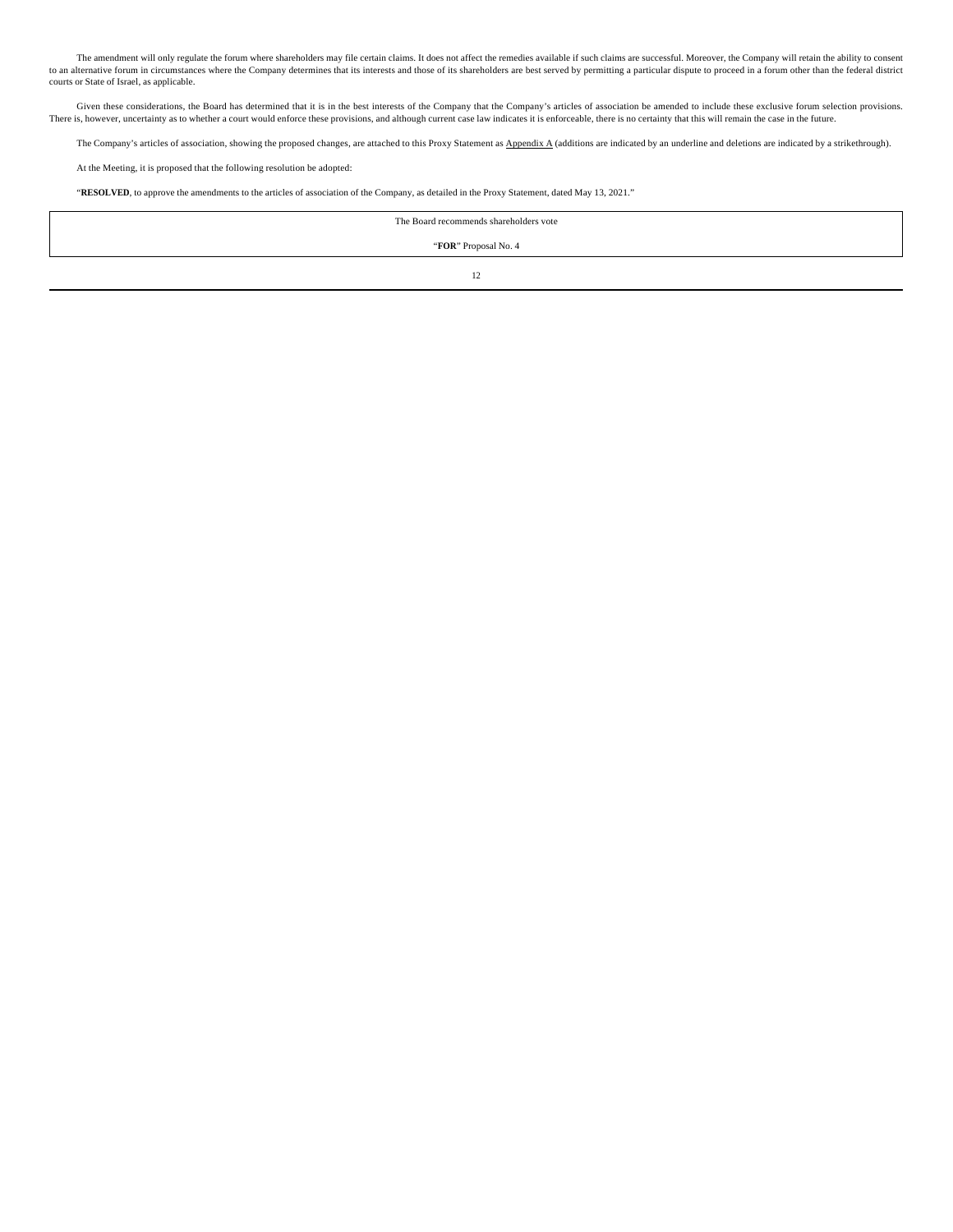The amendment will only regulate the forum where shareholders may file certain claims. It does not affect the remedies available if such claims are successful. Moreover, the Company will retain the ability to consent to an alternative forum in circumstances where the Company determines that its interests and those of its shareholders are best served by permitting a particular dispute to proceed in a forum other than the federal district courts or State of Israel, as applicable.

Given these considerations, the Board has determined that it is in the best interests of the Company that the Company's articles of association be amended to include these exclusive forum selection provisions. There is, however, uncertainty as to whether a court would enforce these provisions, and although current case law indicates it is enforceable, there is no certainty that this will remain the case in the future.

The Company's articles of association, showing the proposed changes, are attached to this Proxy Statement as Appendix A (additions are indicated by an underline and deletions are indicated by a strikethrough).

At the Meeting, it is proposed that the following resolution be adopted:

"**RESOLVED**, to approve the amendments to the articles of association of the Company, as detailed in the Proxy Statement, dated May 13, 2021."

The Board recommends shareholders vote

"**FOR**" Proposal No. 4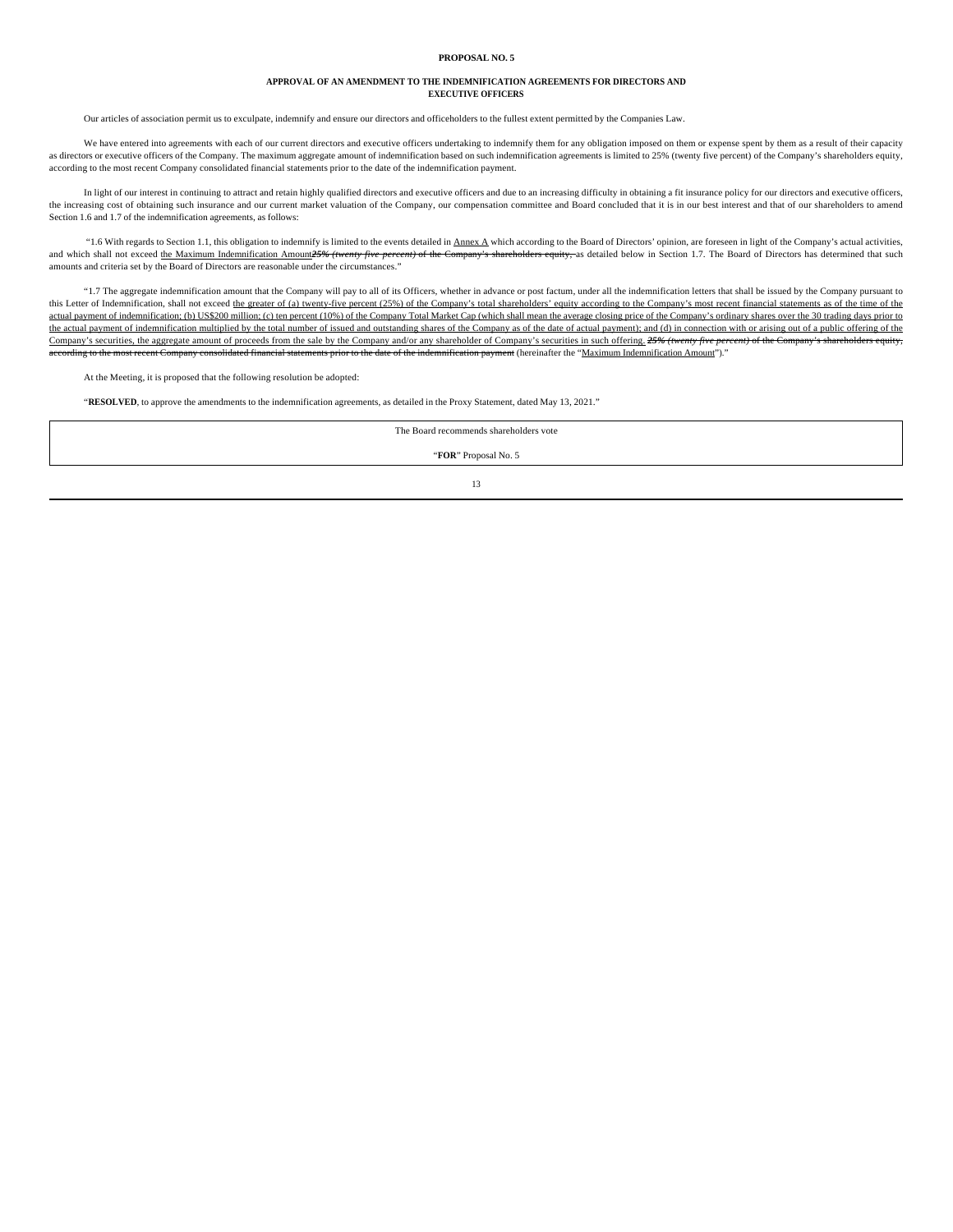#### **PROPOSAL NO. 5**

#### **APPROVAL OF AN AMENDMENT TO THE INDEMNIFICATION AGREEMENTS FOR DIRECTORS AND EXECUTIVE OFFICERS**

Our articles of association permit us to exculpate, indemnify and ensure our directors and officeholders to the fullest extent permitted by the Companies Law.

We have entered into agreements with each of our current directors and executive officers undertaking to indemnify them for any obligation imposed on them or expense spent by them as a result of their capacity as directors or executive officers of the Company. The maximum aggregate amount of indemnification based on such indemnification agreements is limited to 25% (twenty five percent) of the Company's shareholders equity, according to the most recent Company consolidated financial statements prior to the date of the indemnification payment.

In light of our interest in continuing to attract and retain highly qualified directors and executive officers and due to an increasing difficulty in obtaining a fit insurance policy for our directors and executive officer the increasing cost of obtaining such insurance and our current market valuation of the Company, our compensation committee and Board concluded that it is in our best interest and that of our shareholders to amend Section 1.6 and 1.7 of the indemnification agreements, as follows:

"1.6 With regards to Section 1.1, this obligation to indemnify is limited to the events detailed in Annex A which according to the Board of Directors' opinion, are foreseen in light of the Company's actual activities, and which shall not exceed the Maximum Indemnification Amount<sup>25%</sup> (twenty five percent) of the Company's shareholders equity, as detailed below in Section 1.7. The Board of Directors has determined that such amounts and criteria set by the Board of Directors are reasonable under the circumstances."

"1.7 The aggregate indemnification amount that the Company will pay to all of its Officers, whether in advance or post factum, under all the indemnification letters that shall be issued by the Company pursuant to this Letter of Indemnification, shall not exceed the greater of (a) twenty-five percent (25%) of the Company's total shareholders' equity according to the Company's most recent financial statements as of the time of the actual payment of indemnification; (b) US\$200 million; (c) ten percent (10%) of the Company Total Market Cap (which shall mean the average closing price of the Company's ordinary shares over the 30 trading days prior to the actual payment of indemnification multiplied by the total number of issued and outstanding shares of the Company as of the date of actual payment); and (d) in connection with or arising out of a public offering of the Company's securities, the aggregate amount of proceeds from the sale by the Company and/or any shareholder of Company's securities in such offering. 25% (twenty five percent) of the Company's shareholders equity, payment (hereinafter the "Maximum Indemnification Amount")."

At the Meeting, it is proposed that the following resolution be adopted:

"**RESOLVED**, to approve the amendments to the indemnification agreements, as detailed in the Proxy Statement, dated May 13, 2021."

The Board recommends shareholders vote

"**FOR**" Proposal No. 5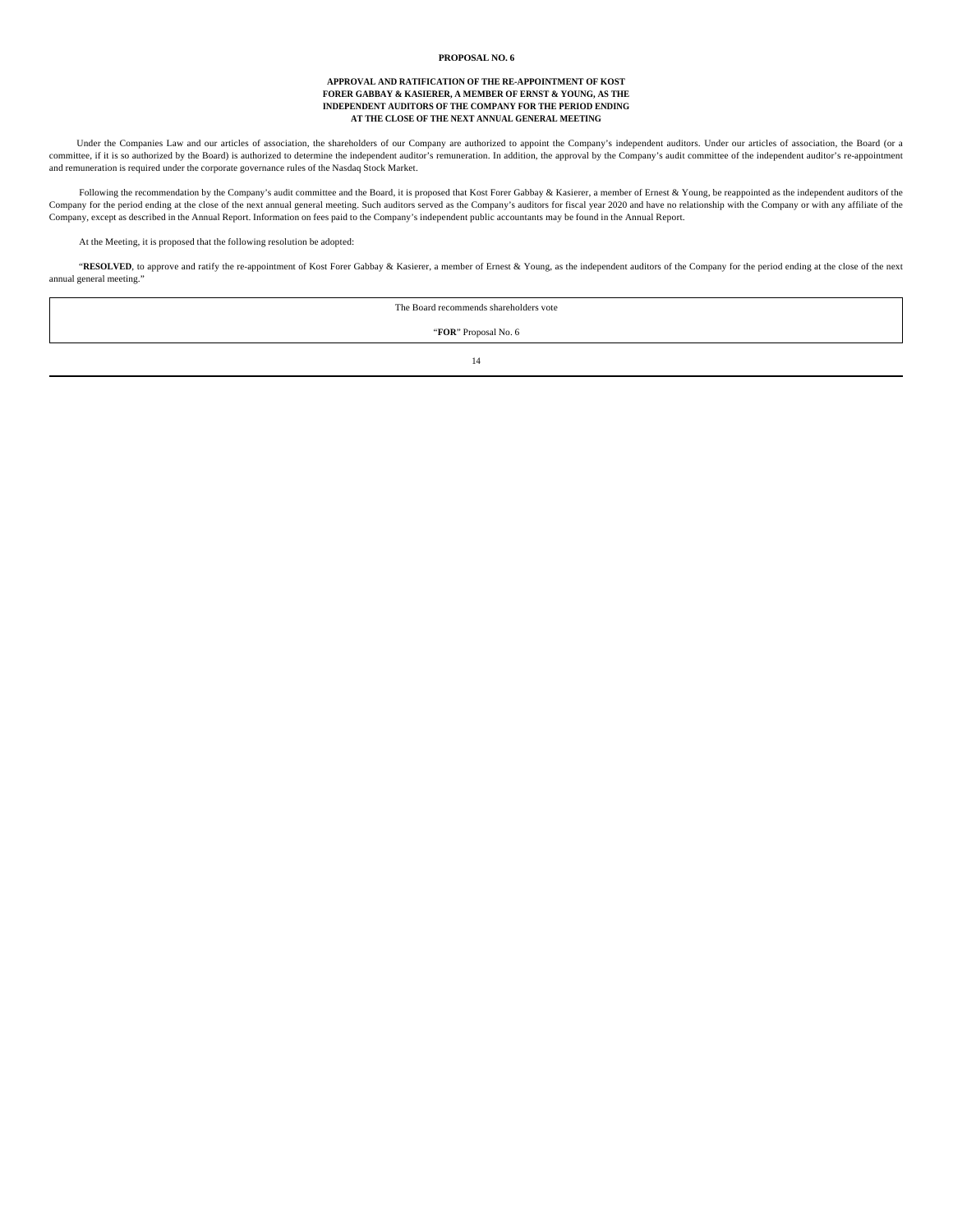### **PROPOSAL NO. 6**

#### **APPROVAL AND RATIFICATION OF THE RE-APPOINTMENT OF KOST FORER GABBAY & KASIERER, A MEMBER OF ERNST & YOUNG, AS THE INDEPENDENT AUDITORS OF THE COMPANY FOR THE PERIOD ENDING AT THE CLOSE OF THE NEXT ANNUAL GENERAL MEETING**

Under the Companies Law and our articles of association, the shareholders of our Company are authorized to appoint the Company's independent auditors. Under our articles of association, the Board (or a committee, if it is so authorized by the Board) is authorized to determine the independent auditor's remuneration. In addition, the approval by the Company's audit committee of the independent auditor's re-appointment and remuneration is required under the corporate governance rules of the Nasdaq Stock Market.

Following the recommendation by the Company's audit committee and the Board, it is proposed that Kost Forer Gabbay & Kasierer, a member of Ernest & Young, be reappointed as the independent auditors of the Company for the period ending at the close of the next annual general meeting. Such auditors served as the Company's auditors for fiscal year 2020 and have no relationship with the Company or with any affiliate of the Company, except as described in the Annual Report. Information on fees paid to the Company's independent public accountants may be found in the Annual Report.

At the Meeting, it is proposed that the following resolution be adopted:

"RESOLVED, to approve and ratify the re-appointment of Kost Forer Gabbay & Kasierer, a member of Ernest & Young, as the independent auditors of the Company for the period ending at the close of the next annual general meeting."

| The Board recommends shareholders vote |  |
|----------------------------------------|--|
| "FOR" Proposal No. 6                   |  |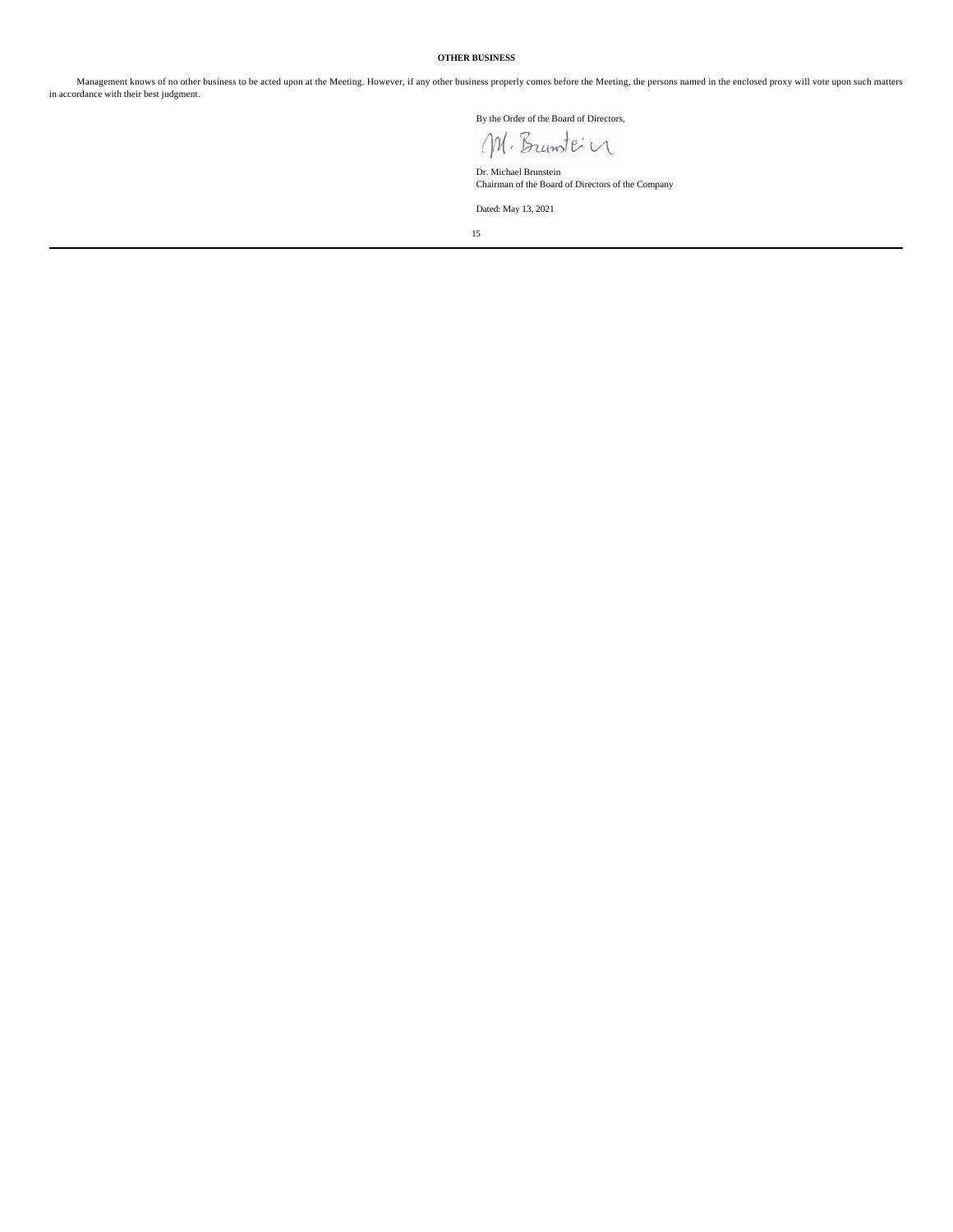# **OTHER BUSINESS**

Management knows of no other business to be acted upon at the Meeting. However, if any other business properly comes before the Meeting, the persons named in the enclosed proxy will vote upon such matters in accordance with their best judgment.

By the Order of the Board of Directors,

M. Bruntein

Dr. Michael Brunstein Chairman of the Board of Directors of the Company

Dated: May 13, 2021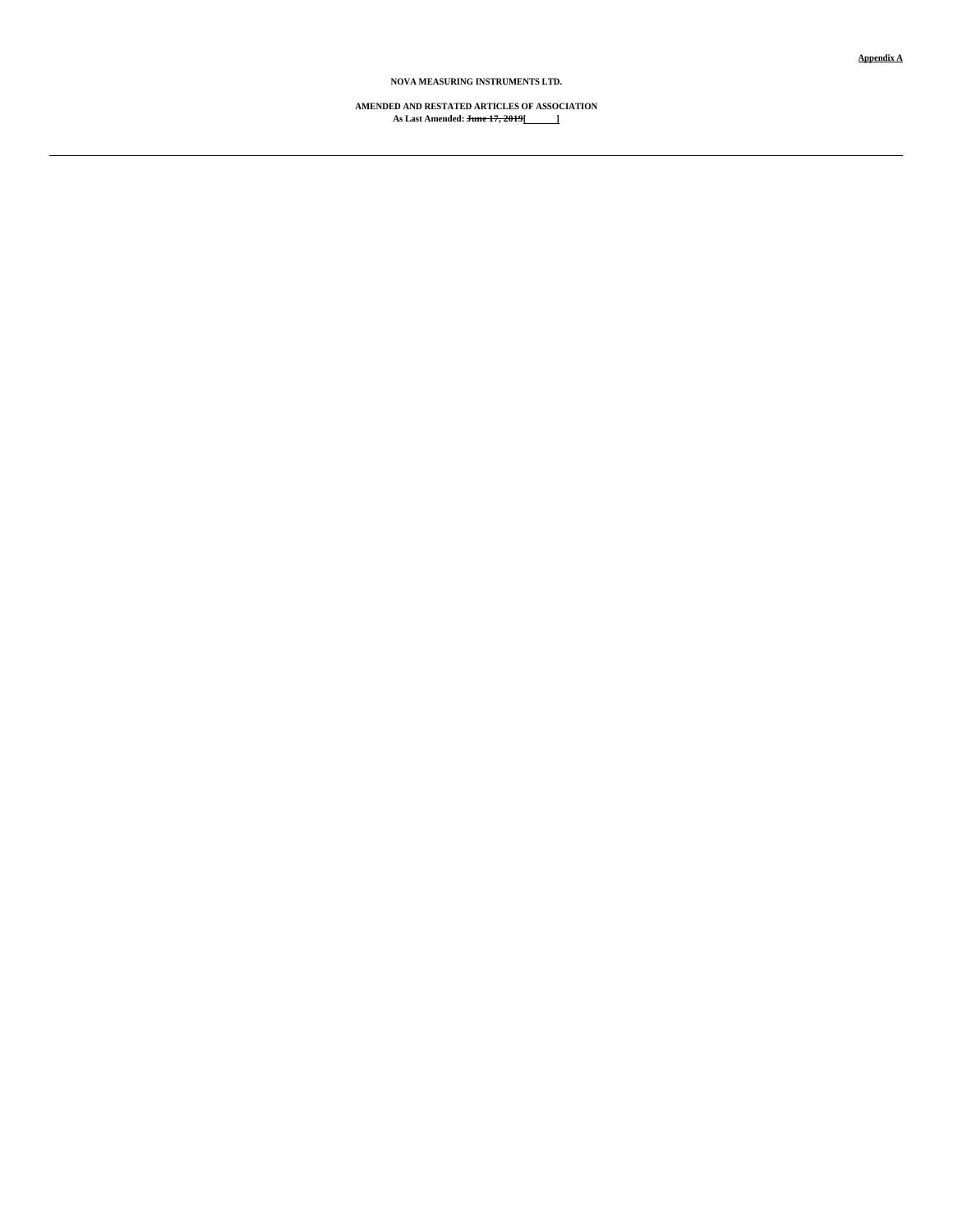**Appendix A**

**NOVA MEASURING INSTRUMENTS LTD.**

**AMENDED AND RESTATED ARTICLES OF ASSOCIATION As Last Amended: June 17, 2019[ ]**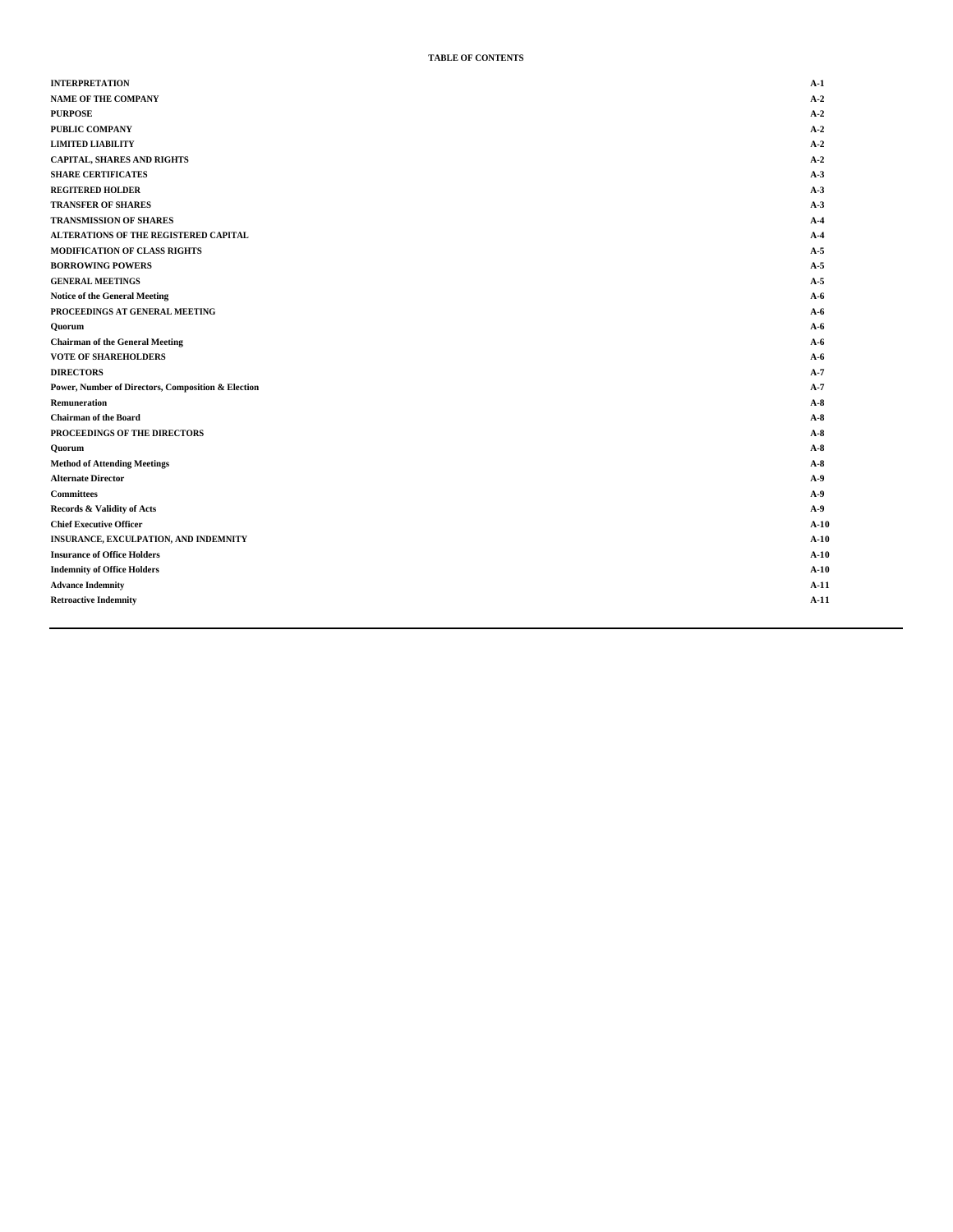# **TABLE OF CONTENTS**

| <b>INTERPRETATION</b>                              | $A-1$  |
|----------------------------------------------------|--------|
| <b>NAME OF THE COMPANY</b>                         | $A-2$  |
| <b>PURPOSE</b>                                     | $A-2$  |
| PUBLIC COMPANY                                     | $A-2$  |
| <b>LIMITED LIABILITY</b>                           | $A-2$  |
| <b>CAPITAL, SHARES AND RIGHTS</b>                  | $A-2$  |
| <b>SHARE CERTIFICATES</b>                          | $A-3$  |
| <b>REGITERED HOLDER</b>                            | $A-3$  |
| <b>TRANSFER OF SHARES</b>                          | $A-3$  |
| <b>TRANSMISSION OF SHARES</b>                      | $A-4$  |
| ALTERATIONS OF THE REGISTERED CAPITAL              | $A-4$  |
| <b>MODIFICATION OF CLASS RIGHTS</b>                | $A-5$  |
| <b>BORROWING POWERS</b>                            | $A-5$  |
| <b>GENERAL MEETINGS</b>                            | $A-5$  |
| <b>Notice of the General Meeting</b>               | $A-6$  |
| PROCEEDINGS AT GENERAL MEETING                     | $A-6$  |
| Quorum                                             | $A-6$  |
| <b>Chairman of the General Meeting</b>             | $A-6$  |
| <b>VOTE OF SHAREHOLDERS</b>                        | $A-6$  |
| <b>DIRECTORS</b>                                   | $A-7$  |
| Power, Number of Directors, Composition & Election | $A-7$  |
| Remuneration                                       | $A-8$  |
| <b>Chairman of the Board</b>                       | $A-8$  |
| PROCEEDINGS OF THE DIRECTORS                       | $A-8$  |
| Quorum                                             | $A-8$  |
| <b>Method of Attending Meetings</b>                | $A-8$  |
| <b>Alternate Director</b>                          | $A-9$  |
| <b>Committees</b>                                  | $A-9$  |
| Records & Validity of Acts                         | $A-9$  |
| <b>Chief Executive Officer</b>                     | $A-10$ |
| INSURANCE, EXCULPATION, AND INDEMNITY              | $A-10$ |
| <b>Insurance of Office Holders</b>                 | $A-10$ |
| <b>Indemnity of Office Holders</b>                 | $A-10$ |
| <b>Advance Indemnity</b>                           | $A-11$ |
| <b>Retroactive Indemnity</b>                       | $A-11$ |
|                                                    |        |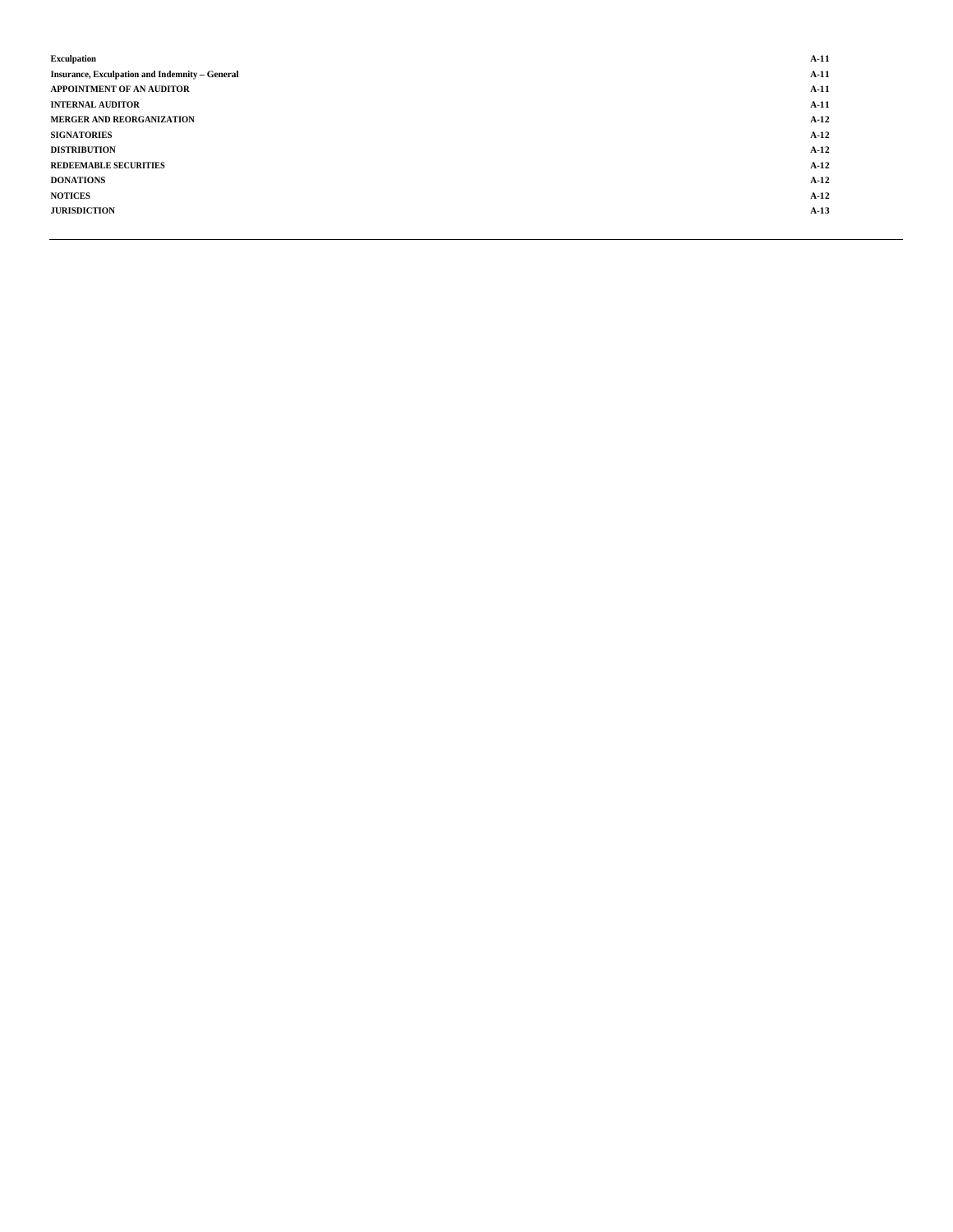| <b>Exculpation</b>                                    | $A-11$ |
|-------------------------------------------------------|--------|
| <b>Insurance, Exculpation and Indemnity - General</b> | $A-11$ |
| APPOINTMENT OF AN AUDITOR                             | $A-11$ |
| <b>INTERNAL AUDITOR</b>                               | $A-11$ |
| MERGER AND REORGANIZATION                             | $A-12$ |
| <b>SIGNATORIES</b>                                    | $A-12$ |
| <b>DISTRIBUTION</b>                                   | $A-12$ |
| <b>REDEEMABLE SECURITIES</b>                          | $A-12$ |
| <b>DONATIONS</b>                                      | $A-12$ |
| <b>NOTICES</b>                                        | $A-12$ |
| <b>JURISDICTION</b>                                   | $A-13$ |
|                                                       |        |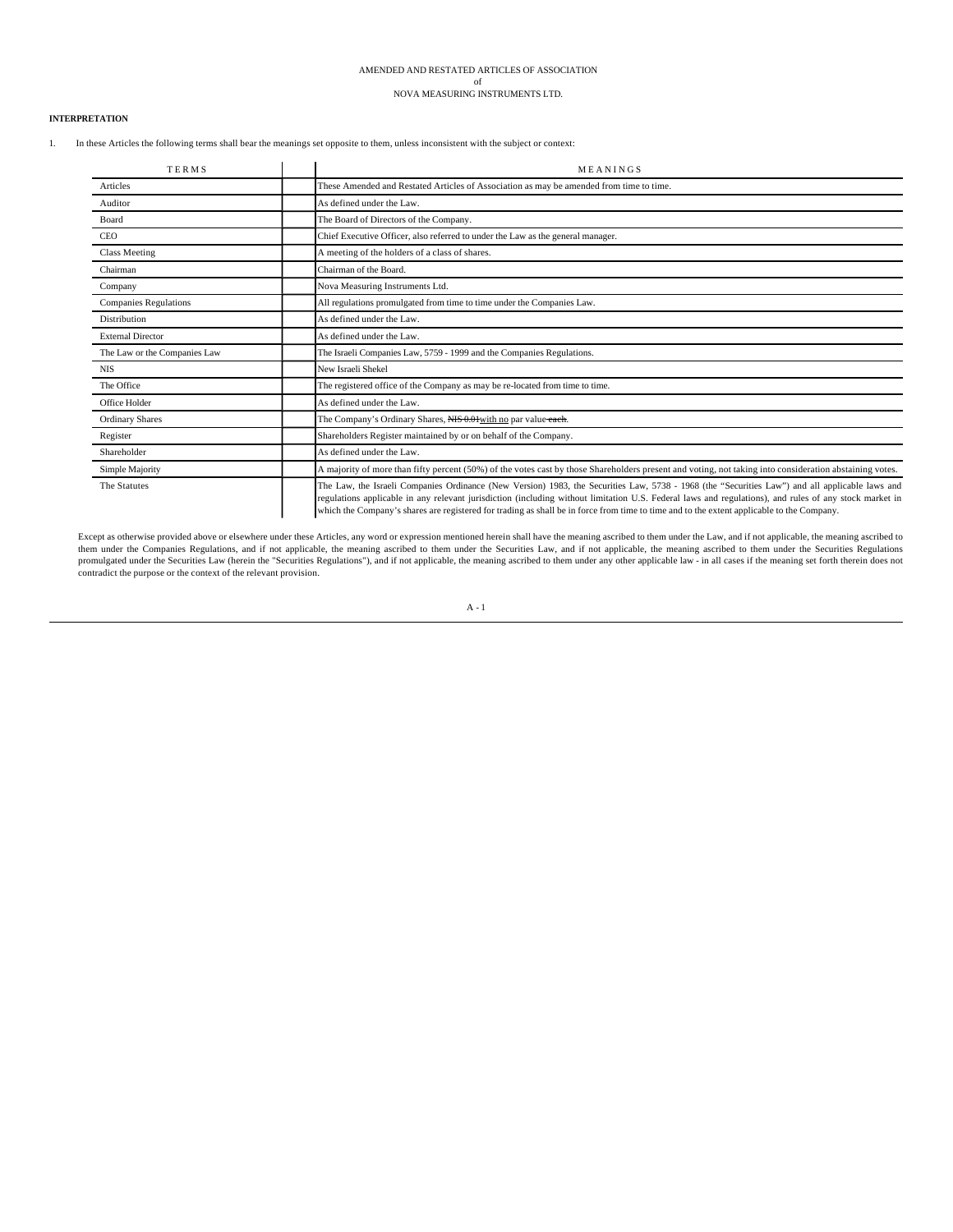# AMENDED AND RESTATED ARTICLES OF ASSOCIATION of

NOVA MEASURING INSTRUMENTS LTD.

# **INTERPRETATION**

1. In these Articles the following terms shall bear the meanings set opposite to them, unless inconsistent with the subject or context:

| <b>TERMS</b>                 | MEANINGS                                                                                                                                                                                                                                                                                                                                                                                                                                               |
|------------------------------|--------------------------------------------------------------------------------------------------------------------------------------------------------------------------------------------------------------------------------------------------------------------------------------------------------------------------------------------------------------------------------------------------------------------------------------------------------|
| Articles                     | These Amended and Restated Articles of Association as may be amended from time to time.                                                                                                                                                                                                                                                                                                                                                                |
| Auditor                      | As defined under the Law.                                                                                                                                                                                                                                                                                                                                                                                                                              |
| Board                        | The Board of Directors of the Company.                                                                                                                                                                                                                                                                                                                                                                                                                 |
| <b>CEO</b>                   | Chief Executive Officer, also referred to under the Law as the general manager.                                                                                                                                                                                                                                                                                                                                                                        |
| <b>Class Meeting</b>         | A meeting of the holders of a class of shares.                                                                                                                                                                                                                                                                                                                                                                                                         |
| Chairman                     | Chairman of the Board.                                                                                                                                                                                                                                                                                                                                                                                                                                 |
| Company                      | Nova Measuring Instruments Ltd.                                                                                                                                                                                                                                                                                                                                                                                                                        |
| <b>Companies Regulations</b> | All regulations promulgated from time to time under the Companies Law.                                                                                                                                                                                                                                                                                                                                                                                 |
| <b>Distribution</b>          | As defined under the Law.                                                                                                                                                                                                                                                                                                                                                                                                                              |
| <b>External Director</b>     | As defined under the Law.                                                                                                                                                                                                                                                                                                                                                                                                                              |
| The Law or the Companies Law | The Israeli Companies Law, 5759 - 1999 and the Companies Regulations.                                                                                                                                                                                                                                                                                                                                                                                  |
| <b>NIS</b>                   | New Israeli Shekel                                                                                                                                                                                                                                                                                                                                                                                                                                     |
| The Office                   | The registered office of the Company as may be re-located from time to time.                                                                                                                                                                                                                                                                                                                                                                           |
| Office Holder                | As defined under the Law.                                                                                                                                                                                                                                                                                                                                                                                                                              |
| <b>Ordinary Shares</b>       | The Company's Ordinary Shares, NIS 0.01 with no par value each.                                                                                                                                                                                                                                                                                                                                                                                        |
| Register                     | Shareholders Register maintained by or on behalf of the Company.                                                                                                                                                                                                                                                                                                                                                                                       |
| Shareholder                  | As defined under the Law.                                                                                                                                                                                                                                                                                                                                                                                                                              |
| Simple Majority              | A majority of more than fifty percent (50%) of the votes cast by those Shareholders present and voting, not taking into consideration abstaining votes.                                                                                                                                                                                                                                                                                                |
| The Statutes                 | The Law, the Israeli Companies Ordinance (New Version) 1983, the Securities Law, 5738 - 1968 (the "Securities Law") and all applicable laws and<br>regulations applicable in any relevant jurisdiction (including without limitation U.S. Federal laws and regulations), and rules of any stock market in<br>which the Company's shares are registered for trading as shall be in force from time to time and to the extent applicable to the Company. |

Except as otherwise provided above or elsewhere under these Articles, any word or expression mentioned herein shall have the meaning ascribed to them under the Law, and if not applicable, the meaning ascribed to them under promulgated under the Securities Law (herein the "Securities Regulations"), and if not applicable, the meaning ascribed to them under any other applicable law - in all cases if the meaning set forth therein does not contradict the purpose or the context of the relevant provision.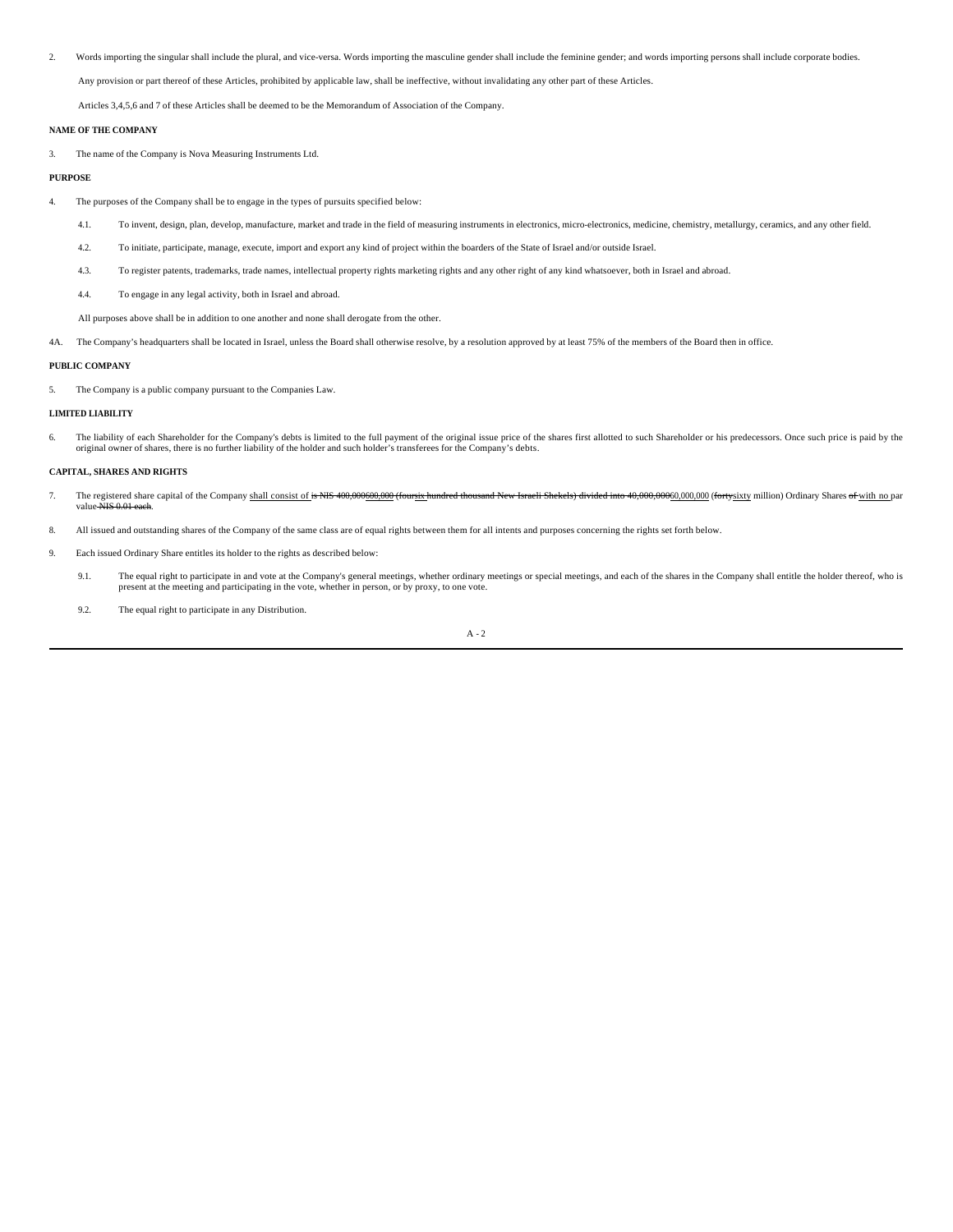2. Words importing the singular shall include the plural, and vice-versa. Words importing the masculine gender shall include the feminine gender; and words importing persons shall include corporate bodies.

Any provision or part thereof of these Articles, prohibited by applicable law, shall be ineffective, without invalidating any other part of these Articles.

Articles 3,4,5,6 and 7 of these Articles shall be deemed to be the Memorandum of Association of the Company.

# **NAME OF THE COMPANY**

3. The name of the Company is Nova Measuring Instruments Ltd.

# **PURPOSE**

- 4. The purposes of the Company shall be to engage in the types of pursuits specified below:
	- 4.1. To invent, design, plan, develop, manufacture, market and trade in the field of measuring instruments in electronics, micro-electronics, medicine, chemistry, metallurgy, ceramics, and any other field.
	- 4.2. To initiate, participate, manage, execute, import and export any kind of project within the boarders of the State of Israel and/or outside Israel.
	- 4.3. To register patents, trademarks, trade names, intellectual property rights marketing rights and any other right of any kind whatsoever, both in Israel and abroad.
	- 4.4. To engage in any legal activity, both in Israel and abroad.

All purposes above shall be in addition to one another and none shall derogate from the other.

4A. The Company's headquarters shall be located in Israel, unless the Board shall otherwise resolve, by a resolution approved by at least 75% of the members of the Board then in office.

#### **PUBLIC COMPANY**

5. The Company is a public company pursuant to the Companies Law.

# **LIMITED LIABILITY**

6. The liability of each Shareholder for the Company's debts is limited to the full payment of the original issue price of the shares first allotted to such Shareholder or his predecessors. Once such price is paid by the o

### **CAPITAL, SHARES AND RIGHTS**

- 7. The registered share capital of the Company shall consist of is NIS 400,000600.000 (foursix hundred thousand New Israeli Shekels) divided into 40,000,00060,000,000 (fortysixty million) Ordinary Shares of with no par value NIS
- 8. All issued and outstanding shares of the Company of the same class are of equal rights between them for all intents and purposes concerning the rights set forth below.
- 9. Each issued Ordinary Share entitles its holder to the rights as described below:
	- 9.1. The equal right to participate in and vote at the Company's general meetings, whether ordinary meetings or special meetings, and each of the shares in the Company shall entitle the holder thereof, who is present at th
	- 9.2. The equal right to participate in any Distribution.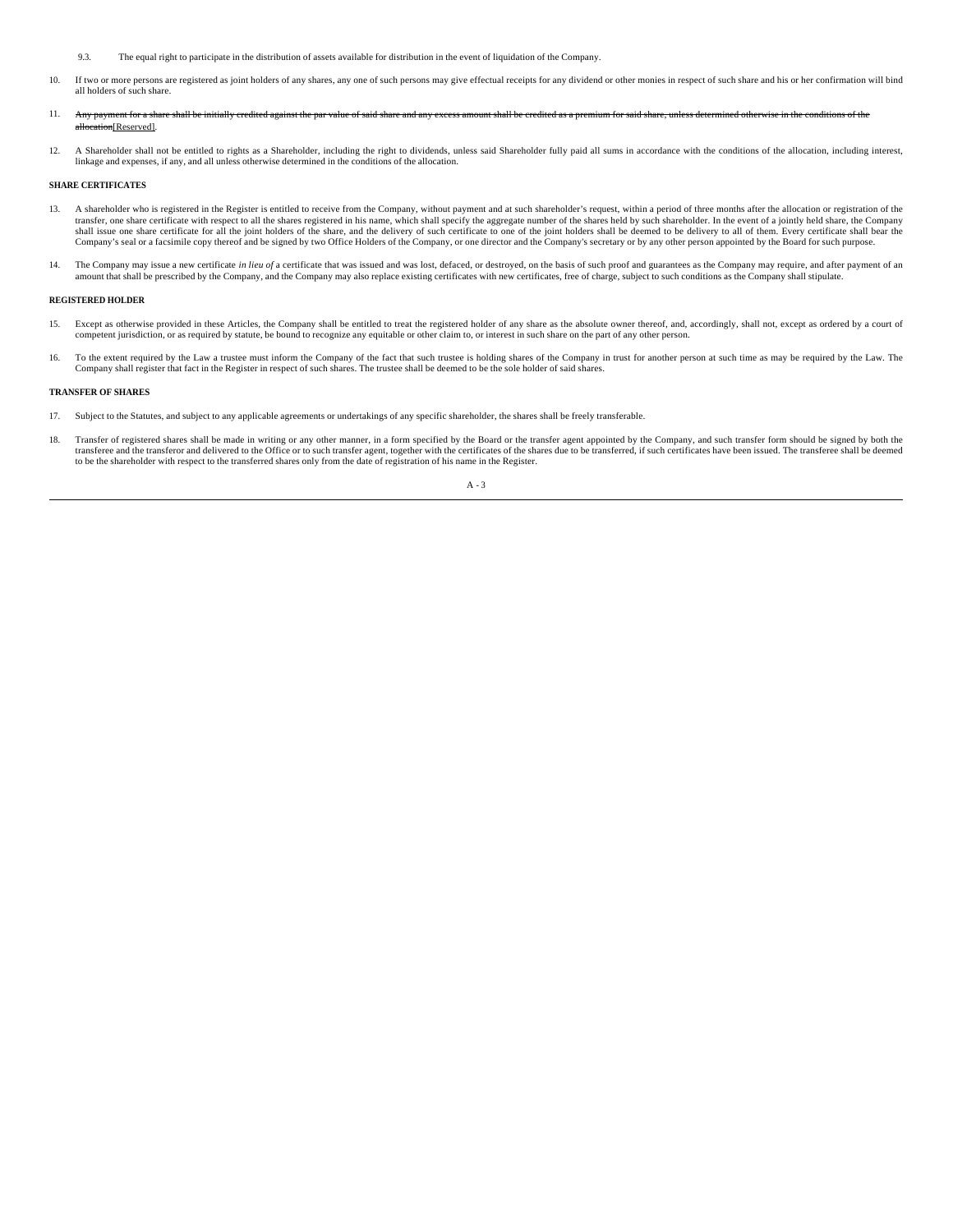- 9.3. The equal right to participate in the distribution of assets available for distribution in the event of liquidation of the Company.
- 10. If two or more persons are registered as joint holders of any shares, any one of such persons may give effectual receipts for any dividend or other monies in respect of such share and his or her confirmation will bind all holders of such share.
- 11. Any payment for a share shall be initially credited against the par value of said share and any excess amount shall be credited as a premium for said share, unless determined otherwise in the conditions of the all Reserved]
- 12. A Shareholder shall not be entitled to rights as a Shareholder, including the right to dividends, unless said Shareholder fully paid all sums in accordance with the conditions of the allocation, including interest, linkage and expenses, if any, and all unless otherwise determined in the conditions of the allocation.

# **SHARE CERTIFICATES**

- 13. A shareholder who is registered in the Register is entitled to receive from the Company, without payment and at such shareholder's request, within a period of three months after the allocation or registration of the transfer, one share certificate with respect to all the shares registered in his name, which shall specify the aggregate number of the shares held by such shareholder. In the event of a jointly held share, the Company shal
- 14. The Company may issue a new certificate in lieu of a certificate that was issued and was lost, defaced, or destroyed, on the basis of such proof and guarantees as the Company may require, and after payment of an amount

## **REGISTERED HOLDER**

- 15. Except as otherwise provided in these Articles, the Company shall be entitled to treat the registered holder of any share as the absolute owner thereof, and, accordingly, shall not, except as ordered by a court of competent jurisdiction, or as required by statute, be bound to recognize any equitable or other claim to, or interest in such share on the part of any other person.
- 16. To the extent required by the Law a trustee must inform the Company of the fact that such trustee is holding shares of the Company in trust for another person at such time as may be required by the Law. The Company shall register that fact in the Register in respect of such shares. The trustee shall be deemed to be the sole holder of said shares.

# **TRANSFER OF SHARES**

- 17. Subject to the Statutes, and subject to any applicable agreements or undertakings of any specific shareholder, the shares shall be freely transferable.
- 18. Transfer of registered shares shall be made in writing or any other manner, in a form specified by the Board or the transfer agent appointed by the Company, and such transfer form should be signed by both the transferee and the transferor and delivered to the Office or to such transfer agent, together with the certificates of the shares due to be transferred, if such certificates have been issued. The transferee shall be deemed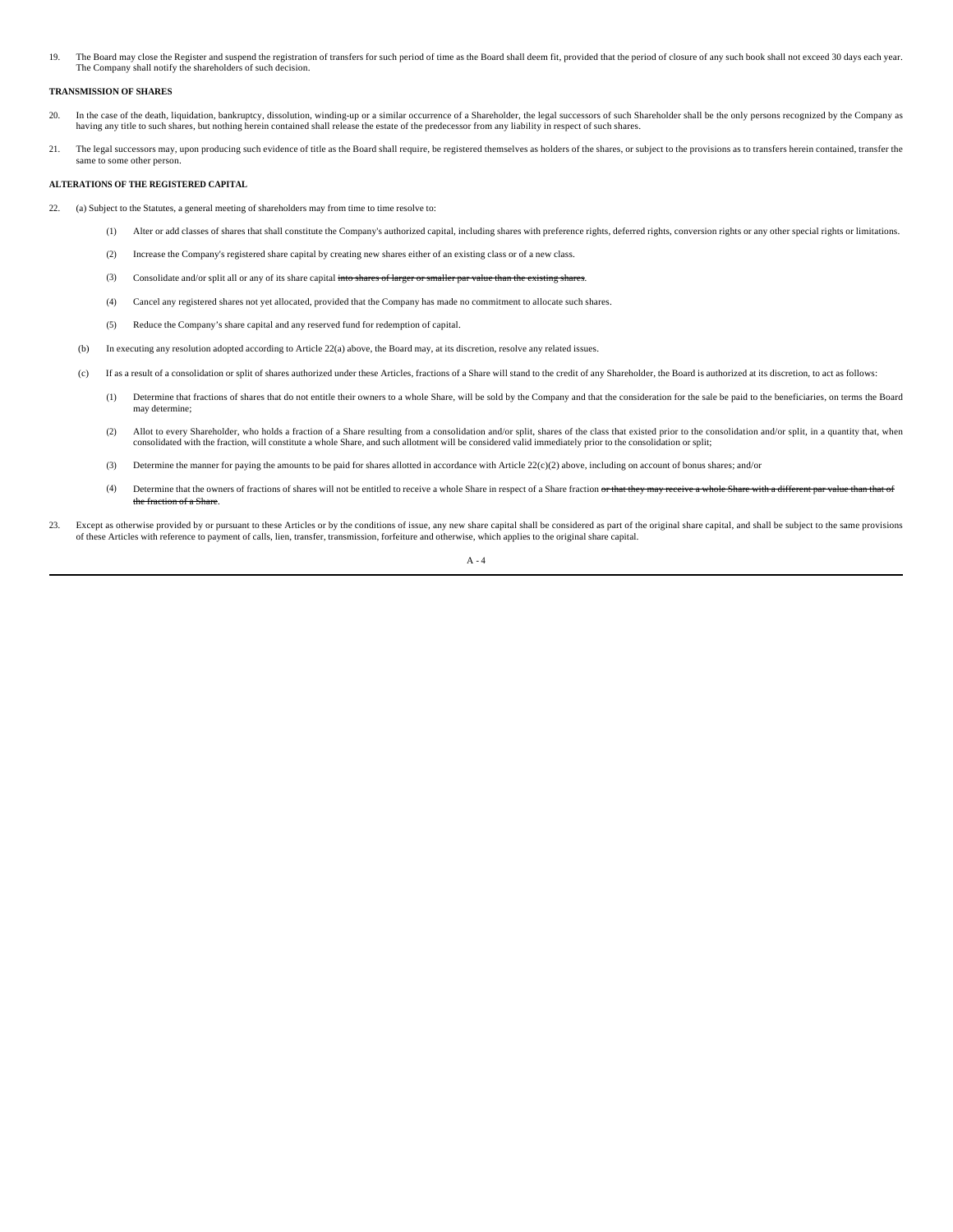19. The Board may close the Register and suspend the registration of transfers for such period of time as the Board shall deem fit, provided that the period of closure of any such book shall not exceed 30 days each year. The Company shall notify the shareholders of such decision.

#### **TRANSMISSION OF SHARES**

- 20. In the case of the death, liquidation, bankruptcy, dissolution, winding-up or a similar occurrence of a Shareholder, the legal successors of such Shareholder shall be the only persons recognized by the Company as having any title to such shares, but nothing herein contained shall release the estate of the predecessor from any liability in respect of such shares.
- 21. The legal successors may, upon producing such evidence of title as the Board shall require, be registered themselves as holders of the shares, or subject to the provisions as to transfers herein contained, transfer the same to some other person.

#### **ALTERATIONS OF THE REGISTERED CAPITAL**

- 22. (a) Subject to the Statutes, a general meeting of shareholders may from time to time resolve to:
	- (1) Alter or add classes of shares that shall constitute the Company's authorized capital, including shares with preference rights, deferred rights, conversion rights or any other special rights or limitations.
	- (2) Increase the Company's registered share capital by creating new shares either of an existing class or of a new class.
	- (3) Consolidate and/or split all or any of its share capital into shares of larger or smaller par value than the
	- (4) Cancel any registered shares not yet allocated, provided that the Company has made no commitment to allocate such shares.
	- (5) Reduce the Company's share capital and any reserved fund for redemption of capital.
	- (b) In executing any resolution adopted according to Article 22(a) above, the Board may, at its discretion, resolve any related issues.
	- (c) If as a result of a consolidation or split of shares authorized under these Articles, fractions of a Share will stand to the credit of any Shareholder, the Board is authorized at its discretion, to act as follows:
		- (1) Determine that fractions of shares that do not entitle their owners to a whole Share, will be sold by the Company and that the consideration for the sale be paid to the beneficiaries, on terms the Board may determine;
		- (2) Allot to every Shareholder, who holds a fraction of a Share resulting from a consolidation and/or split, shares of the class that existed prior to the consolidation and/or split, in a quantity that, when consolidated with the fraction, will constitute a whole Share, and such allotment will be considered valid immediately prior to the consolidation or split;
		- (3) Determine the manner for paying the amounts to be paid for shares allotted in accordance with Article 22(c)(2) above, including on account of bonus shares; and/or
		- (4) Determine that the owners of fractions of shares will not be entitled to receive a whole Share in respect of a Share fraction or that they may receive a whole the fracti
- 23. Except as otherwise provided by or pursuant to these Articles or by the conditions of issue, any new share capital shall be considered as part of the original share capital, and shall be subject to the same provisions of these Articles with reference to payment of calls, lien, transfer, transmission, forfeiture and otherwise, which applies to the original share capital.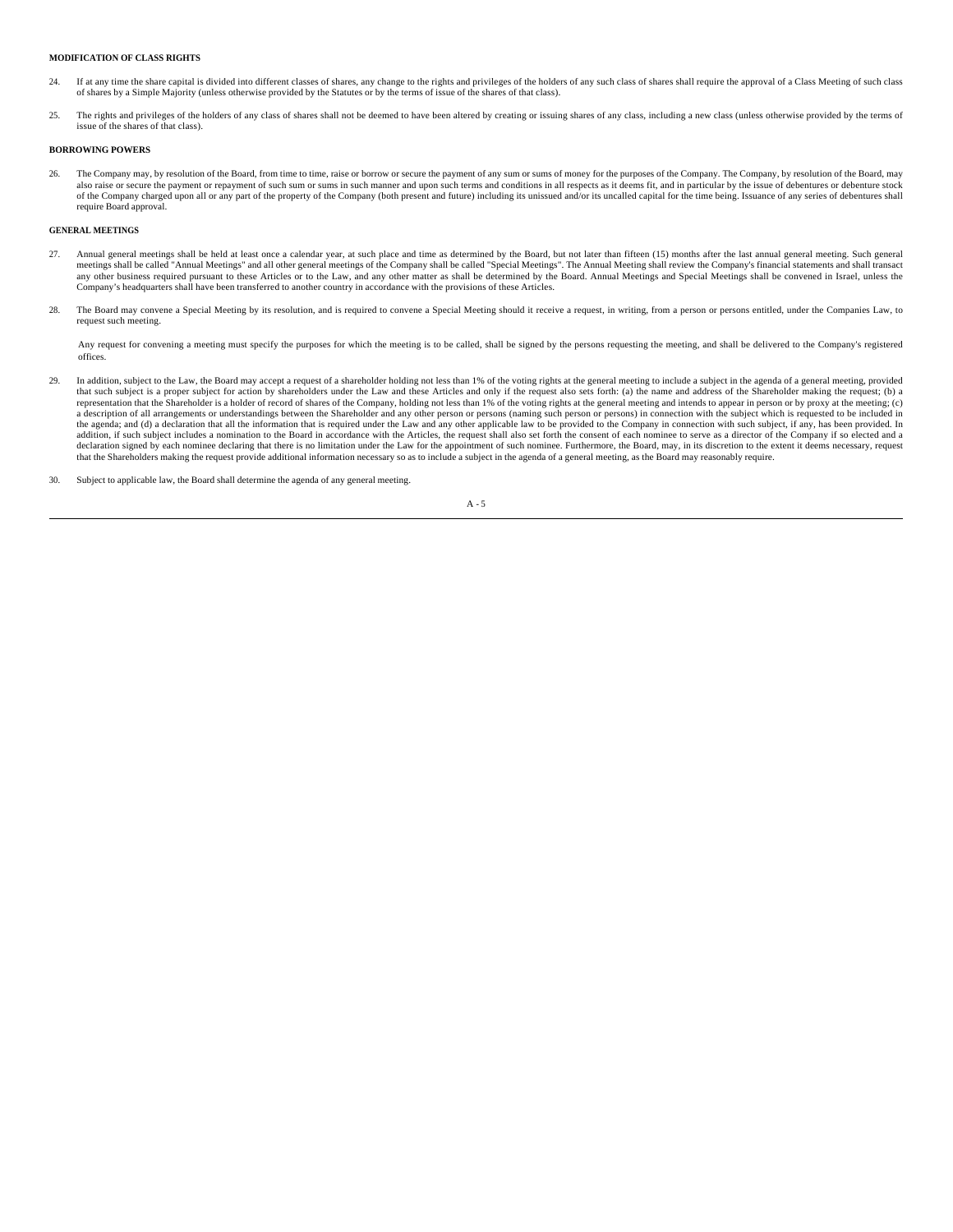## **MODIFICATION OF CLASS RIGHTS**

- 24. If at any time the share capital is divided into different classes of shares, any change to the rights and privileges of the holders of any such class of shares shall require the approval of a Class Meeting of such class of shares by a Simple Majority (unless otherwise provided by the Statutes or by the terms of issue of the shares of that class).
- 25. The rights and privileges of the holders of any class of shares shall not be deemed to have been altered by creating or issuing shares of any class, including a new class (unless otherwise provided by the terms of issue of the shares of that class).

# **BORROWING POWERS**

26. The Company may, by resolution of the Board, from time to time, raise or borrow or secure the payment of any sum or sums of money for the purposes of the Company. The Company, by resolution of the Board, may also raise or secure the payment or repayment of such sum or sums in such manner and upon such terms and conditions in all respects as it deems fit, and in particular by the issue of debentures or debentures tock of the Company charged upon all or any part of the property of the Company (both present and future) including its unissued and/or its uncalled capital for the time being. Issuance of any series of debentures shall require Board approval.

# **GENERAL MEETINGS**

- 27. Annual general meetings shall be held at least once a calendar year, at such place and time as determined by the Board, but not later than fifteen (15) months after the last annual general meeting. Such general meetings shall be called "Annual Meetings" and all other general meetings of the Company shall be called "Special Meetings". The Annual Meeting shall review the Company's financial statements and shall transact<br>any other b Company's headquarters shall have been transferred to another country in accordance with the provisions of these Articles.
- 28. The Board may convene a Special Meeting by its resolution, and is required to convene a Special Meeting should it receive a request, in writing, from a person or persons entitled, under the Companies Law, to request such meeting.

Any request for convening a meeting must specify the purposes for which the meeting is to be called, shall be signed by the persons requesting the meeting, and shall be delivered to the Company's registered offices.

- 29. In addition, subject to the Law, the Board may accept a request of a shareholder holding not less than 1% of the voting rights at the general meeting to include a subject in the agenda of a general meeting, provided that such subject is a proper subject for action by shareholders under the Law and these Articles and only if the request also sets forth: (a) the name and address of the Shareholder making the request; (b) a<br>representatio a description of all arrangements or understandings between the Shareholder and any other person or persons (naming such person or persons) in connection with the subject which is requested to be included in<br>the agenda; an addition, if such subject includes a nomination to the Board in accordance with the Articles, the request shall also set forth the consent of each nominee to serve as a director of the Company if so elected and a addition, declaration signed by each nominee declaring that there is no limitation under the Law for the appointment of such nominee. Furthermore, the Board, may, in its discretion to the extent it deems necessary, request<br>that the
- 30. Subject to applicable law, the Board shall determine the agenda of any general meeting.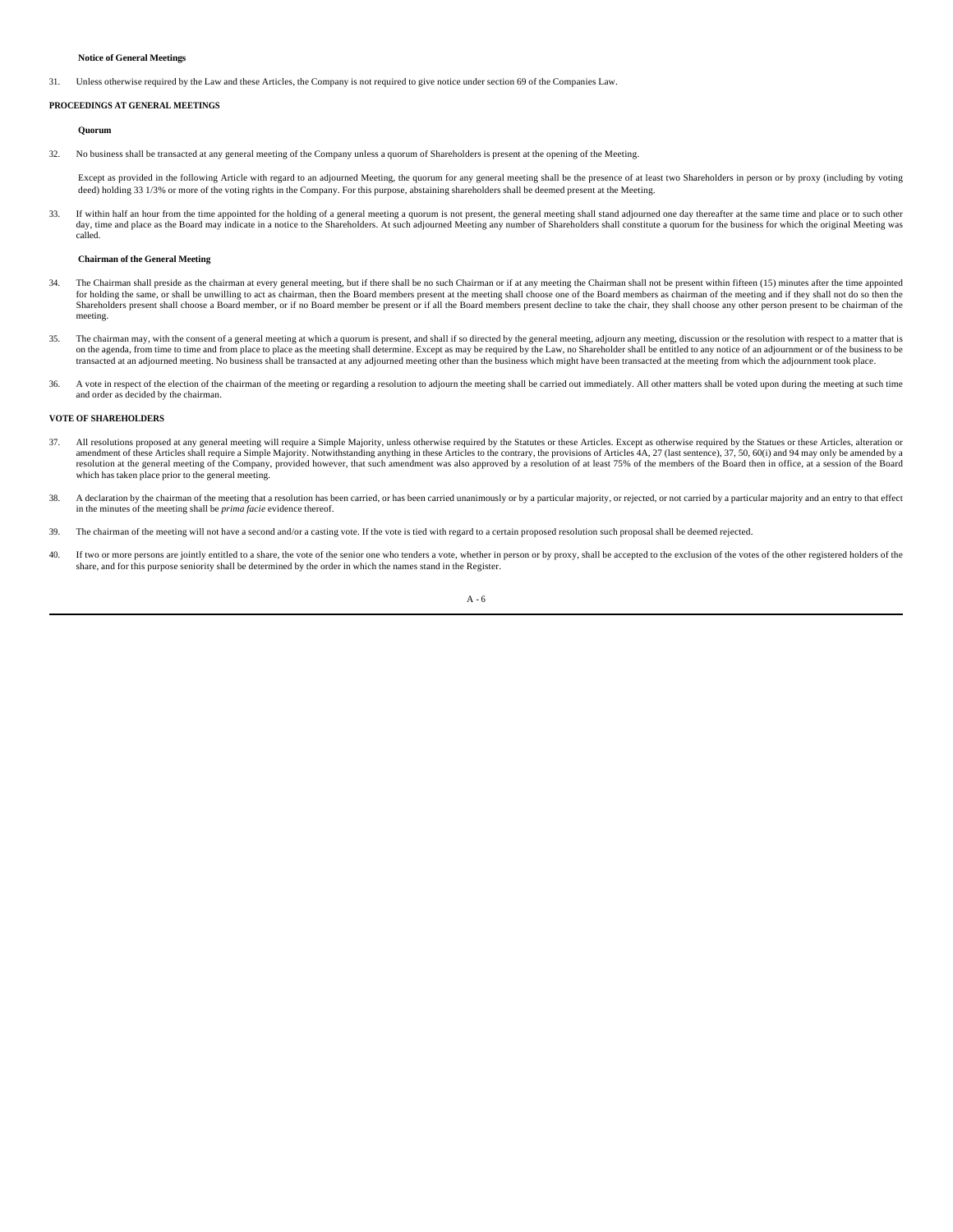## **Notice of General Meetings**

31. Unless otherwise required by the Law and these Articles, the Company is not required to give notice under section 69 of the Companies Law.

# **PROCEEDINGS AT GENERAL MEETINGS**

#### **Quorum**

32. No business shall be transacted at any general meeting of the Company unless a quorum of Shareholders is present at the opening of the Meeting.

Except as provided in the following Article with regard to an adjourned Meeting, the quorum for any general meeting shall be the presence of at least two Shareholders in person or by proxy (including by voting deed) holding 33 1/3% or more of the voting rights in the Company. For this purpose, abstaining shareholders shall be deemed present at the Meeting.

33. If within half an hour from the time appointed for the holding of a general meeting a quorum is not present, the general meeting shall stand adjourned one day thereafter at the same time and place or to such other day, time and place as the Board may indicate in a notice to the Shareholders. At such adjourned Meeting any number of Shareholders shall constitute a quorum for the business for which the original Meeting was called.

#### **Chairman of the General Meeting**

- 34. The Chairman shall preside as the chairman at every general meeting, but if there shall be no such Chairman or if at any meeting the Chairman shall not be present within fifteen (15) minutes after the time appointed for holding the same, or shall be unwilling to act as chairman, then the Board members present at the meeting shall choose one of the Board members as chairman of the meeting and if they shall not do so then the<br>Shareholde meeting.
- 35. The chairman may, with the consent of a general meeting at which a quorum is present, and shall if so directed by the general meeting, adjourn any meeting, discussion or the resolution with respect to a matter that is on the agenda, from time to time and from place to place as the meeting shall determine. Except as may be required by the Law, no Shareholder shall be entitled to any notice of an adjournment or of the business to be the b transacted at an adjourned meeting. No business shall be transacted at any adjourned meeting other than the business which might have been transacted at the meeting from which the adjournment took place.
- 36. A vote in respect of the election of the chairman of the meeting or regarding a resolution to adjourn the meeting shall be carried out immediately. All other matters shall be voted upon during the meeting at such time and order as decided by the chairman.

# **VOTE OF SHAREHOLDERS**

- 37. All resolutions proposed at any general meeting will require a Simple Majority, unless otherwise required by the Statutes or these Articles. Except as otherwise required by the Statues or these Articles, alteration or resolution at the general meeting of the Company, provided however, that such amendment was also approved by a resolution of at least 75% of the members of the Board then in office, at a session of the Board then in office which has taken place prior to the general meeting.
- 38. A declaration by the chairman of the meeting that a resolution has been carried, or has been carried unanimously or by a particular majority, or rejected, or not carried by a particular majority and an entry to that ef in the minutes of the meeting shall be *prima facie* evidence thereof.
- 39. The chairman of the meeting will not have a second and/or a casting vote. If the vote is tied with regard to a certain proposed resolution such proposal shall be deemed rejected.
- 40. If two or more persons are jointly entitled to a share, the vote of the senior one who tenders a vote, whether in person or by proxy, shall be accepted to the exclusion of the votes of the other registered holders of t share, and for this purpose seniority shall be determined by the order in which the names stand in the Register.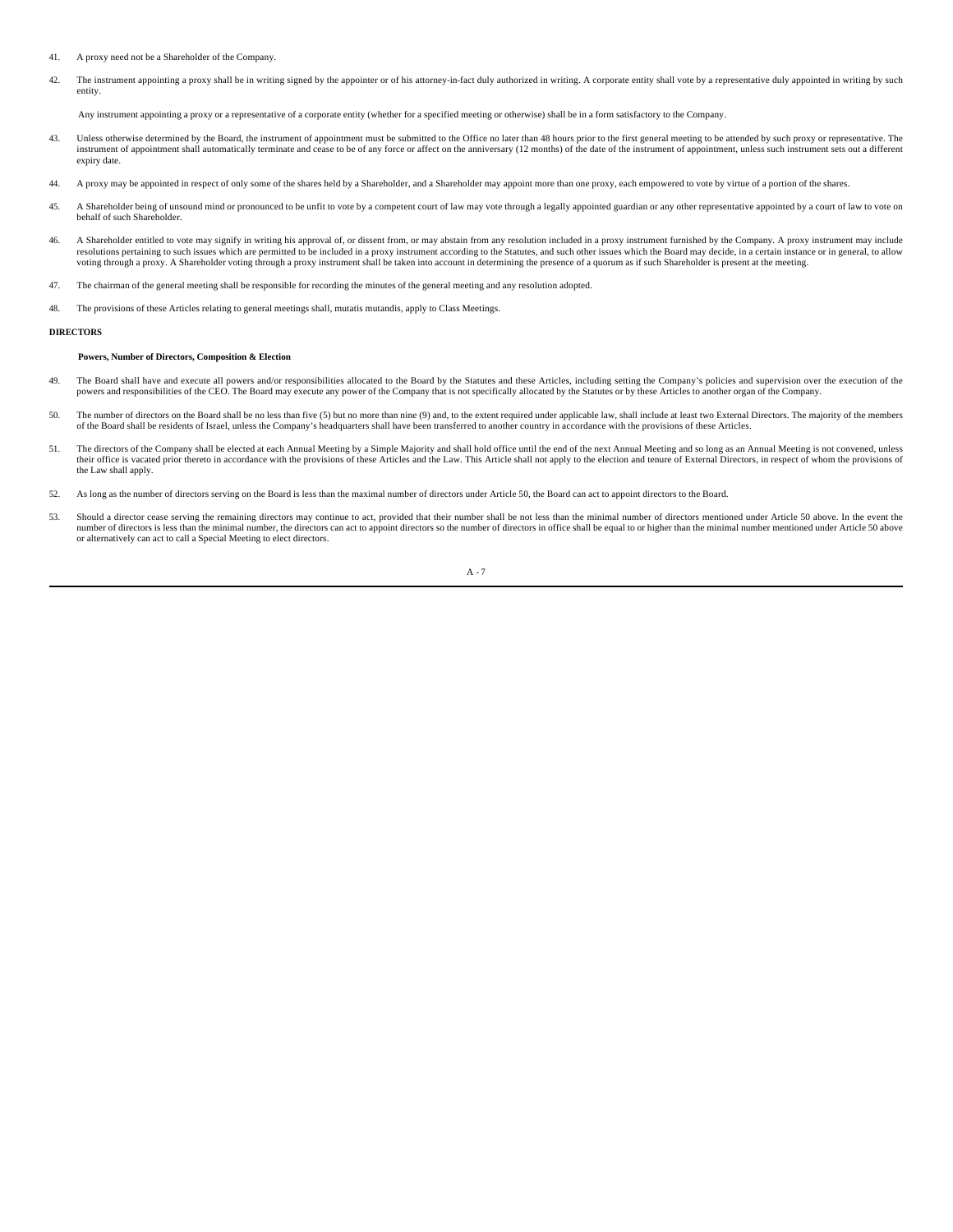- 41. A proxy need not be a Shareholder of the Company.
- 42. The instrument appointing a proxy shall be in writing signed by the appointer or of his attorney-in-fact duly authorized in writing. A corporate entity shall vote by a representative duly appointed in writing by such entity.

Any instrument appointing a proxy or a representative of a corporate entity (whether for a specified meeting or otherwise) shall be in a form satisfactory to the Company.

- 43. Unless otherwise determined by the Board, the instrument of appointment must be submitted to the Office no later than 48 hours prior to the first general meeting to be attended by such proxy or representative. The instrument of appointment shall automatically terminate and cease to be of any force or affect on the anniversary (12 months) of the date of the instrument of appointment, unless such instrument sets out a different expiry date.
- 44. A proxy may be appointed in respect of only some of the shares held by a Shareholder, and a Shareholder may appoint more than one proxy, each empowered to vote by virtue of a portion of the shares.
- 45. A Shareholder being of unsound mind or pronounced to be unfit to vote by a competent court of law may vote through a legally appointed guardian or any other representative appointed by a court of law to vote on behalf of such Shareholder.
- 46. A Shareholder entitled to vote may signify in writing his approval of, or dissent from, or may abstain from any resolution included in a proxy instrument furnished by the Company. A proxy instrument may include<br>resolut voting through a proxy. A Shareholder voting through a proxy instrument shall be taken into account in determining the presence of a quorum as if such Shareholder is present at the meeting.
- 47. The chairman of the general meeting shall be responsible for recording the minutes of the general meeting and any resolution adopted.
- 48. The provisions of these Articles relating to general meetings shall, mutatis mutandis, apply to Class Meetings.

# **DIRECTORS**

## **Powers, Number of Directors, Composition & Election**

- 49. The Board shall have and execute all powers and/or responsibilities allocated to the Board by the Statutes and these Articles, including setting the Company's policies and supervision over the execution of the powers and responsibilities of the CEO. The Board may execute any power of the Company that is not specifically allocated by the Statutes or by these Articles to another organ of the Company.
- 50. The number of directors on the Board shall be no less than five (5) but no more than nine (9) and, to the extent required under applicable law, shall include at least two External Directors. The majority of the members of the Board shall be residents of Israel, unless the Company's headquarters shall have been transferred to another country in accordance with the provisions of these Articles.
- 51. The directors of the Company shall be elected at each Annual Meeting by a Simple Majority and shall hold office until the end of the next Annual Meeting and so long as an Annual Meeting is not convened, unless their of the Law shall apply.
- 52. As long as the number of directors serving on the Board is less than the maximal number of directors under Article 50, the Board can act to appoint directors to the Board.
- 53. Should a director cease serving the remaining directors may continue to act, provided that their number shall be not less than the minimal number of directors mentioned under Article 50 above. In the event the number of directors is less than the minimal number, the directors can act to appoint directors so the number of directors in office shall be equal to or higher than the minimal number mentioned under Article 50 above or alternatively can act to call a Special Meeting to elect directors.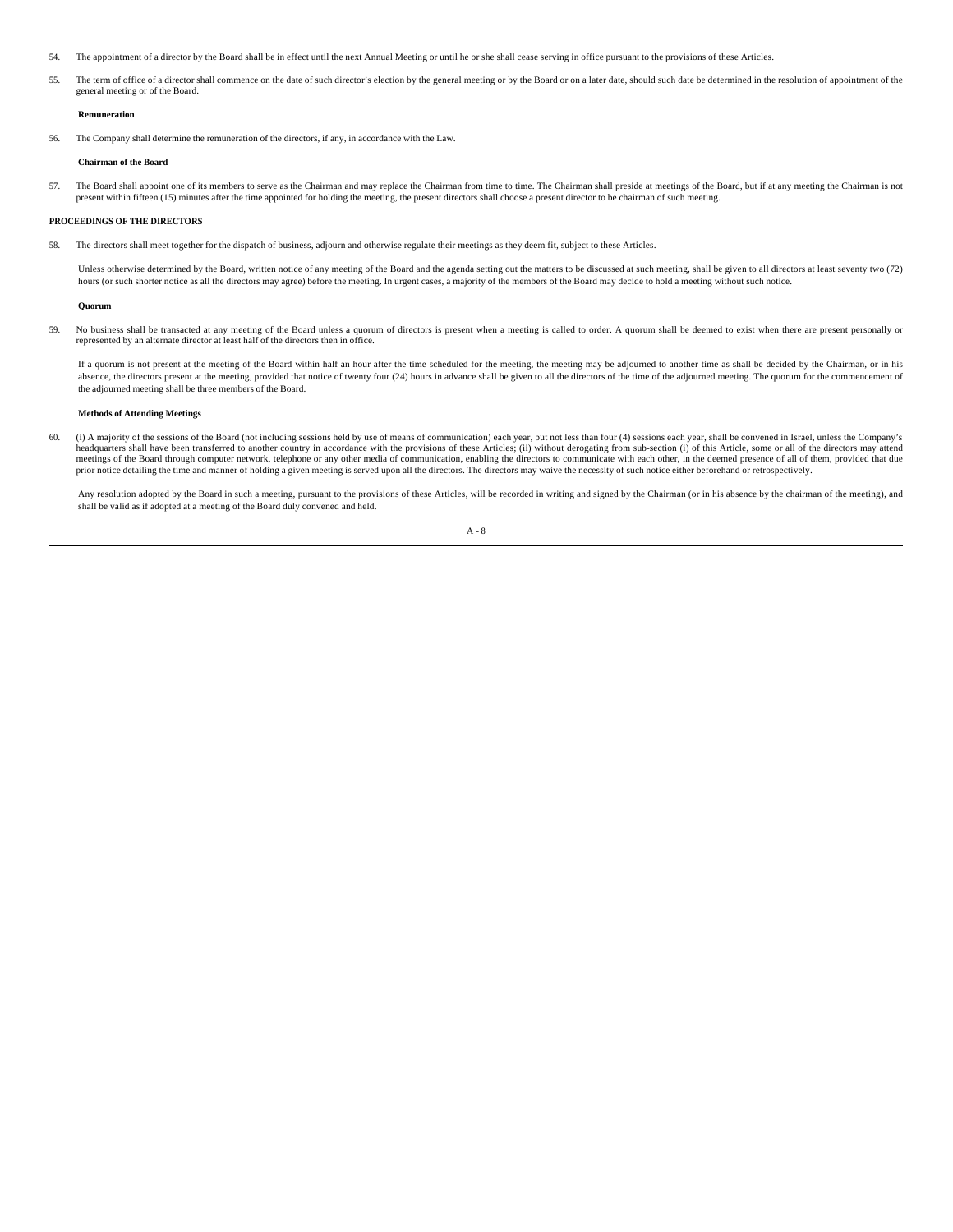- 54. The appointment of a director by the Board shall be in effect until the next Annual Meeting or until he or she shall cease serving in office pursuant to the provisions of these Articles.
- 55. The term of office of a director shall commence on the date of such director's election by the general meeting or by the Board or on a later date, should such date be determined in the resolution of appointment of the general meeting or of the Board.

# **Remuneration**

56. The Company shall determine the remuneration of the directors, if any, in accordance with the Law.

#### **Chairman of the Board**

57. The Board shall appoint one of its members to serve as the Chairman and may replace the Chairman from time to time. The Chairman shall preside at meetings of the Board, but if at any meeting the Chairman is not present within fifteen (15) minutes after the time appointed for holding the meeting, the present directors shall choose a present director to be chairman of such meeting.

### **PROCEEDINGS OF THE DIRECTORS**

58. The directors shall meet together for the dispatch of business, adjourn and otherwise regulate their meetings as they deem fit, subject to these Articles.

Unless otherwise determined by the Board, written notice of any meeting of the Board and the agenda setting out the matters to be discussed at such meeting, shall be given to all directors at least seventy two (72) hours (or such shorter notice as all the directors may agree) before the meeting. In urgent cases, a majority of the members of the Board may decide to hold a meeting without such notice.

#### **Quorum**

59. No business shall be transacted at any meeting of the Board unless a quorum of directors is present when a meeting is called to order. A quorum shall be deemed to exist when there are present personally or represented by an alternate director at least half of the directors then in office.

If a quorum is not present at the meeting of the Board within half an hour after the time scheduled for the meeting, the meeting may be adjourned to another time as shall be decided by the Chairman, or in his absence, the directors present at the meeting, provided that notice of twenty four (24) hours in advance shall be given to all the directors of the time of the adjourned meeting. The quorum for the commencement of the adjourned meeting shall be three members of the Board.

#### **Methods of Attending Meetings**

60. (i) A majority of the sessions of the Board (not including sessions held by use of means of communication) each year, but not less than four (4) sessions each year, shall be convened in Israel, unless the Company's headquarters shall have been transferred to another country in accordance with the provisions of these Articles; (ii) without derogating from sub-section (i) of this Article, some or all of the directors may attend meetings of the Board through computer network, telephone or any other media of communication, enabling the directors to communicate with each other, in the deemed presence of all of them, provided that due prior notice detailing the time and manner of holding a given meeting is served upon all the directors. The directors may waive the necessity of such notice either beforehand or retrospectively.

Any resolution adopted by the Board in such a meeting, pursuant to the provisions of these Articles, will be recorded in writing and signed by the Chairman (or in his absence by the chairman of the meeting), and shall be valid as if adopted at a meeting of the Board duly convened and held.

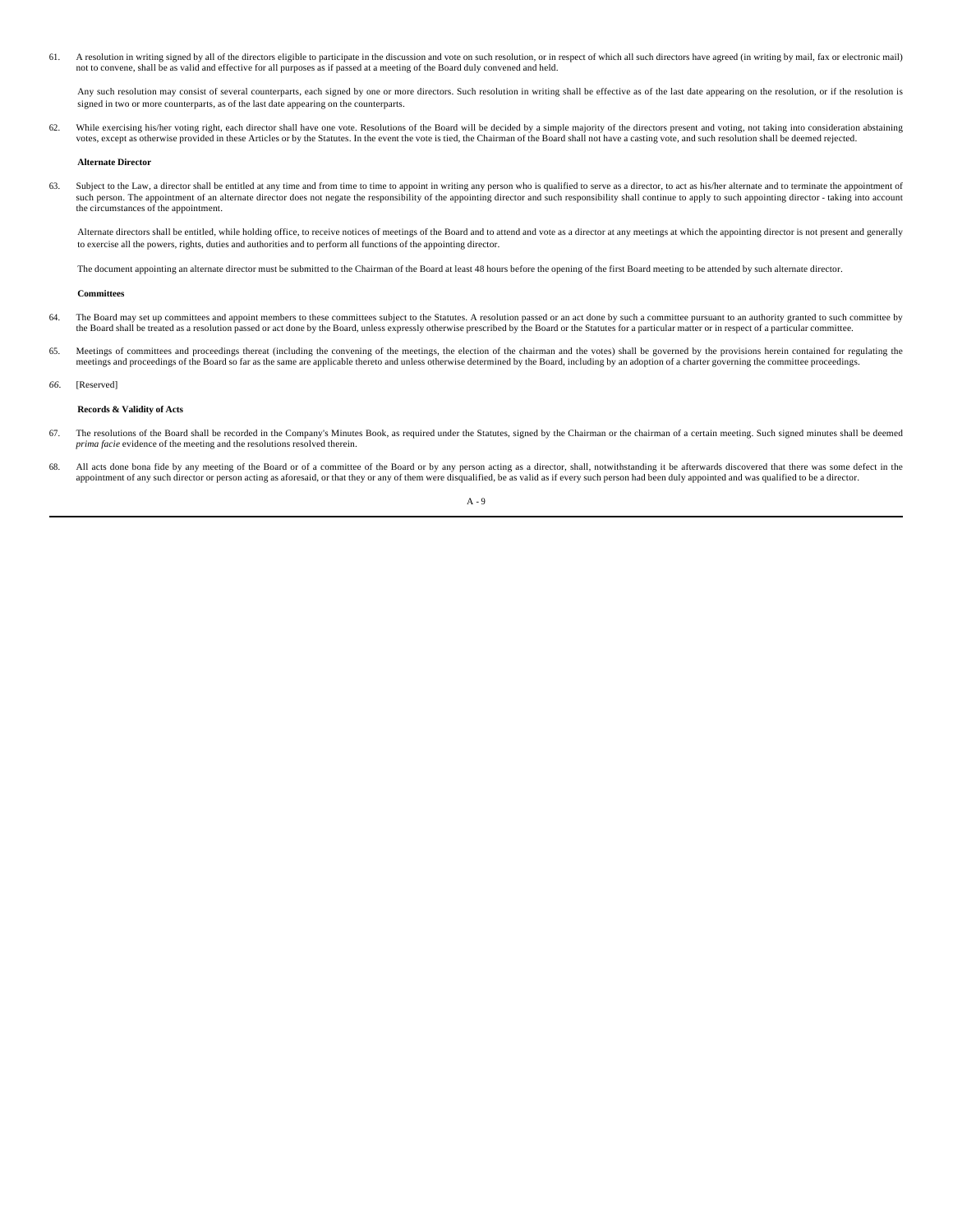61. A resolution in writing signed by all of the directors eligible to participate in the discussion and vote on such resolution, or in respect of which all such directors have agreed (in writing by mail, fax or electronic not to convene, shall be as valid and effective for all purposes as if passed at a meeting of the Board duly convened and held.

Any such resolution may consist of several counterparts, each signed by one or more directors. Such resolution in writing shall be effective as of the last date appearing on the resolution, or if the resolution is signed in two or more counterparts, as of the last date appearing on the counterparts.

62. While exercising his/her voting right, each director shall have one vote. Resolutions of the Board will be decided by a simple majority of the directors present and voting, not taking into consideration abstaining votes, except as otherwise provided in these Articles or by the Statutes. In the event the vote is tied, the Chairman of the Board shall not have a casting vote, and such resolution shall be deemed rejected.

#### **Alternate Director**

63. Subject to the Law, a director shall be entitled at any time and from time to time to appoint in writing any person who is qualified to serve as a director, to act as his/her alternate and to terminate the appointment such person. The appointment of an alternate director does not negate the responsibility of the appointing director and such responsibility shall continue to apply to such appointing director - taking into account the circumstances of the appointment.

Alternate directors shall be entitled, while holding office, to receive notices of meetings of the Board and to attend and vote as a director at any meetings at which the appointing director is not present and generally to exercise all the powers, rights, duties and authorities and to perform all functions of the appointing director.

The document appointing an alternate director must be submitted to the Chairman of the Board at least 48 hours before the opening of the first Board meeting to be attended by such alternate director.

#### **Committees**

- 64. The Board may set up committees and appoint members to these committees subject to the Statutes. A resolution passed or an act done by such a committee pursuant to an authority granted to such committee by the Board shall be treated as a resolution passed or act done by the Board, unless expressly otherwise prescribed by the Board or the Statutes for a particular matter or in respect of a particular committee.
- 65. Meetings of committees and proceedings thereat (including the convening of the meetings, the election of the chairman and the votes) shall be governed by the provisions herein contained for regulating the meetings and
- *66.* [Reserved]

### **Records & Validity of Acts**

- 67. The resolutions of the Board shall be recorded in the Company's Minutes Book, as required under the Statutes, signed by the Chairman or the chairman of a certain meeting. Such signed minutes shall be deemed *prima facie* evidence of the meeting and the resolutions resolved therein.
- A 9 68. All acts done bona fide by any meeting of the Board or of a committee of the Board or by any person acting as a director, shall, notwithstanding it be afterwards discovered that there was some defect in the appointment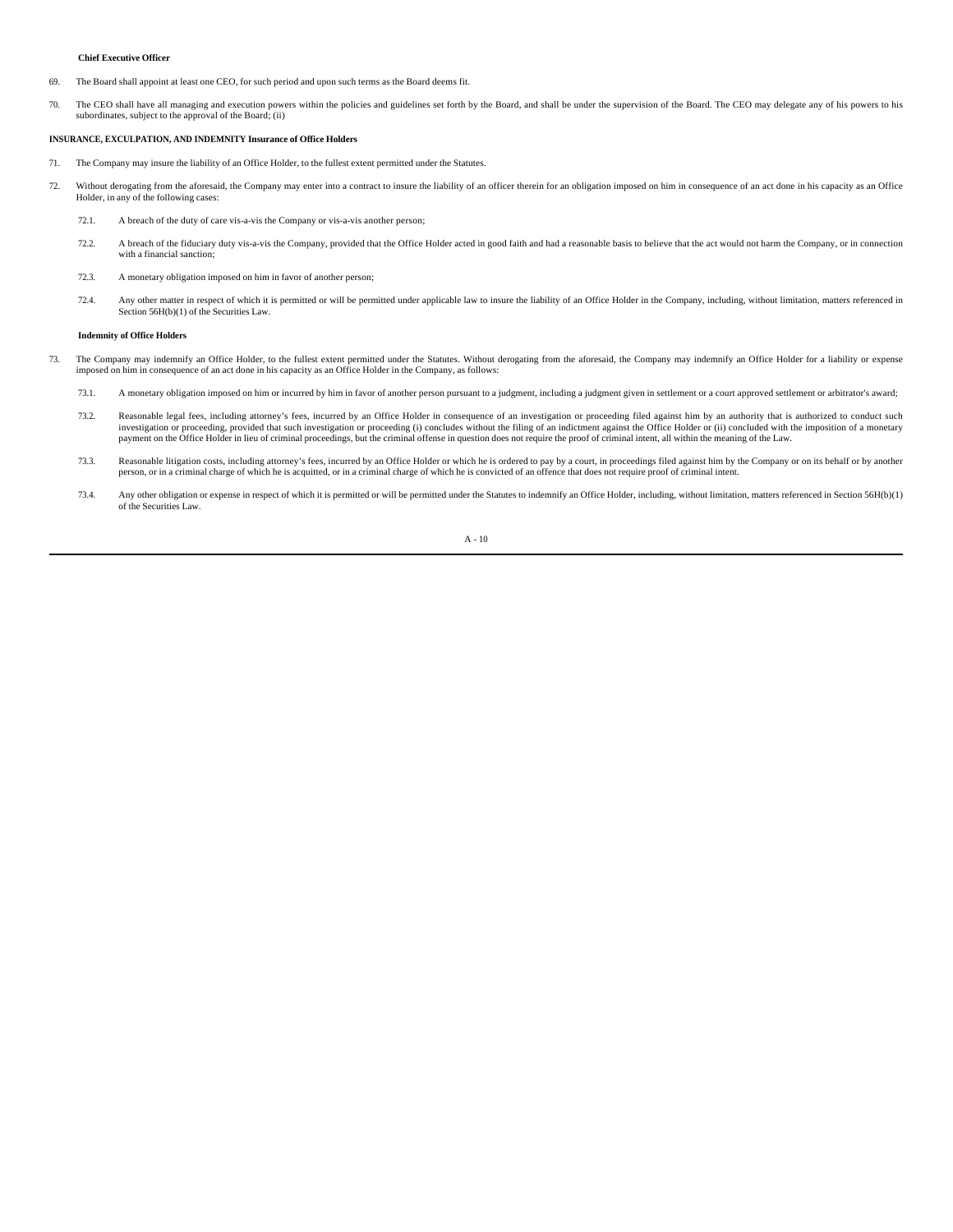### **Chief Executive Officer**

- 69. The Board shall appoint at least one CEO, for such period and upon such terms as the Board deems fit.
- 70. The CEO shall have all managing and execution powers within the policies and guidelines set forth by the Board, and shall be under the supervision of the Board. The CEO may delegate any of his powers to his subordinates, subject to the approval of the Board; (ii)

# **INSURANCE, EXCULPATION, AND INDEMNITY Insurance of Office Holders**

- 71. The Company may insure the liability of an Office Holder, to the fullest extent permitted under the Statutes.
- 72. Without derogating from the aforesaid, the Company may enter into a contract to insure the liability of an officer therein for an obligation imposed on him in consequence of an act done in his capacity as an Office Holder, in any of the following cases:
	- 72.1. A breach of the duty of care vis-a-vis the Company or vis-a-vis another person;
	- 72.2. A breach of the fiduciary duty vis-a-vis the Company, provided that the Office Holder acted in good faith and had a reasonable basis to believe that the act would not harm the Company, or in connection with a financial sanction;
	- 72.3. A monetary obligation imposed on him in favor of another person;
	- 72.4. Any other matter in respect of which it is permitted or will be permitted under applicable law to insure the liability of an Office Holder in the Company, including, without limitation, matters referenced in Section 56H(b)(1) of the Securities Law.

#### **Indemnity of Office Holders**

- 73. The Company may indemnify an Office Holder, to the fullest extent permitted under the Statutes. Without derogating from the aforesaid, the Company may indemnify an Office Holder for a liability or expense imposed on him in consequence of an act done in his capacity as an Office Holder in the Company, as follows:
	- 73.1. A monetary obligation imposed on him or incurred by him in favor of another person pursuant to a judgment, including a judgment given in settlement or a court approved settlement or arbitrator's award;
	- 73.2. Reasonable legal fees, including attorney's fees, incurred by an Office Holder in consequence of an investigation or proceeding filed against him by an authority that is authorized to conduct such investigation or pr payment on the Office Holder in lieu of criminal proceedings, but the criminal offense in question does not require the proof of criminal intent, all within the meaning of the Law.
	- 73.3. Reasonable litigation costs, including attorney's fees, incurred by an Office Holder or which he is ordered to pay by a court, in proceedings filed against him by the Company or on its behalf or by another person, or in a criminal charge of which he is acquitted, or in a criminal charge of which he is convicted of an offence that does not require proof of criminal inter-
	- 73.4. Any other obligation or expense in respect of which it is permitted or will be permitted under the Statutes to indemnify an Office Holder, including, without limitation, matters referenced in Section 56H(b)(1) of the Securities Law.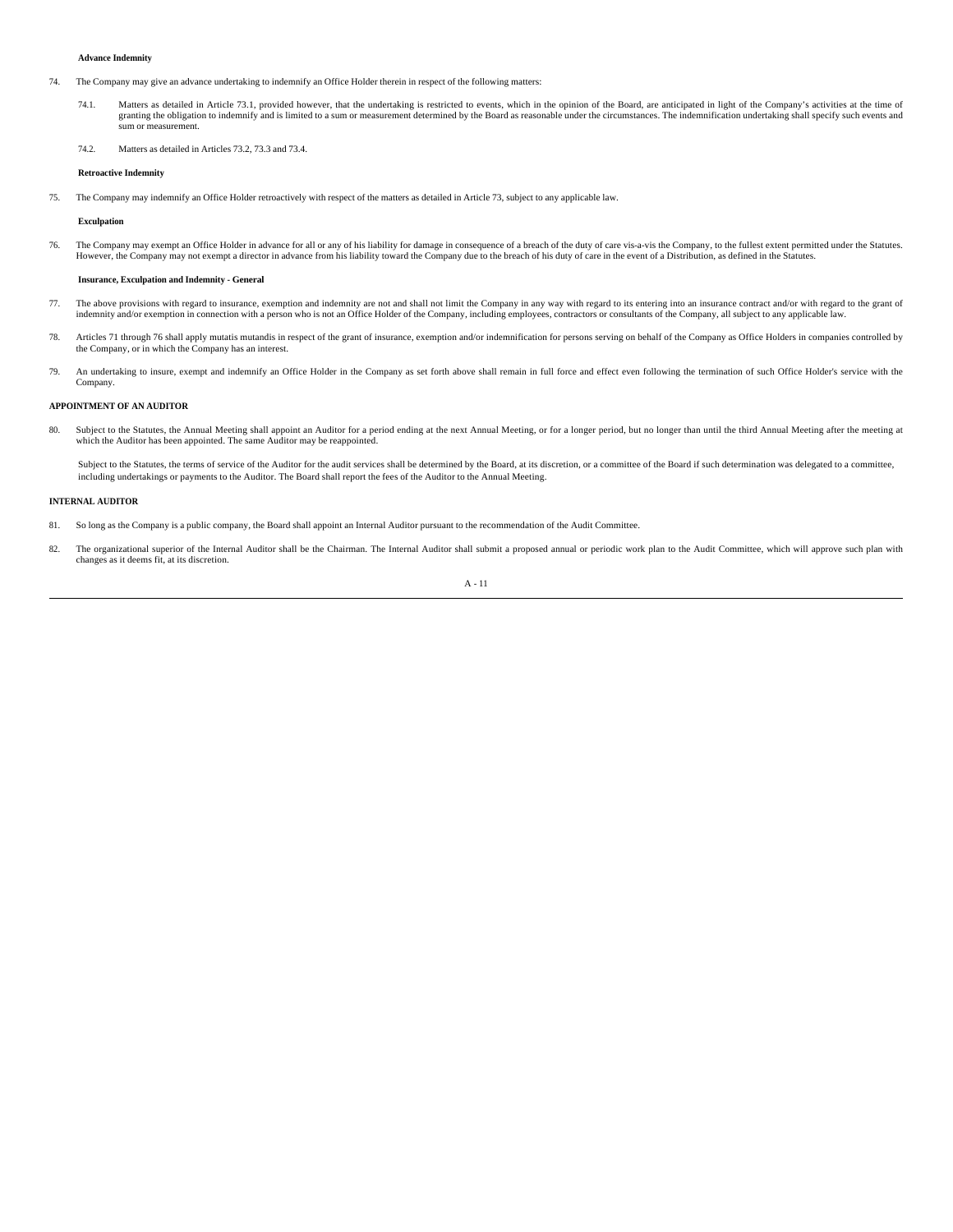### **Advance Indemnity**

- 74. The Company may give an advance undertaking to indemnify an Office Holder therein in respect of the following matters:
	- 74.1. Matters as detailed in Article 73.1, provided however, that the undertaking is restricted to events, which in the opinion of the Board, are anticipated in light of the Company's activities at the time of granting the obligation to indemnify and is limited to a sum or measurement determined by the Board as reasonable under the circumstances. The indemnification undertaking shall specify such events and sum or measurement.
	- 74.2. Matters as detailed in Articles 73.2, 73.3 and 73.4.

### **Retroactive Indemnity**

75. The Company may indemnify an Office Holder retroactively with respect of the matters as detailed in Article 73, subject to any applicable law.

### **Exculpation**

76. The Company may exempt an Office Holder in advance for all or any of his liability for damage in consequence of a breach of the duty of care vis-a-vis the Company, to the fullest extent permitted under the Statutes.<br>Ho

### **Insurance, Exculpation and Indemnity - General**

- 77. The above provisions with regard to insurance, exemption and indemnity are not and shall not limit the Company in any way with regard to its entering into an insurance contract and/or with regard to the grant of indemnity and/or exemption in connection with a person who is not an Office Holder of the Company, including employees, contractors or consultants of the Company, all subject to any applicable law.
- 78. Articles 71 through 76 shall apply mutatis mutandis in respect of the grant of insurance, exemption and/or indemnification for persons serving on behalf of the Company as Office Holders in companies controlled by the Company, or in which the Company has an interest.
- 79. An undertaking to insure, exempt and indemnify an Office Holder in the Company as set forth above shall remain in full force and effect even following the termination of such Office Holder's service with the Company.

### **APPOINTMENT OF AN AUDITOR**

80. Subject to the Statutes, the Annual Meeting shall appoint an Auditor for a period ending at the next Annual Meeting, or for a longer period, but no longer than until the third Annual Meeting after the meeting at which the Auditor has been appointed. The same Auditor may be reappointed.

Subject to the Statutes, the terms of service of the Auditor for the audit services shall be determined by the Board, at its discretion, or a committee of the Board if such determination was delegated to a committee, including undertakings or payments to the Auditor. The Board shall report the fees of the Auditor to the Annual Meeting.

#### **INTERNAL AUDITOR**

- 81. So long as the Company is a public company, the Board shall appoint an Internal Auditor pursuant to the recommendation of the Audit Committee.
- 82. The organizational superior of the Internal Auditor shall be the Chairman. The Internal Auditor shall submit a proposed annual or periodic work plan to the Audit Committee, which will approve such plan with changes as it deems fit, at its discretion.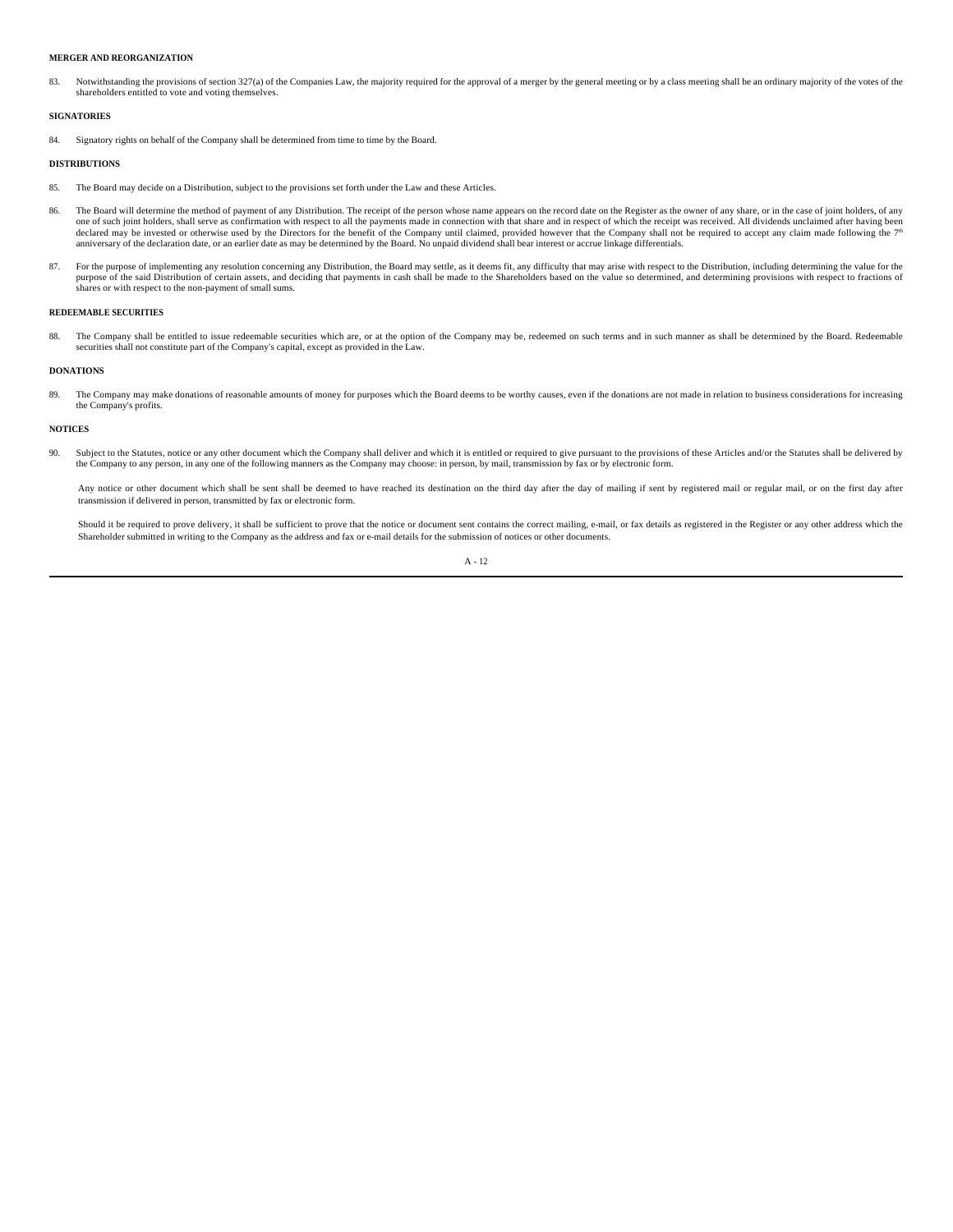### **MERGER AND REORGANIZATION**

Notwithstanding the provisions of section 327(a) of the Companies Law, the majority required for the approval of a merger by the general meeting or by a class meeting shall be an ordinary majority of the votes of the shareholders entitled to vote and voting themselves.

### **SIGNATORIES**

84. Signatory rights on behalf of the Company shall be determined from time to time by the Board.

### **DISTRIBUTIONS**

- 85. The Board may decide on a Distribution, subject to the provisions set forth under the Law and these Articles.
- 86. The Board will determine the method of payment of any Distribution. The receipt of the person whose name appears on the record date on the Register as the owner of any share, or in the case of joint holders, of any one declared may be invested or otherwise used by the Directors for the benefit of the Company until claimed, provided however that the Company shall not be required to accept any claim made following the 7<sup>th</sup><br>anniversary of
- 87. For the purpose of implementing any resolution concerning any Distribution, the Board may settle, as it deems fit, any difficulty that may arise with respect to the Distribution, including determining the value for the purpose of the said Distribution of certain assets, and deciding that payments in cash shall be made to the Shareholders based on the value so determined, and determining provisions with respect to fractions of<br>shares or w

### **REDEEMABLE SECURITIES**

88. The Company shall be entitled to issue redeemable securities which are, or at the option of the Company may be, redeemed on such terms and in such manner as shall be determined by the Board. Redeemable securities shall not constitute part of the Company's capital, except as provided in the Law.

# **DONATIONS**

89. The Company may make donations of reasonable amounts of money for purposes which the Board deems to be worthy causes, even if the donations are not made in relation to business considerations for increasing the Company's profits.

#### **NOTICES**

90. Subject to the Statutes, notice or any other document which the Company shall deliver and which it is entitled or required to give pursuant to the provisions of these Articles and/or the Statutes shall be delivered by the Company to any person, in any one of the following manners as the Company may choose: in person, by mail, transmission by fax or by electronic form.

Any notice or other document which shall be sent shall be deemed to have reached its destination on the third day after the day of mailing if sent by registered mail or regular mail, or on the first day after transmission if delivered in person, transmitted by fax or electronic form.

Should it be required to prove delivery, it shall be sufficient to prove that the notice or document sent contains the correct mailing, e-mail, or fax details as registered in the Register or any other address which the Shareholder submitted in writing to the Company as the address and fax or e-mail details for the submission of notices or other documents.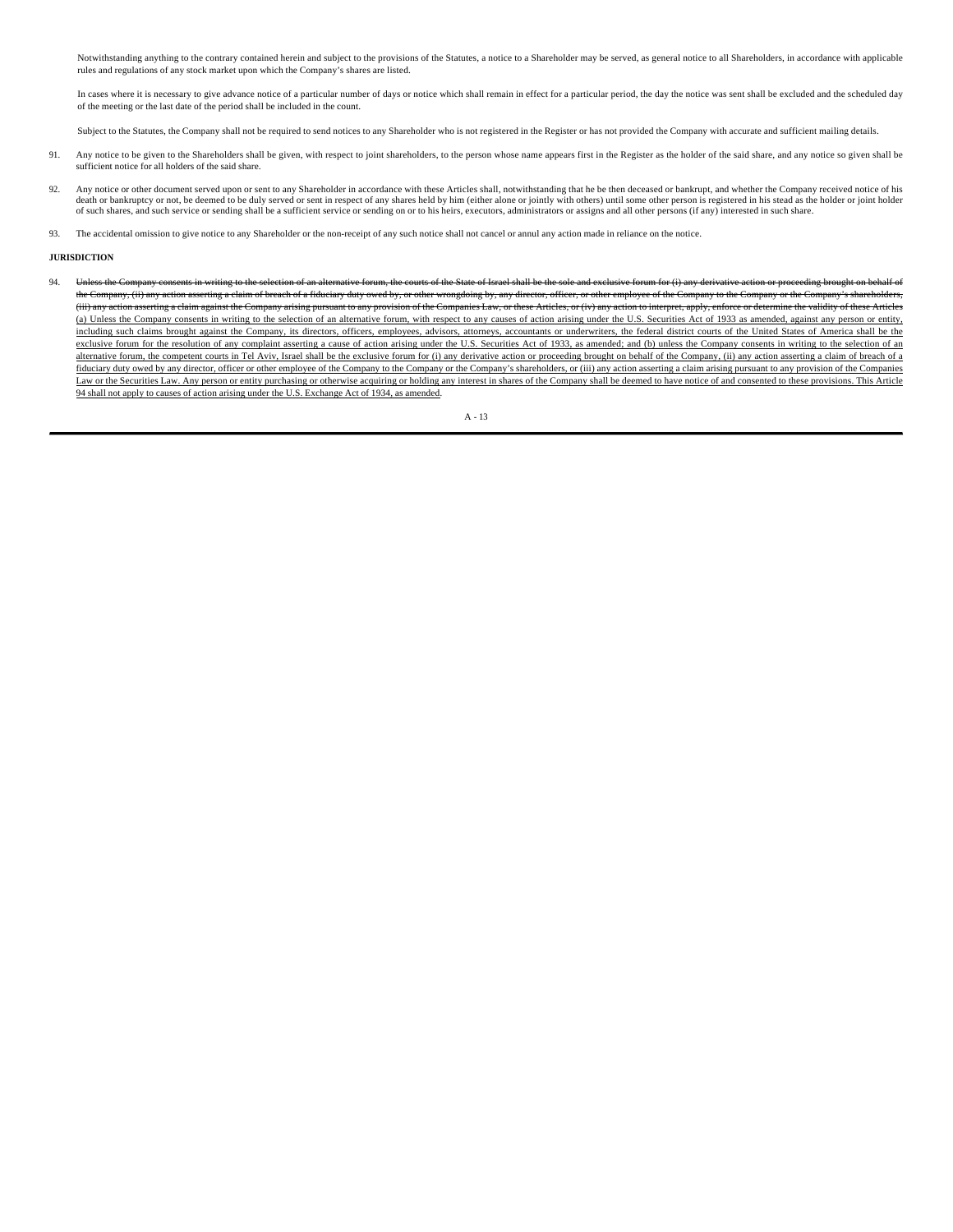Notwithstanding anything to the contrary contained herein and subject to the provisions of the Statutes, a notice to a Shareholder may be served, as general notice to all Shareholders, in accordance with applicable rules and regulations of any stock market upon which the Company's shares are listed.

In cases where it is necessary to give advance notice of a particular number of days or notice which shall remain in effect for a particular period, the day the notice was sent shall be excluded and the scheduled day of the meeting or the last date of the period shall be included in the count.

Subject to the Statutes, the Company shall not be required to send notices to any Shareholder who is not registered in the Register or has not provided the Company with accurate and sufficient mailing details.

- 91. Any notice to be given to the Shareholders shall be given, with respect to joint shareholders, to the person whose name appears first in the Register as the holder of the said share, and any notice so given shall be sufficient notice for all holders of the said share.
- 92. Any notice or other document served upon or sent to any Shareholder in accordance with these Articles shall, notwithstanding that he be then deceased or bankrupt, and whether the Company received notice of his death or bankruptcy or not, be deemed to be duly served or sent in respect of any shares held by him (either alone or jointly with others) until some other person is registered in his stead as the holder or joint holder of such shares, and such service or sending shall be a sufficient service or sending on or to his heirs, executors, administrators or assigns and all other persons (if any) interested in such share.
- 93. The accidental omission to give notice to any Shareholder or the non-receipt of any such notice shall not cancel or annul any action made in reliance on the notice.

#### **JURISDICTION**

94. Unless the Company consents in writing to the selection of an alternative forum, the courts of the State of Israel shall be the sole and exclusive forum for (i) any derivative action or proceeding brought on behalf of the Company, (ii) any action asserting a claim of breach of a fiduciary duty owed by, or other wrongdoing by, any director, officer, or other employee of the Company to the Company or the Company's shareholders, (iii) any action asserting a claim against the Company arising pursuant to any provision of the Companies Law, or these Articles, or (iv) any action to interpret, apply, enforce or determine the validity of these Articles (a) Unless the Company consents in writing to the selection of an alternative forum, with respect to any causes of action arising under the U.S. Securities Act of 1933 as amended, against any person or entity, including such claims brought against the Company, its directors, officers, employees, advisors, attorneys, accountants or underwriters, the federal district courts of the United States of America shall be the exclusive forum for the resolution of any complaint asserting a cause of action arising under the U.S. Securities Act of 1933, as amended; and (b) unless the Company consents in writing to the selection of an alternative forum, the competent courts in Tel Aviv, Israel shall be the exclusive forum for (i) any derivative action or proceeding brought on behalf of the Company, (ii) any action asserting a claim of breach of a fiduciary duty owed by any director, officer or other employee of the Company to the Company or the Company's shareholders, or (iii) any action asserting a claim arising pursuant to any provision of the Companies Law or the Securities Law. Any person or entity purchasing or otherwise acquiring or holding any interest in shares of the Company shall be deemed to have notice of and consented to these provisions. This Article 94 shall not apply to causes of action arising under the U.S. Exchange Act of 1934, as amended.

 $\Delta$  - 13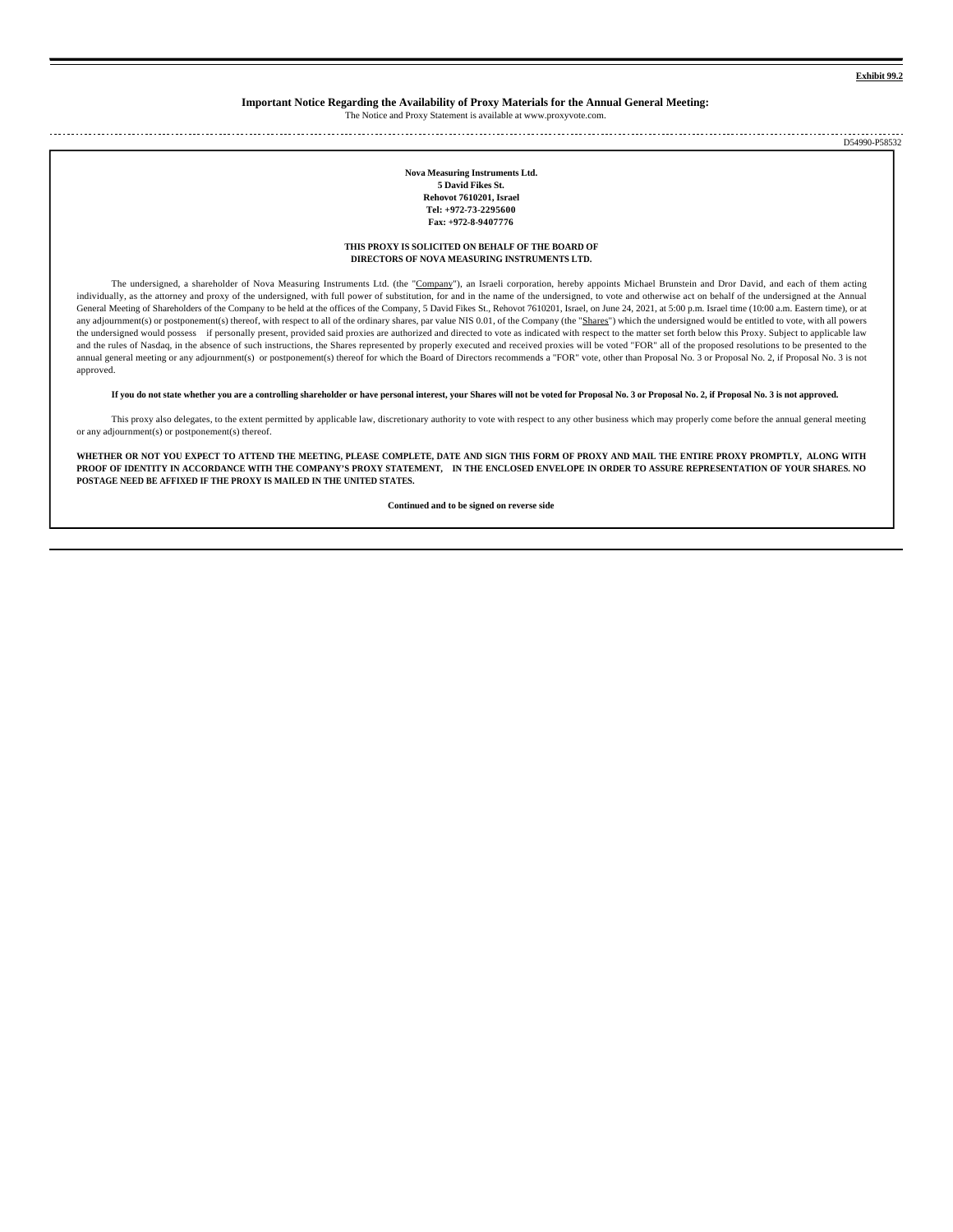**Exhibit 99.2**

# **Important Notice Regarding the Availability of Proxy Materials for the Annual General Meeting:**

The Notice and Proxy Statement is available at www.proxyvote.com.

D54990-P58532

> **Nova Measuring Instruments Ltd. 5 David Fikes St. Rehovot 7610201, Israel Tel: +972-73-2295600 Fax: +972-8-9407776**

**THIS PROXY IS SOLICITED ON BEHALF OF THE BOARD OF DIRECTORS OF NOVA MEASURING INSTRUMENTS LTD.**

The undersigned, a shareholder of Nova Measuring Instruments Ltd. (the "Company"), an Israeli corporation, hereby appoints Michael Brunstein and Dror David, and each of them acting individually, as the attorney and proxy of the undersigned, with full power of substitution, for and in the name of the undersigned, to vote and otherwise act on behalf of the undersigned at the Annual General Meeting of Shareholders of the Company to be held at the offices of the Company, 5 David Fikes St., Rehovot 7610201, Israel, on June 24, 2021, at 5:00 p.m. Israel time (10:00 a.m. Eastern time), or at any adjournment(s) or postponement(s) thereof, with respect to all of the ordinary shares, par value NIS 0.01, of the Company (the "Shares") which the undersigned would be entitled to vote, with all powers the undersigned would possess if personally present, provided said proxies are authorized and directed to vote as indicated with respect to the matter set forth below this Proxy. Subject to applicable law and the rules of Nasdaq, in the absence of such instructions, the Shares represented by properly executed and received proxies will be voted "FOR" all of the proposed resolutions to be presented to the annual general meeting or any adjournment(s) or postponement(s) thereof for which the Board of Directors recommends a "FOR" vote, other than Proposal No. 3 or Proposal No. 2, if Proposal No. 2, if Proposal No. 2, if Propos approved.

**If you do not state whether you are a controlling shareholder or have personal interest, your Shares will not be voted for Proposal No. 3 or Proposal No. 2, if Proposal No. 3 is not approved.**

This proxy also delegates, to the extent permitted by applicable law, discretionary authority to vote with respect to any other business which may properly come before the annual general meeting or any adjournment(s) or postponement(s) thereof.

**WHETHER OR NOT YOU EXPECT TO ATTEND THE MEETING, PLEASE COMPLETE, DATE AND SIGN THIS FORM OF PROXY AND MAIL THE ENTIRE PROXY PROMPTLY, ALONG WITH PROOF OF IDENTITY IN ACCORDANCE WITH THE COMPANY'S PROXY STATEMENT, IN THE ENCLOSED ENVELOPE IN ORDER TO ASSURE REPRESENTATION OF YOUR SHARES. NO POSTAGE NEED BE AFFIXED IF THE PROXY IS MAILED IN THE UNITED STATES.**

**Continued and to be signed on reverse side**